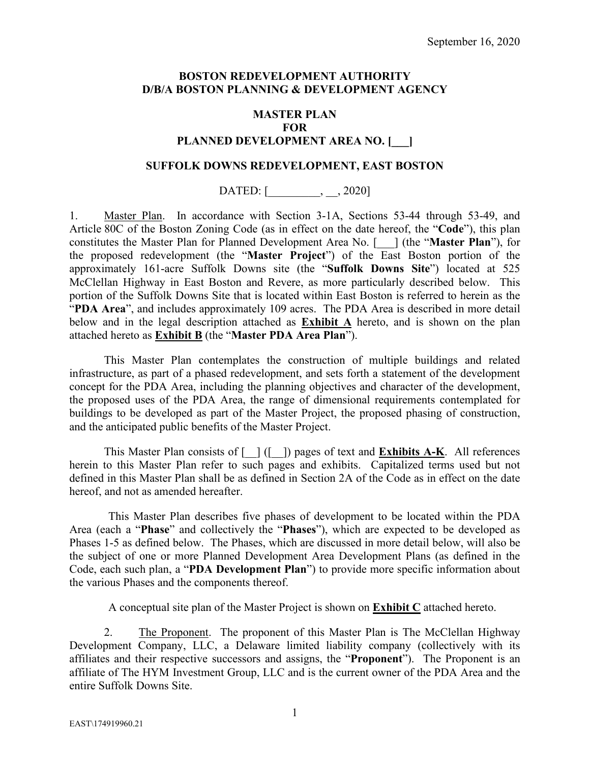#### **BOSTON REDEVELOPMENT AUTHORITY D/B/A BOSTON PLANNING & DEVELOPMENT AGENCY**

#### **MASTER PLAN FOR PLANNED DEVELOPMENT AREA NO. [\_\_\_]**

#### **SUFFOLK DOWNS REDEVELOPMENT, EAST BOSTON**

DATED: [\_\_\_\_\_\_\_\_\_, \_\_, 2020]

1. Master Plan. In accordance with Section 3-1A, Sections 53-44 through 53-49, and Article 80C of the Boston Zoning Code (as in effect on the date hereof, the "**Code**"), this plan constitutes the Master Plan for Planned Development Area No. [\_\_\_] (the "**Master Plan**"), for the proposed redevelopment (the "**Master Project**") of the East Boston portion of the approximately 161-acre Suffolk Downs site (the "**Suffolk Downs Site**") located at 525 McClellan Highway in East Boston and Revere, as more particularly described below. This portion of the Suffolk Downs Site that is located within East Boston is referred to herein as the "**PDA Area**", and includes approximately 109 acres. The PDA Area is described in more detail below and in the legal description attached as **Exhibit A** hereto, and is shown on the plan attached hereto as **Exhibit B** (the "**Master PDA Area Plan**").

This Master Plan contemplates the construction of multiple buildings and related infrastructure, as part of a phased redevelopment, and sets forth a statement of the development concept for the PDA Area, including the planning objectives and character of the development, the proposed uses of the PDA Area, the range of dimensional requirements contemplated for buildings to be developed as part of the Master Project, the proposed phasing of construction, and the anticipated public benefits of the Master Project.

This Master Plan consists of  $\begin{bmatrix} | & | & | \end{bmatrix}$  pages of text and **Exhibits A-K**. All references herein to this Master Plan refer to such pages and exhibits. Capitalized terms used but not defined in this Master Plan shall be as defined in Section 2A of the Code as in effect on the date hereof, and not as amended hereafter.

This Master Plan describes five phases of development to be located within the PDA Area (each a "**Phase**" and collectively the "**Phases**"), which are expected to be developed as Phases 1-5 as defined below. The Phases, which are discussed in more detail below, will also be the subject of one or more Planned Development Area Development Plans (as defined in the Code, each such plan, a "**PDA Development Plan**") to provide more specific information about the various Phases and the components thereof.

A conceptual site plan of the Master Project is shown on **Exhibit C** attached hereto.

2. The Proponent. The proponent of this Master Plan is The McClellan Highway Development Company, LLC, a Delaware limited liability company (collectively with its affiliates and their respective successors and assigns, the "**Proponent**"). The Proponent is an affiliate of The HYM Investment Group, LLC and is the current owner of the PDA Area and the entire Suffolk Downs Site.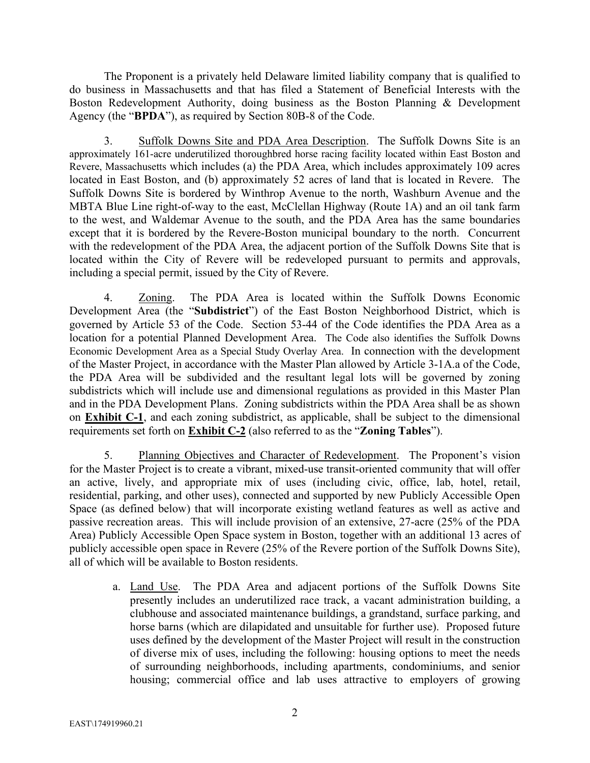The Proponent is a privately held Delaware limited liability company that is qualified to do business in Massachusetts and that has filed a Statement of Beneficial Interests with the Boston Redevelopment Authority, doing business as the Boston Planning & Development Agency (the "**BPDA**"), as required by Section 80B-8 of the Code.

3. Suffolk Downs Site and PDA Area Description. The Suffolk Downs Site is an approximately 161-acre underutilized thoroughbred horse racing facility located within East Boston and Revere, Massachusetts which includes (a) the PDA Area, which includes approximately 109 acres located in East Boston, and (b) approximately 52 acres of land that is located in Revere. The Suffolk Downs Site is bordered by Winthrop Avenue to the north, Washburn Avenue and the MBTA Blue Line right-of-way to the east, McClellan Highway (Route 1A) and an oil tank farm to the west, and Waldemar Avenue to the south, and the PDA Area has the same boundaries except that it is bordered by the Revere-Boston municipal boundary to the north. Concurrent with the redevelopment of the PDA Area, the adjacent portion of the Suffolk Downs Site that is located within the City of Revere will be redeveloped pursuant to permits and approvals, including a special permit, issued by the City of Revere.

4. Zoning. The PDA Area is located within the Suffolk Downs Economic Development Area (the "**Subdistrict**") of the East Boston Neighborhood District, which is governed by Article 53 of the Code. Section 53-44 of the Code identifies the PDA Area as a location for a potential Planned Development Area. The Code also identifies the Suffolk Downs Economic Development Area as a Special Study Overlay Area. In connection with the development of the Master Project, in accordance with the Master Plan allowed by Article 3-1A.a of the Code, the PDA Area will be subdivided and the resultant legal lots will be governed by zoning subdistricts which will include use and dimensional regulations as provided in this Master Plan and in the PDA Development Plans. Zoning subdistricts within the PDA Area shall be as shown on **Exhibit C-1**, and each zoning subdistrict, as applicable, shall be subject to the dimensional requirements set forth on **Exhibit C-2** (also referred to as the "**Zoning Tables**").

5. Planning Objectives and Character of Redevelopment. The Proponent's vision for the Master Project is to create a vibrant, mixed-use transit-oriented community that will offer an active, lively, and appropriate mix of uses (including civic, office, lab, hotel, retail, residential, parking, and other uses), connected and supported by new Publicly Accessible Open Space (as defined below) that will incorporate existing wetland features as well as active and passive recreation areas. This will include provision of an extensive, 27-acre (25% of the PDA Area) Publicly Accessible Open Space system in Boston, together with an additional 13 acres of publicly accessible open space in Revere (25% of the Revere portion of the Suffolk Downs Site), all of which will be available to Boston residents.

a. Land Use. The PDA Area and adjacent portions of the Suffolk Downs Site presently includes an underutilized race track, a vacant administration building, a clubhouse and associated maintenance buildings, a grandstand, surface parking, and horse barns (which are dilapidated and unsuitable for further use). Proposed future uses defined by the development of the Master Project will result in the construction of diverse mix of uses, including the following: housing options to meet the needs of surrounding neighborhoods, including apartments, condominiums, and senior housing; commercial office and lab uses attractive to employers of growing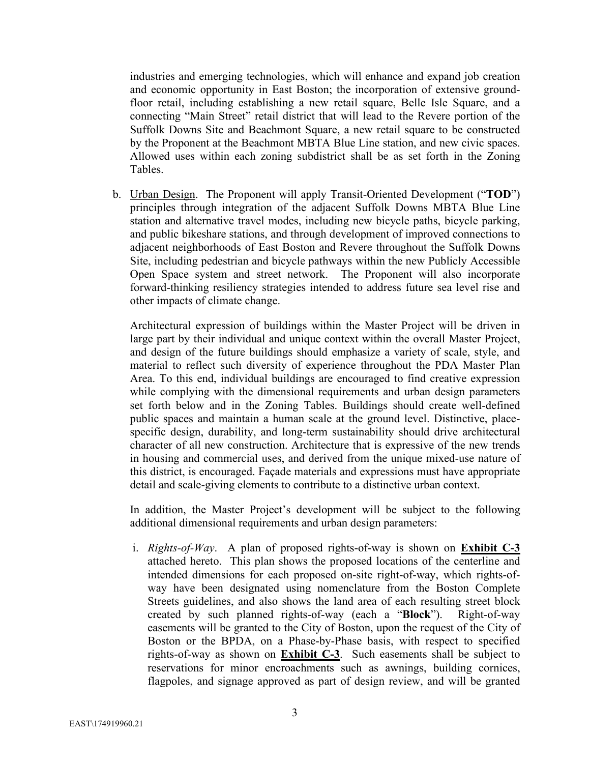industries and emerging technologies, which will enhance and expand job creation and economic opportunity in East Boston; the incorporation of extensive groundfloor retail, including establishing a new retail square, Belle Isle Square, and a connecting "Main Street" retail district that will lead to the Revere portion of the Suffolk Downs Site and Beachmont Square, a new retail square to be constructed by the Proponent at the Beachmont MBTA Blue Line station, and new civic spaces. Allowed uses within each zoning subdistrict shall be as set forth in the Zoning Tables.

b. Urban Design. The Proponent will apply Transit-Oriented Development ("**TOD**") principles through integration of the adjacent Suffolk Downs MBTA Blue Line station and alternative travel modes, including new bicycle paths, bicycle parking, and public bikeshare stations, and through development of improved connections to adjacent neighborhoods of East Boston and Revere throughout the Suffolk Downs Site, including pedestrian and bicycle pathways within the new Publicly Accessible Open Space system and street network. The Proponent will also incorporate forward-thinking resiliency strategies intended to address future sea level rise and other impacts of climate change.

Architectural expression of buildings within the Master Project will be driven in large part by their individual and unique context within the overall Master Project, and design of the future buildings should emphasize a variety of scale, style, and material to reflect such diversity of experience throughout the PDA Master Plan Area. To this end, individual buildings are encouraged to find creative expression while complying with the dimensional requirements and urban design parameters set forth below and in the Zoning Tables. Buildings should create well-defined public spaces and maintain a human scale at the ground level. Distinctive, placespecific design, durability, and long-term sustainability should drive architectural character of all new construction. Architecture that is expressive of the new trends in housing and commercial uses, and derived from the unique mixed-use nature of this district, is encouraged. Façade materials and expressions must have appropriate detail and scale-giving elements to contribute to a distinctive urban context.

In addition, the Master Project's development will be subject to the following additional dimensional requirements and urban design parameters:

i. *Rights-of-Way*. A plan of proposed rights-of-way is shown on **Exhibit C-3** attached hereto. This plan shows the proposed locations of the centerline and intended dimensions for each proposed on-site right-of-way, which rights-ofway have been designated using nomenclature from the Boston Complete Streets guidelines, and also shows the land area of each resulting street block created by such planned rights-of-way (each a "**Block**"). Right-of-way easements will be granted to the City of Boston, upon the request of the City of Boston or the BPDA, on a Phase-by-Phase basis, with respect to specified rights-of-way as shown on **Exhibit C-3**. Such easements shall be subject to reservations for minor encroachments such as awnings, building cornices, flagpoles, and signage approved as part of design review, and will be granted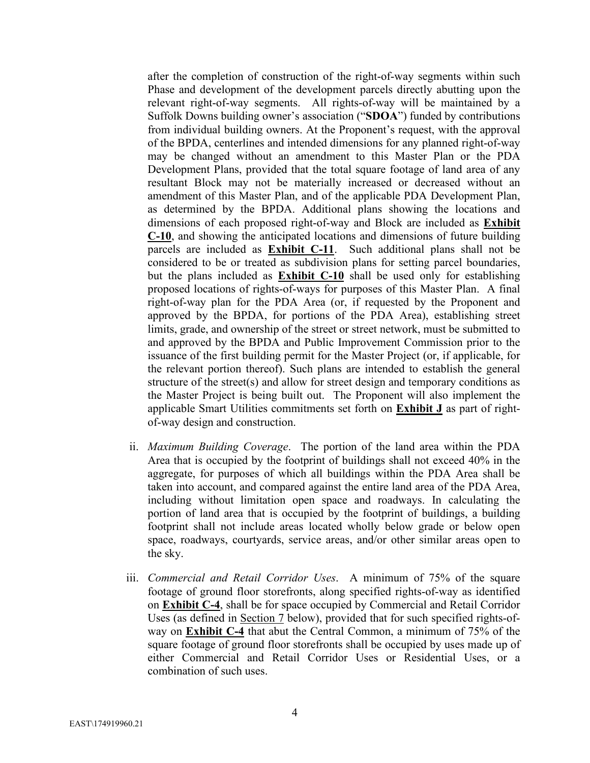after the completion of construction of the right-of-way segments within such Phase and development of the development parcels directly abutting upon the relevant right-of-way segments. All rights-of-way will be maintained by a Suffolk Downs building owner's association ("**SDOA**") funded by contributions from individual building owners. At the Proponent's request, with the approval of the BPDA, centerlines and intended dimensions for any planned right-of-way may be changed without an amendment to this Master Plan or the PDA Development Plans, provided that the total square footage of land area of any resultant Block may not be materially increased or decreased without an amendment of this Master Plan, and of the applicable PDA Development Plan, as determined by the BPDA. Additional plans showing the locations and dimensions of each proposed right-of-way and Block are included as **Exhibit C-10**, and showing the anticipated locations and dimensions of future building parcels are included as **Exhibit C-11**. Such additional plans shall not be considered to be or treated as subdivision plans for setting parcel boundaries, but the plans included as **Exhibit C-10** shall be used only for establishing proposed locations of rights-of-ways for purposes of this Master Plan. A final right-of-way plan for the PDA Area (or, if requested by the Proponent and approved by the BPDA, for portions of the PDA Area), establishing street limits, grade, and ownership of the street or street network, must be submitted to and approved by the BPDA and Public Improvement Commission prior to the issuance of the first building permit for the Master Project (or, if applicable, for the relevant portion thereof). Such plans are intended to establish the general structure of the street(s) and allow for street design and temporary conditions as the Master Project is being built out. The Proponent will also implement the applicable Smart Utilities commitments set forth on **Exhibit J** as part of rightof-way design and construction.

- ii. *Maximum Building Coverage*. The portion of the land area within the PDA Area that is occupied by the footprint of buildings shall not exceed 40% in the aggregate, for purposes of which all buildings within the PDA Area shall be taken into account, and compared against the entire land area of the PDA Area, including without limitation open space and roadways. In calculating the portion of land area that is occupied by the footprint of buildings, a building footprint shall not include areas located wholly below grade or below open space, roadways, courtyards, service areas, and/or other similar areas open to the sky.
- iii. *Commercial and Retail Corridor Uses*. A minimum of 75% of the square footage of ground floor storefronts, along specified rights-of-way as identified on **Exhibit C-4**, shall be for space occupied by Commercial and Retail Corridor Uses (as defined in Section 7 below), provided that for such specified rights-ofway on **Exhibit C-4** that abut the Central Common, a minimum of 75% of the square footage of ground floor storefronts shall be occupied by uses made up of either Commercial and Retail Corridor Uses or Residential Uses, or a combination of such uses.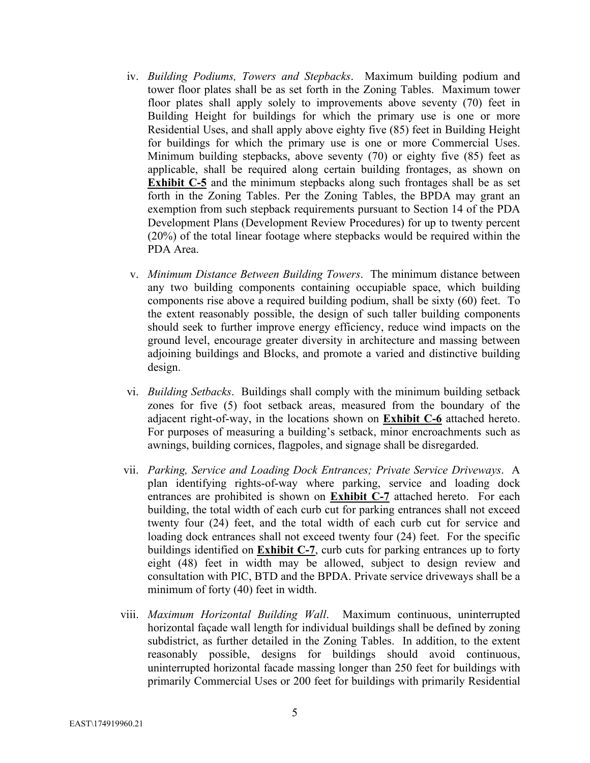- iv. *Building Podiums, Towers and Stepbacks*. Maximum building podium and tower floor plates shall be as set forth in the Zoning Tables. Maximum tower floor plates shall apply solely to improvements above seventy (70) feet in Building Height for buildings for which the primary use is one or more Residential Uses, and shall apply above eighty five (85) feet in Building Height for buildings for which the primary use is one or more Commercial Uses. Minimum building stepbacks, above seventy (70) or eighty five (85) feet as applicable, shall be required along certain building frontages, as shown on **Exhibit C-5** and the minimum stepbacks along such frontages shall be as set forth in the Zoning Tables. Per the Zoning Tables, the BPDA may grant an exemption from such stepback requirements pursuant to Section 14 of the PDA Development Plans (Development Review Procedures) for up to twenty percent (20%) of the total linear footage where stepbacks would be required within the PDA Area.
- v. *Minimum Distance Between Building Towers*. The minimum distance between any two building components containing occupiable space, which building components rise above a required building podium, shall be sixty (60) feet. To the extent reasonably possible, the design of such taller building components should seek to further improve energy efficiency, reduce wind impacts on the ground level, encourage greater diversity in architecture and massing between adjoining buildings and Blocks, and promote a varied and distinctive building design.
- vi. *Building Setbacks*. Buildings shall comply with the minimum building setback zones for five (5) foot setback areas, measured from the boundary of the adjacent right-of-way, in the locations shown on **Exhibit C-6** attached hereto. For purposes of measuring a building's setback, minor encroachments such as awnings, building cornices, flagpoles, and signage shall be disregarded.
- vii. *Parking, Service and Loading Dock Entrances; Private Service Driveways*. A plan identifying rights-of-way where parking, service and loading dock entrances are prohibited is shown on **Exhibit C-7** attached hereto. For each building, the total width of each curb cut for parking entrances shall not exceed twenty four (24) feet, and the total width of each curb cut for service and loading dock entrances shall not exceed twenty four (24) feet. For the specific buildings identified on **Exhibit C-7**, curb cuts for parking entrances up to forty eight (48) feet in width may be allowed, subject to design review and consultation with PIC, BTD and the BPDA. Private service driveways shall be a minimum of forty (40) feet in width.
- viii. *Maximum Horizontal Building Wall*. Maximum continuous, uninterrupted horizontal façade wall length for individual buildings shall be defined by zoning subdistrict, as further detailed in the Zoning Tables. In addition, to the extent reasonably possible, designs for buildings should avoid continuous, uninterrupted horizontal facade massing longer than 250 feet for buildings with primarily Commercial Uses or 200 feet for buildings with primarily Residential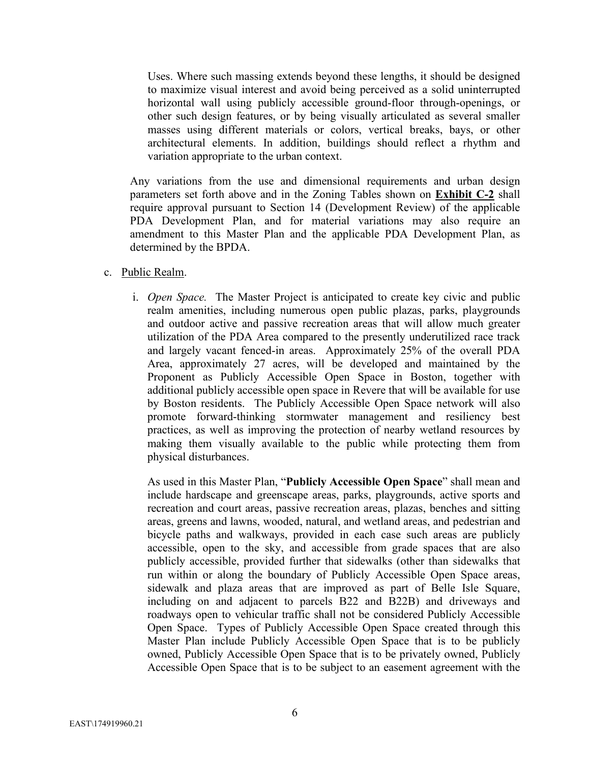Uses. Where such massing extends beyond these lengths, it should be designed to maximize visual interest and avoid being perceived as a solid uninterrupted horizontal wall using publicly accessible ground-floor through-openings, or other such design features, or by being visually articulated as several smaller masses using different materials or colors, vertical breaks, bays, or other architectural elements. In addition, buildings should reflect a rhythm and variation appropriate to the urban context.

Any variations from the use and dimensional requirements and urban design parameters set forth above and in the Zoning Tables shown on **Exhibit C-2** shall require approval pursuant to Section 14 (Development Review) of the applicable PDA Development Plan, and for material variations may also require an amendment to this Master Plan and the applicable PDA Development Plan, as determined by the BPDA.

- c. Public Realm.
	- i. *Open Space.* The Master Project is anticipated to create key civic and public realm amenities, including numerous open public plazas, parks, playgrounds and outdoor active and passive recreation areas that will allow much greater utilization of the PDA Area compared to the presently underutilized race track and largely vacant fenced-in areas. Approximately 25% of the overall PDA Area, approximately 27 acres, will be developed and maintained by the Proponent as Publicly Accessible Open Space in Boston, together with additional publicly accessible open space in Revere that will be available for use by Boston residents. The Publicly Accessible Open Space network will also promote forward-thinking stormwater management and resiliency best practices, as well as improving the protection of nearby wetland resources by making them visually available to the public while protecting them from physical disturbances.

As used in this Master Plan, "**Publicly Accessible Open Space**" shall mean and include hardscape and greenscape areas, parks, playgrounds, active sports and recreation and court areas, passive recreation areas, plazas, benches and sitting areas, greens and lawns, wooded, natural, and wetland areas, and pedestrian and bicycle paths and walkways, provided in each case such areas are publicly accessible, open to the sky, and accessible from grade spaces that are also publicly accessible, provided further that sidewalks (other than sidewalks that run within or along the boundary of Publicly Accessible Open Space areas, sidewalk and plaza areas that are improved as part of Belle Isle Square, including on and adjacent to parcels B22 and B22B) and driveways and roadways open to vehicular traffic shall not be considered Publicly Accessible Open Space. Types of Publicly Accessible Open Space created through this Master Plan include Publicly Accessible Open Space that is to be publicly owned, Publicly Accessible Open Space that is to be privately owned, Publicly Accessible Open Space that is to be subject to an easement agreement with the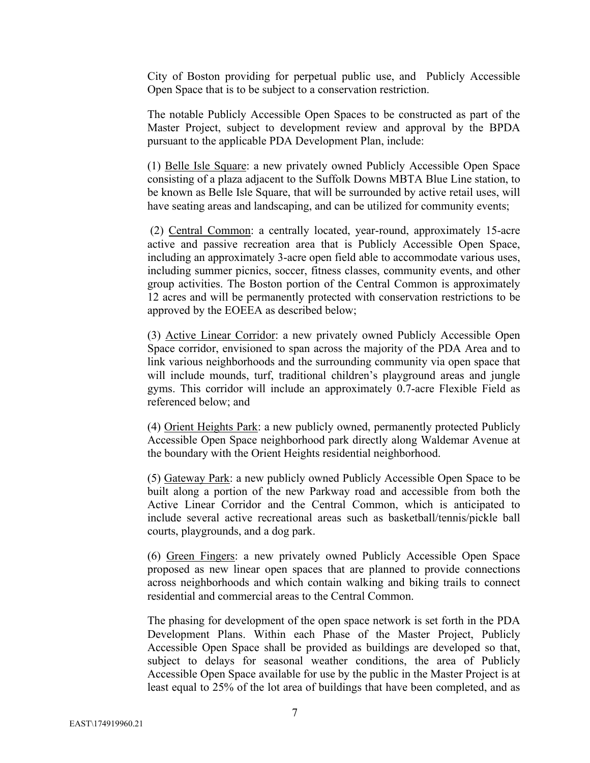City of Boston providing for perpetual public use, and Publicly Accessible Open Space that is to be subject to a conservation restriction.

The notable Publicly Accessible Open Spaces to be constructed as part of the Master Project, subject to development review and approval by the BPDA pursuant to the applicable PDA Development Plan, include:

(1) Belle Isle Square: a new privately owned Publicly Accessible Open Space consisting of a plaza adjacent to the Suffolk Downs MBTA Blue Line station, to be known as Belle Isle Square, that will be surrounded by active retail uses, will have seating areas and landscaping, and can be utilized for community events;

(2) Central Common: a centrally located, year-round, approximately 15-acre active and passive recreation area that is Publicly Accessible Open Space, including an approximately 3-acre open field able to accommodate various uses, including summer picnics, soccer, fitness classes, community events, and other group activities. The Boston portion of the Central Common is approximately 12 acres and will be permanently protected with conservation restrictions to be approved by the EOEEA as described below;

(3) Active Linear Corridor: a new privately owned Publicly Accessible Open Space corridor, envisioned to span across the majority of the PDA Area and to link various neighborhoods and the surrounding community via open space that will include mounds, turf, traditional children's playground areas and jungle gyms. This corridor will include an approximately 0.7-acre Flexible Field as referenced below; and

(4) Orient Heights Park: a new publicly owned, permanently protected Publicly Accessible Open Space neighborhood park directly along Waldemar Avenue at the boundary with the Orient Heights residential neighborhood.

(5) Gateway Park: a new publicly owned Publicly Accessible Open Space to be built along a portion of the new Parkway road and accessible from both the Active Linear Corridor and the Central Common, which is anticipated to include several active recreational areas such as basketball/tennis/pickle ball courts, playgrounds, and a dog park.

(6) Green Fingers: a new privately owned Publicly Accessible Open Space proposed as new linear open spaces that are planned to provide connections across neighborhoods and which contain walking and biking trails to connect residential and commercial areas to the Central Common.

The phasing for development of the open space network is set forth in the PDA Development Plans. Within each Phase of the Master Project, Publicly Accessible Open Space shall be provided as buildings are developed so that, subject to delays for seasonal weather conditions, the area of Publicly Accessible Open Space available for use by the public in the Master Project is at least equal to 25% of the lot area of buildings that have been completed, and as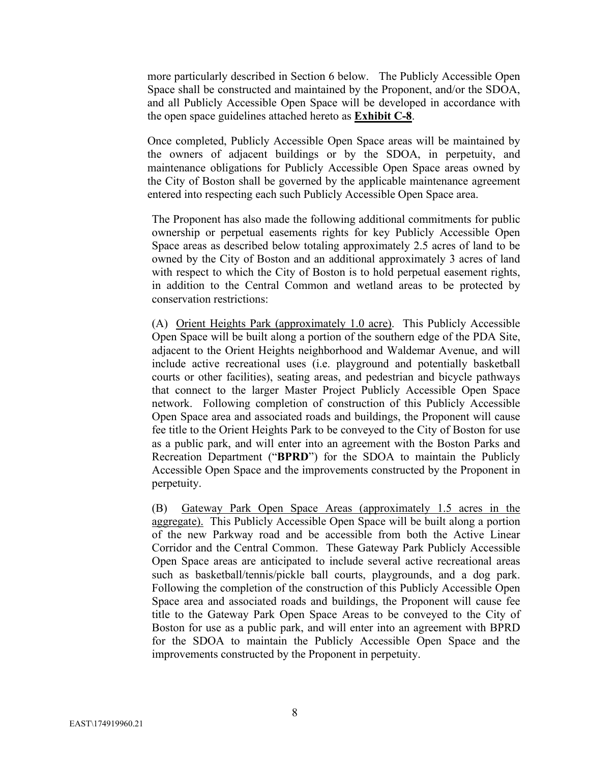more particularly described in Section 6 below. The Publicly Accessible Open Space shall be constructed and maintained by the Proponent, and/or the SDOA, and all Publicly Accessible Open Space will be developed in accordance with the open space guidelines attached hereto as **Exhibit C-8**.

Once completed, Publicly Accessible Open Space areas will be maintained by the owners of adjacent buildings or by the SDOA, in perpetuity, and maintenance obligations for Publicly Accessible Open Space areas owned by the City of Boston shall be governed by the applicable maintenance agreement entered into respecting each such Publicly Accessible Open Space area.

The Proponent has also made the following additional commitments for public ownership or perpetual easements rights for key Publicly Accessible Open Space areas as described below totaling approximately 2.5 acres of land to be owned by the City of Boston and an additional approximately 3 acres of land with respect to which the City of Boston is to hold perpetual easement rights, in addition to the Central Common and wetland areas to be protected by conservation restrictions:

(A) Orient Heights Park (approximately 1.0 acre). This Publicly Accessible Open Space will be built along a portion of the southern edge of the PDA Site, adjacent to the Orient Heights neighborhood and Waldemar Avenue, and will include active recreational uses (i.e. playground and potentially basketball courts or other facilities), seating areas, and pedestrian and bicycle pathways that connect to the larger Master Project Publicly Accessible Open Space network. Following completion of construction of this Publicly Accessible Open Space area and associated roads and buildings, the Proponent will cause fee title to the Orient Heights Park to be conveyed to the City of Boston for use as a public park, and will enter into an agreement with the Boston Parks and Recreation Department ("**BPRD**") for the SDOA to maintain the Publicly Accessible Open Space and the improvements constructed by the Proponent in perpetuity.

(B) Gateway Park Open Space Areas (approximately 1.5 acres in the aggregate). This Publicly Accessible Open Space will be built along a portion of the new Parkway road and be accessible from both the Active Linear Corridor and the Central Common. These Gateway Park Publicly Accessible Open Space areas are anticipated to include several active recreational areas such as basketball/tennis/pickle ball courts, playgrounds, and a dog park. Following the completion of the construction of this Publicly Accessible Open Space area and associated roads and buildings, the Proponent will cause fee title to the Gateway Park Open Space Areas to be conveyed to the City of Boston for use as a public park, and will enter into an agreement with BPRD for the SDOA to maintain the Publicly Accessible Open Space and the improvements constructed by the Proponent in perpetuity.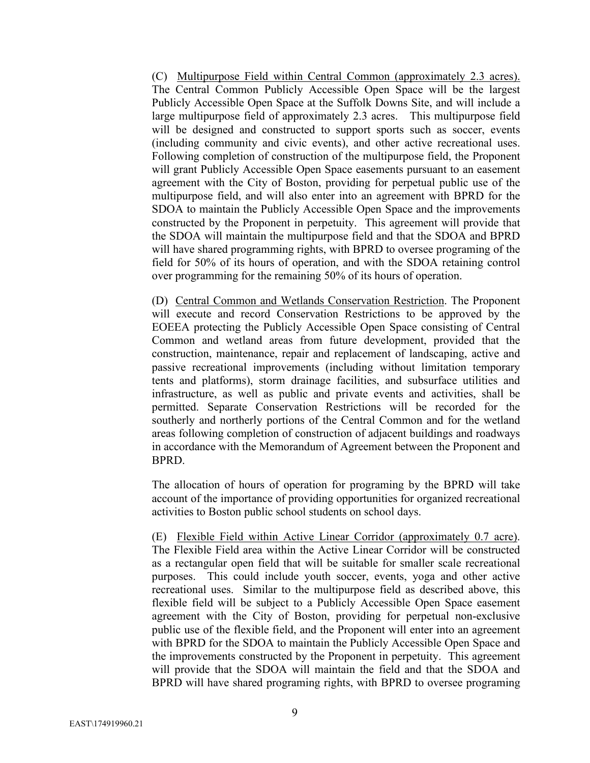(C) Multipurpose Field within Central Common (approximately 2.3 acres). The Central Common Publicly Accessible Open Space will be the largest Publicly Accessible Open Space at the Suffolk Downs Site, and will include a large multipurpose field of approximately 2.3 acres. This multipurpose field will be designed and constructed to support sports such as soccer, events (including community and civic events), and other active recreational uses. Following completion of construction of the multipurpose field, the Proponent will grant Publicly Accessible Open Space easements pursuant to an easement agreement with the City of Boston, providing for perpetual public use of the multipurpose field, and will also enter into an agreement with BPRD for the SDOA to maintain the Publicly Accessible Open Space and the improvements constructed by the Proponent in perpetuity. This agreement will provide that the SDOA will maintain the multipurpose field and that the SDOA and BPRD will have shared programming rights, with BPRD to oversee programing of the field for 50% of its hours of operation, and with the SDOA retaining control over programming for the remaining 50% of its hours of operation.

(D) Central Common and Wetlands Conservation Restriction. The Proponent will execute and record Conservation Restrictions to be approved by the EOEEA protecting the Publicly Accessible Open Space consisting of Central Common and wetland areas from future development, provided that the construction, maintenance, repair and replacement of landscaping, active and passive recreational improvements (including without limitation temporary tents and platforms), storm drainage facilities, and subsurface utilities and infrastructure, as well as public and private events and activities, shall be permitted. Separate Conservation Restrictions will be recorded for the southerly and northerly portions of the Central Common and for the wetland areas following completion of construction of adjacent buildings and roadways in accordance with the Memorandum of Agreement between the Proponent and BPRD.

The allocation of hours of operation for programing by the BPRD will take account of the importance of providing opportunities for organized recreational activities to Boston public school students on school days.

(E) Flexible Field within Active Linear Corridor (approximately 0.7 acre). The Flexible Field area within the Active Linear Corridor will be constructed as a rectangular open field that will be suitable for smaller scale recreational purposes. This could include youth soccer, events, yoga and other active recreational uses. Similar to the multipurpose field as described above, this flexible field will be subject to a Publicly Accessible Open Space easement agreement with the City of Boston, providing for perpetual non-exclusive public use of the flexible field, and the Proponent will enter into an agreement with BPRD for the SDOA to maintain the Publicly Accessible Open Space and the improvements constructed by the Proponent in perpetuity. This agreement will provide that the SDOA will maintain the field and that the SDOA and BPRD will have shared programing rights, with BPRD to oversee programing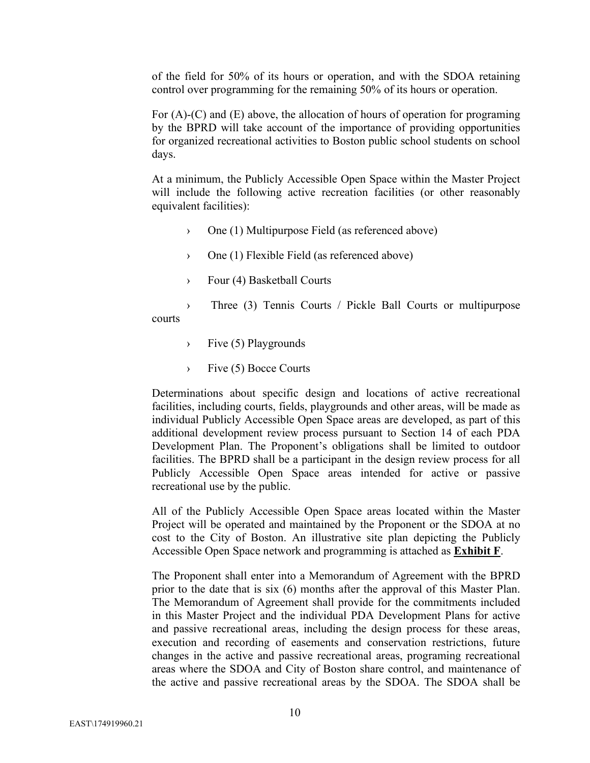of the field for 50% of its hours or operation, and with the SDOA retaining control over programming for the remaining 50% of its hours or operation.

For (A)-(C) and (E) above, the allocation of hours of operation for programing by the BPRD will take account of the importance of providing opportunities for organized recreational activities to Boston public school students on school days.

At a minimum, the Publicly Accessible Open Space within the Master Project will include the following active recreation facilities (or other reasonably equivalent facilities):

- › One (1) Multipurpose Field (as referenced above)
- › One (1) Flexible Field (as referenced above)
- › Four (4) Basketball Courts

› Three (3) Tennis Courts / Pickle Ball Courts or multipurpose courts

- › Five (5) Playgrounds
- › Five (5) Bocce Courts

Determinations about specific design and locations of active recreational facilities, including courts, fields, playgrounds and other areas, will be made as individual Publicly Accessible Open Space areas are developed, as part of this additional development review process pursuant to Section 14 of each PDA Development Plan. The Proponent's obligations shall be limited to outdoor facilities. The BPRD shall be a participant in the design review process for all Publicly Accessible Open Space areas intended for active or passive recreational use by the public.

All of the Publicly Accessible Open Space areas located within the Master Project will be operated and maintained by the Proponent or the SDOA at no cost to the City of Boston. An illustrative site plan depicting the Publicly Accessible Open Space network and programming is attached as **Exhibit F**.

The Proponent shall enter into a Memorandum of Agreement with the BPRD prior to the date that is six (6) months after the approval of this Master Plan. The Memorandum of Agreement shall provide for the commitments included in this Master Project and the individual PDA Development Plans for active and passive recreational areas, including the design process for these areas, execution and recording of easements and conservation restrictions, future changes in the active and passive recreational areas, programing recreational areas where the SDOA and City of Boston share control, and maintenance of the active and passive recreational areas by the SDOA. The SDOA shall be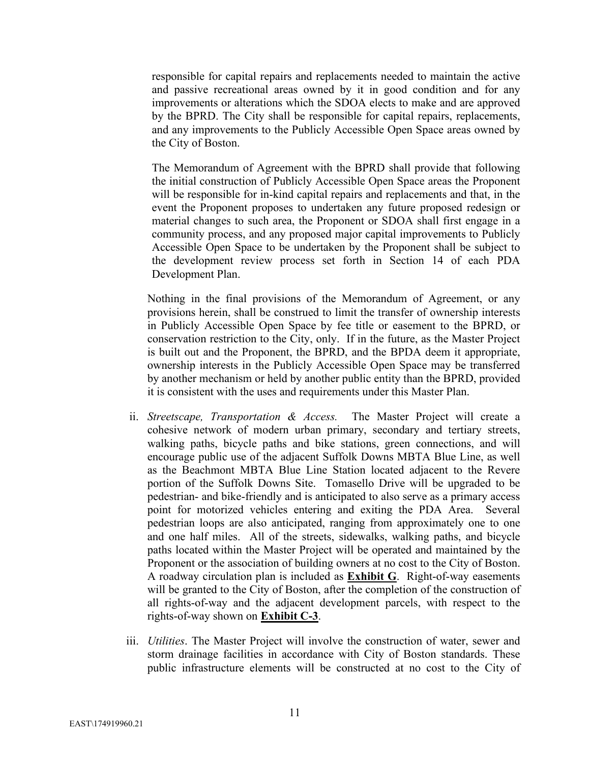responsible for capital repairs and replacements needed to maintain the active and passive recreational areas owned by it in good condition and for any improvements or alterations which the SDOA elects to make and are approved by the BPRD. The City shall be responsible for capital repairs, replacements, and any improvements to the Publicly Accessible Open Space areas owned by the City of Boston.

The Memorandum of Agreement with the BPRD shall provide that following the initial construction of Publicly Accessible Open Space areas the Proponent will be responsible for in-kind capital repairs and replacements and that, in the event the Proponent proposes to undertaken any future proposed redesign or material changes to such area, the Proponent or SDOA shall first engage in a community process, and any proposed major capital improvements to Publicly Accessible Open Space to be undertaken by the Proponent shall be subject to the development review process set forth in Section 14 of each PDA Development Plan.

Nothing in the final provisions of the Memorandum of Agreement, or any provisions herein, shall be construed to limit the transfer of ownership interests in Publicly Accessible Open Space by fee title or easement to the BPRD, or conservation restriction to the City, only. If in the future, as the Master Project is built out and the Proponent, the BPRD, and the BPDA deem it appropriate, ownership interests in the Publicly Accessible Open Space may be transferred by another mechanism or held by another public entity than the BPRD, provided it is consistent with the uses and requirements under this Master Plan.

- ii. *Streetscape, Transportation & Access.* The Master Project will create a cohesive network of modern urban primary, secondary and tertiary streets, walking paths, bicycle paths and bike stations, green connections, and will encourage public use of the adjacent Suffolk Downs MBTA Blue Line, as well as the Beachmont MBTA Blue Line Station located adjacent to the Revere portion of the Suffolk Downs Site. Tomasello Drive will be upgraded to be pedestrian- and bike-friendly and is anticipated to also serve as a primary access point for motorized vehicles entering and exiting the PDA Area. Several pedestrian loops are also anticipated, ranging from approximately one to one and one half miles. All of the streets, sidewalks, walking paths, and bicycle paths located within the Master Project will be operated and maintained by the Proponent or the association of building owners at no cost to the City of Boston. A roadway circulation plan is included as **Exhibit G**. Right-of-way easements will be granted to the City of Boston, after the completion of the construction of all rights-of-way and the adjacent development parcels, with respect to the rights-of-way shown on **Exhibit C-3**.
- iii. *Utilities*. The Master Project will involve the construction of water, sewer and storm drainage facilities in accordance with City of Boston standards. These public infrastructure elements will be constructed at no cost to the City of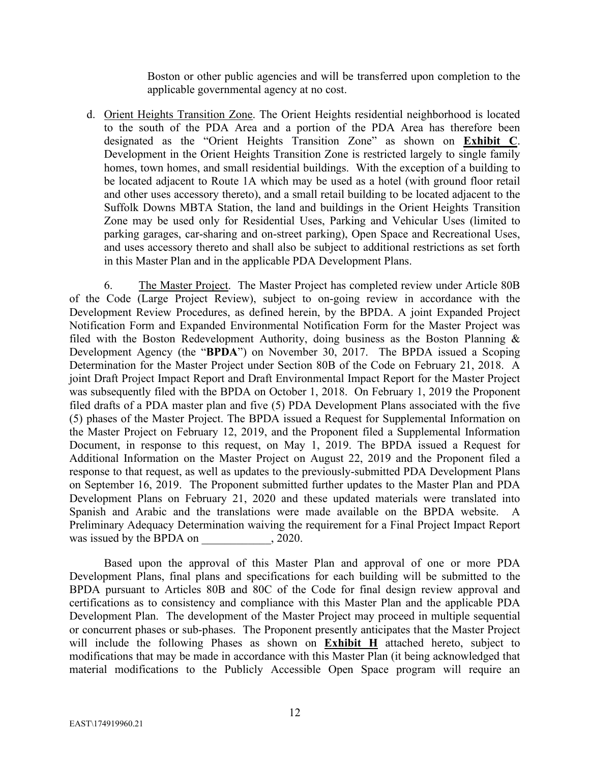Boston or other public agencies and will be transferred upon completion to the applicable governmental agency at no cost.

d. Orient Heights Transition Zone. The Orient Heights residential neighborhood is located to the south of the PDA Area and a portion of the PDA Area has therefore been designated as the "Orient Heights Transition Zone" as shown on **Exhibit C**. Development in the Orient Heights Transition Zone is restricted largely to single family homes, town homes, and small residential buildings. With the exception of a building to be located adjacent to Route 1A which may be used as a hotel (with ground floor retail and other uses accessory thereto), and a small retail building to be located adjacent to the Suffolk Downs MBTA Station, the land and buildings in the Orient Heights Transition Zone may be used only for Residential Uses, Parking and Vehicular Uses (limited to parking garages, car-sharing and on-street parking), Open Space and Recreational Uses, and uses accessory thereto and shall also be subject to additional restrictions as set forth in this Master Plan and in the applicable PDA Development Plans.

6. The Master Project. The Master Project has completed review under Article 80B of the Code (Large Project Review), subject to on-going review in accordance with the Development Review Procedures, as defined herein, by the BPDA. A joint Expanded Project Notification Form and Expanded Environmental Notification Form for the Master Project was filed with the Boston Redevelopment Authority, doing business as the Boston Planning & Development Agency (the "**BPDA**") on November 30, 2017. The BPDA issued a Scoping Determination for the Master Project under Section 80B of the Code on February 21, 2018. A joint Draft Project Impact Report and Draft Environmental Impact Report for the Master Project was subsequently filed with the BPDA on October 1, 2018. On February 1, 2019 the Proponent filed drafts of a PDA master plan and five (5) PDA Development Plans associated with the five (5) phases of the Master Project. The BPDA issued a Request for Supplemental Information on the Master Project on February 12, 2019, and the Proponent filed a Supplemental Information Document, in response to this request, on May 1, 2019. The BPDA issued a Request for Additional Information on the Master Project on August 22, 2019 and the Proponent filed a response to that request, as well as updates to the previously-submitted PDA Development Plans on September 16, 2019. The Proponent submitted further updates to the Master Plan and PDA Development Plans on February 21, 2020 and these updated materials were translated into Spanish and Arabic and the translations were made available on the BPDA website. Preliminary Adequacy Determination waiving the requirement for a Final Project Impact Report was issued by the BPDA on  $, 2020.$ 

Based upon the approval of this Master Plan and approval of one or more PDA Development Plans, final plans and specifications for each building will be submitted to the BPDA pursuant to Articles 80B and 80C of the Code for final design review approval and certifications as to consistency and compliance with this Master Plan and the applicable PDA Development Plan. The development of the Master Project may proceed in multiple sequential or concurrent phases or sub-phases. The Proponent presently anticipates that the Master Project will include the following Phases as shown on **Exhibit H** attached hereto, subject to modifications that may be made in accordance with this Master Plan (it being acknowledged that material modifications to the Publicly Accessible Open Space program will require an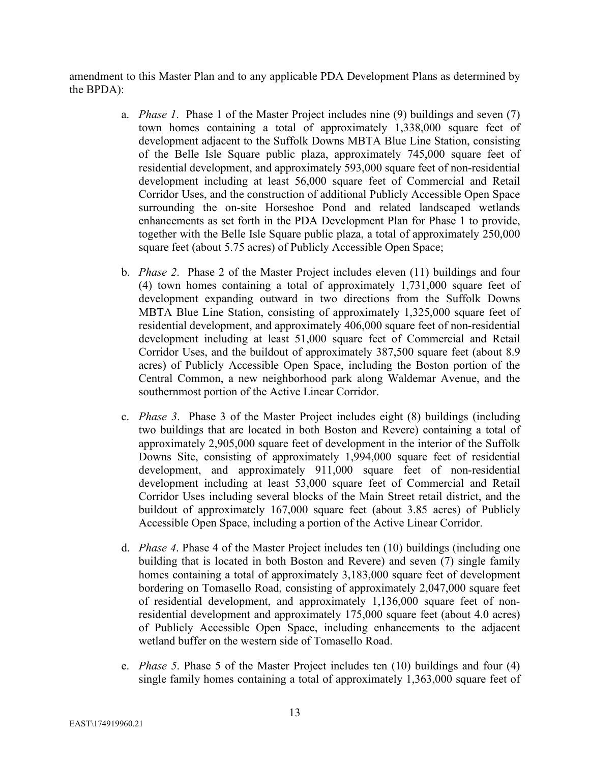amendment to this Master Plan and to any applicable PDA Development Plans as determined by the BPDA):

- a. *Phase 1*. Phase 1 of the Master Project includes nine (9) buildings and seven (7) town homes containing a total of approximately 1,338,000 square feet of development adjacent to the Suffolk Downs MBTA Blue Line Station, consisting of the Belle Isle Square public plaza, approximately 745,000 square feet of residential development, and approximately 593,000 square feet of non-residential development including at least 56,000 square feet of Commercial and Retail Corridor Uses, and the construction of additional Publicly Accessible Open Space surrounding the on-site Horseshoe Pond and related landscaped wetlands enhancements as set forth in the PDA Development Plan for Phase 1 to provide, together with the Belle Isle Square public plaza, a total of approximately 250,000 square feet (about 5.75 acres) of Publicly Accessible Open Space;
- b. *Phase 2*. Phase 2 of the Master Project includes eleven (11) buildings and four (4) town homes containing a total of approximately 1,731,000 square feet of development expanding outward in two directions from the Suffolk Downs MBTA Blue Line Station, consisting of approximately 1,325,000 square feet of residential development, and approximately 406,000 square feet of non-residential development including at least 51,000 square feet of Commercial and Retail Corridor Uses, and the buildout of approximately 387,500 square feet (about 8.9 acres) of Publicly Accessible Open Space, including the Boston portion of the Central Common, a new neighborhood park along Waldemar Avenue, and the southernmost portion of the Active Linear Corridor.
- c. *Phase 3*. Phase 3 of the Master Project includes eight (8) buildings (including two buildings that are located in both Boston and Revere) containing a total of approximately 2,905,000 square feet of development in the interior of the Suffolk Downs Site, consisting of approximately 1,994,000 square feet of residential development, and approximately 911,000 square feet of non-residential development including at least 53,000 square feet of Commercial and Retail Corridor Uses including several blocks of the Main Street retail district, and the buildout of approximately 167,000 square feet (about 3.85 acres) of Publicly Accessible Open Space, including a portion of the Active Linear Corridor.
- d. *Phase 4*. Phase 4 of the Master Project includes ten (10) buildings (including one building that is located in both Boston and Revere) and seven (7) single family homes containing a total of approximately 3,183,000 square feet of development bordering on Tomasello Road, consisting of approximately 2,047,000 square feet of residential development, and approximately 1,136,000 square feet of nonresidential development and approximately 175,000 square feet (about 4.0 acres) of Publicly Accessible Open Space, including enhancements to the adjacent wetland buffer on the western side of Tomasello Road.
- e. *Phase 5*. Phase 5 of the Master Project includes ten (10) buildings and four (4) single family homes containing a total of approximately 1,363,000 square feet of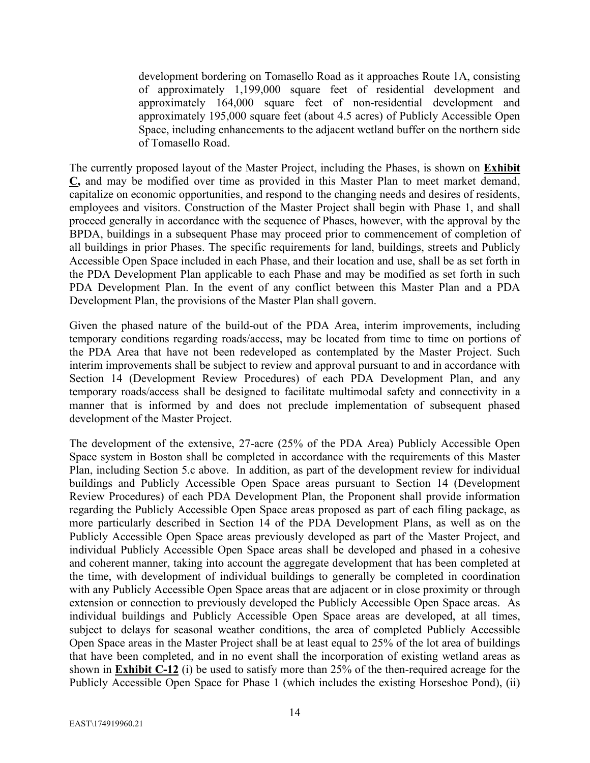development bordering on Tomasello Road as it approaches Route 1A, consisting of approximately 1,199,000 square feet of residential development and approximately 164,000 square feet of non-residential development and approximately 195,000 square feet (about 4.5 acres) of Publicly Accessible Open Space, including enhancements to the adjacent wetland buffer on the northern side of Tomasello Road.

The currently proposed layout of the Master Project, including the Phases, is shown on **Exhibit C,** and may be modified over time as provided in this Master Plan to meet market demand, capitalize on economic opportunities, and respond to the changing needs and desires of residents, employees and visitors. Construction of the Master Project shall begin with Phase 1, and shall proceed generally in accordance with the sequence of Phases, however, with the approval by the BPDA, buildings in a subsequent Phase may proceed prior to commencement of completion of all buildings in prior Phases. The specific requirements for land, buildings, streets and Publicly Accessible Open Space included in each Phase, and their location and use, shall be as set forth in the PDA Development Plan applicable to each Phase and may be modified as set forth in such PDA Development Plan. In the event of any conflict between this Master Plan and a PDA Development Plan, the provisions of the Master Plan shall govern.

Given the phased nature of the build-out of the PDA Area, interim improvements, including temporary conditions regarding roads/access, may be located from time to time on portions of the PDA Area that have not been redeveloped as contemplated by the Master Project. Such interim improvements shall be subject to review and approval pursuant to and in accordance with Section 14 (Development Review Procedures) of each PDA Development Plan, and any temporary roads/access shall be designed to facilitate multimodal safety and connectivity in a manner that is informed by and does not preclude implementation of subsequent phased development of the Master Project.

The development of the extensive, 27-acre (25% of the PDA Area) Publicly Accessible Open Space system in Boston shall be completed in accordance with the requirements of this Master Plan, including Section 5.c above. In addition, as part of the development review for individual buildings and Publicly Accessible Open Space areas pursuant to Section 14 (Development Review Procedures) of each PDA Development Plan, the Proponent shall provide information regarding the Publicly Accessible Open Space areas proposed as part of each filing package, as more particularly described in Section 14 of the PDA Development Plans, as well as on the Publicly Accessible Open Space areas previously developed as part of the Master Project, and individual Publicly Accessible Open Space areas shall be developed and phased in a cohesive and coherent manner, taking into account the aggregate development that has been completed at the time, with development of individual buildings to generally be completed in coordination with any Publicly Accessible Open Space areas that are adjacent or in close proximity or through extension or connection to previously developed the Publicly Accessible Open Space areas. As individual buildings and Publicly Accessible Open Space areas are developed, at all times, subject to delays for seasonal weather conditions, the area of completed Publicly Accessible Open Space areas in the Master Project shall be at least equal to 25% of the lot area of buildings that have been completed, and in no event shall the incorporation of existing wetland areas as shown in **Exhibit C-12** (i) be used to satisfy more than 25% of the then-required acreage for the Publicly Accessible Open Space for Phase 1 (which includes the existing Horseshoe Pond), (ii)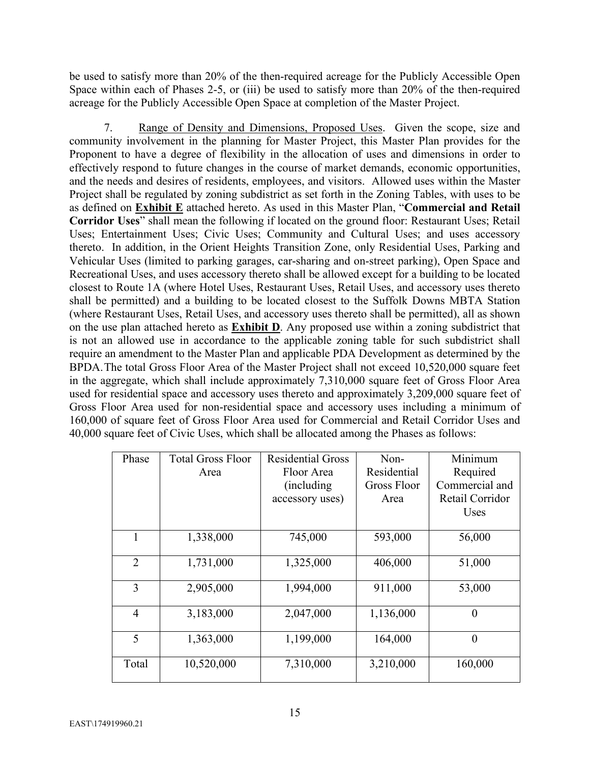be used to satisfy more than 20% of the then-required acreage for the Publicly Accessible Open Space within each of Phases 2-5, or (iii) be used to satisfy more than 20% of the then-required acreage for the Publicly Accessible Open Space at completion of the Master Project.

7. Range of Density and Dimensions, Proposed Uses. Given the scope, size and community involvement in the planning for Master Project, this Master Plan provides for the Proponent to have a degree of flexibility in the allocation of uses and dimensions in order to effectively respond to future changes in the course of market demands, economic opportunities, and the needs and desires of residents, employees, and visitors. Allowed uses within the Master Project shall be regulated by zoning subdistrict as set forth in the Zoning Tables, with uses to be as defined on **Exhibit E** attached hereto. As used in this Master Plan, "**Commercial and Retail Corridor Uses**" shall mean the following if located on the ground floor: Restaurant Uses; Retail Uses; Entertainment Uses; Civic Uses; Community and Cultural Uses; and uses accessory thereto. In addition, in the Orient Heights Transition Zone, only Residential Uses, Parking and Vehicular Uses (limited to parking garages, car-sharing and on-street parking), Open Space and Recreational Uses, and uses accessory thereto shall be allowed except for a building to be located closest to Route 1A (where Hotel Uses, Restaurant Uses, Retail Uses, and accessory uses thereto shall be permitted) and a building to be located closest to the Suffolk Downs MBTA Station (where Restaurant Uses, Retail Uses, and accessory uses thereto shall be permitted), all as shown on the use plan attached hereto as **Exhibit D**. Any proposed use within a zoning subdistrict that is not an allowed use in accordance to the applicable zoning table for such subdistrict shall require an amendment to the Master Plan and applicable PDA Development as determined by the BPDA.The total Gross Floor Area of the Master Project shall not exceed 10,520,000 square feet in the aggregate, which shall include approximately 7,310,000 square feet of Gross Floor Area used for residential space and accessory uses thereto and approximately 3,209,000 square feet of Gross Floor Area used for non-residential space and accessory uses including a minimum of 160,000 of square feet of Gross Floor Area used for Commercial and Retail Corridor Uses and 40,000 square feet of Civic Uses, which shall be allocated among the Phases as follows:

| Phase          | <b>Total Gross Floor</b> | <b>Residential Gross</b> | $Non-$      | Minimum         |
|----------------|--------------------------|--------------------------|-------------|-----------------|
|                | Area                     | Floor Area               | Residential | Required        |
|                |                          | (including)              | Gross Floor | Commercial and  |
|                |                          | accessory uses)          | Area        | Retail Corridor |
|                |                          |                          |             | Uses            |
|                |                          |                          |             |                 |
| $\mathbf{1}$   | 1,338,000                | 745,000                  | 593,000     | 56,000          |
|                |                          |                          |             |                 |
| $\overline{2}$ | 1,731,000                | 1,325,000                | 406,000     | 51,000          |
|                |                          |                          |             |                 |
| 3              | 2,905,000                | 1,994,000                | 911,000     | 53,000          |
|                |                          |                          |             |                 |
| $\overline{4}$ | 3,183,000                | 2,047,000                | 1,136,000   | $\theta$        |
|                |                          |                          |             |                 |
| 5              | 1,363,000                | 1,199,000                | 164,000     | $\theta$        |
|                |                          |                          |             |                 |
| Total          | 10,520,000               | 7,310,000                | 3,210,000   | 160,000         |
|                |                          |                          |             |                 |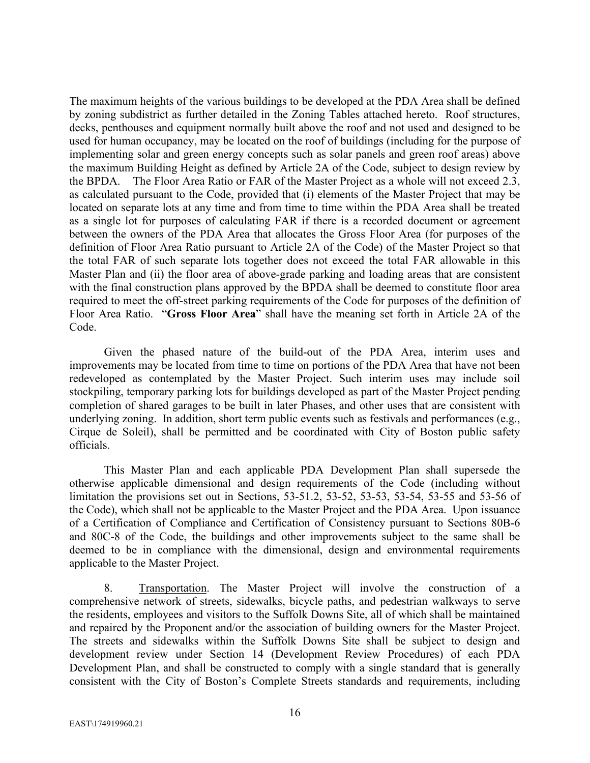The maximum heights of the various buildings to be developed at the PDA Area shall be defined by zoning subdistrict as further detailed in the Zoning Tables attached hereto. Roof structures, decks, penthouses and equipment normally built above the roof and not used and designed to be used for human occupancy, may be located on the roof of buildings (including for the purpose of implementing solar and green energy concepts such as solar panels and green roof areas) above the maximum Building Height as defined by Article 2A of the Code, subject to design review by the BPDA. The Floor Area Ratio or FAR of the Master Project as a whole will not exceed 2.3, as calculated pursuant to the Code, provided that (i) elements of the Master Project that may be located on separate lots at any time and from time to time within the PDA Area shall be treated as a single lot for purposes of calculating FAR if there is a recorded document or agreement between the owners of the PDA Area that allocates the Gross Floor Area (for purposes of the definition of Floor Area Ratio pursuant to Article 2A of the Code) of the Master Project so that the total FAR of such separate lots together does not exceed the total FAR allowable in this Master Plan and (ii) the floor area of above-grade parking and loading areas that are consistent with the final construction plans approved by the BPDA shall be deemed to constitute floor area required to meet the off-street parking requirements of the Code for purposes of the definition of Floor Area Ratio. "**Gross Floor Area**" shall have the meaning set forth in Article 2A of the Code.

Given the phased nature of the build-out of the PDA Area, interim uses and improvements may be located from time to time on portions of the PDA Area that have not been redeveloped as contemplated by the Master Project. Such interim uses may include soil stockpiling, temporary parking lots for buildings developed as part of the Master Project pending completion of shared garages to be built in later Phases, and other uses that are consistent with underlying zoning. In addition, short term public events such as festivals and performances (e.g., Cirque de Soleil), shall be permitted and be coordinated with City of Boston public safety officials.

This Master Plan and each applicable PDA Development Plan shall supersede the otherwise applicable dimensional and design requirements of the Code (including without limitation the provisions set out in Sections, 53-51.2, 53-52, 53-53, 53-54, 53-55 and 53-56 of the Code), which shall not be applicable to the Master Project and the PDA Area. Upon issuance of a Certification of Compliance and Certification of Consistency pursuant to Sections 80B-6 and 80C-8 of the Code, the buildings and other improvements subject to the same shall be deemed to be in compliance with the dimensional, design and environmental requirements applicable to the Master Project.

8. Transportation. The Master Project will involve the construction of a comprehensive network of streets, sidewalks, bicycle paths, and pedestrian walkways to serve the residents, employees and visitors to the Suffolk Downs Site, all of which shall be maintained and repaired by the Proponent and/or the association of building owners for the Master Project. The streets and sidewalks within the Suffolk Downs Site shall be subject to design and development review under Section 14 (Development Review Procedures) of each PDA Development Plan, and shall be constructed to comply with a single standard that is generally consistent with the City of Boston's Complete Streets standards and requirements, including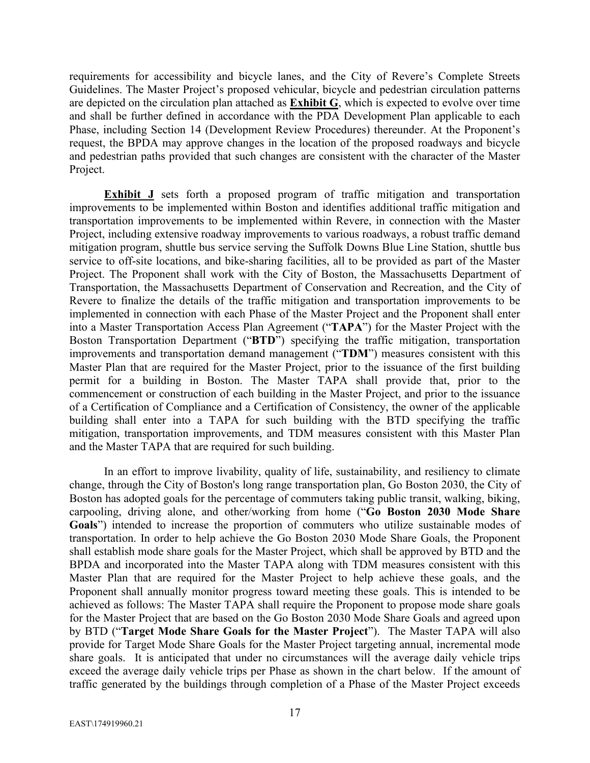requirements for accessibility and bicycle lanes, and the City of Revere's Complete Streets Guidelines. The Master Project's proposed vehicular, bicycle and pedestrian circulation patterns are depicted on the circulation plan attached as **Exhibit G**, which is expected to evolve over time and shall be further defined in accordance with the PDA Development Plan applicable to each Phase, including Section 14 (Development Review Procedures) thereunder. At the Proponent's request, the BPDA may approve changes in the location of the proposed roadways and bicycle and pedestrian paths provided that such changes are consistent with the character of the Master Project.

**Exhibit J** sets forth a proposed program of traffic mitigation and transportation improvements to be implemented within Boston and identifies additional traffic mitigation and transportation improvements to be implemented within Revere, in connection with the Master Project, including extensive roadway improvements to various roadways, a robust traffic demand mitigation program, shuttle bus service serving the Suffolk Downs Blue Line Station, shuttle bus service to off-site locations, and bike-sharing facilities, all to be provided as part of the Master Project. The Proponent shall work with the City of Boston, the Massachusetts Department of Transportation, the Massachusetts Department of Conservation and Recreation, and the City of Revere to finalize the details of the traffic mitigation and transportation improvements to be implemented in connection with each Phase of the Master Project and the Proponent shall enter into a Master Transportation Access Plan Agreement ("**TAPA**") for the Master Project with the Boston Transportation Department ("**BTD**") specifying the traffic mitigation, transportation improvements and transportation demand management ("**TDM**") measures consistent with this Master Plan that are required for the Master Project, prior to the issuance of the first building permit for a building in Boston. The Master TAPA shall provide that, prior to the commencement or construction of each building in the Master Project, and prior to the issuance of a Certification of Compliance and a Certification of Consistency, the owner of the applicable building shall enter into a TAPA for such building with the BTD specifying the traffic mitigation, transportation improvements, and TDM measures consistent with this Master Plan and the Master TAPA that are required for such building.

In an effort to improve livability, quality of life, sustainability, and resiliency to climate change, through the City of Boston's long range transportation plan, Go Boston 2030, the City of Boston has adopted goals for the percentage of commuters taking public transit, walking, biking, carpooling, driving alone, and other/working from home ("**Go Boston 2030 Mode Share Goals**") intended to increase the proportion of commuters who utilize sustainable modes of transportation. In order to help achieve the Go Boston 2030 Mode Share Goals, the Proponent shall establish mode share goals for the Master Project, which shall be approved by BTD and the BPDA and incorporated into the Master TAPA along with TDM measures consistent with this Master Plan that are required for the Master Project to help achieve these goals, and the Proponent shall annually monitor progress toward meeting these goals. This is intended to be achieved as follows: The Master TAPA shall require the Proponent to propose mode share goals for the Master Project that are based on the Go Boston 2030 Mode Share Goals and agreed upon by BTD ("**Target Mode Share Goals for the Master Project**"). The Master TAPA will also provide for Target Mode Share Goals for the Master Project targeting annual, incremental mode share goals. It is anticipated that under no circumstances will the average daily vehicle trips exceed the average daily vehicle trips per Phase as shown in the chart below. If the amount of traffic generated by the buildings through completion of a Phase of the Master Project exceeds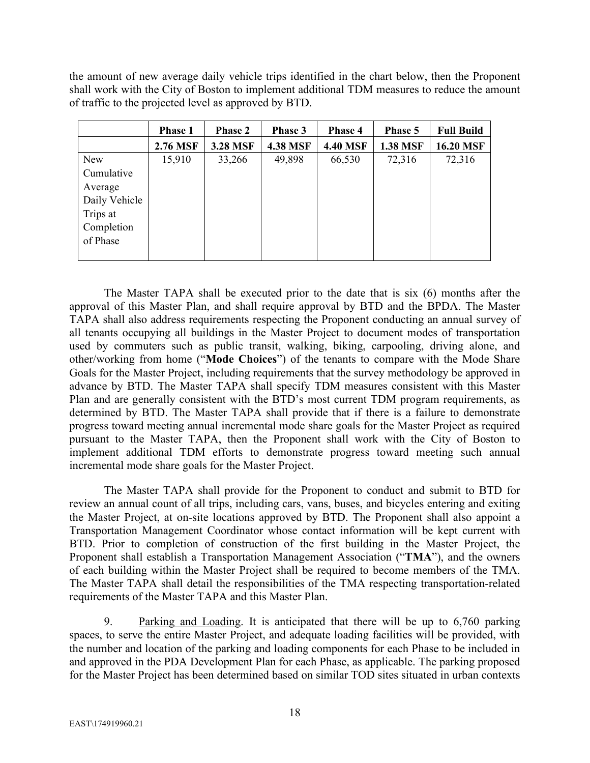the amount of new average daily vehicle trips identified in the chart below, then the Proponent shall work with the City of Boston to implement additional TDM measures to reduce the amount of traffic to the projected level as approved by BTD.

|               | <b>Phase 1</b> | <b>Phase 2</b>  | Phase 3         | Phase 4         | Phase 5         | <b>Full Build</b> |
|---------------|----------------|-----------------|-----------------|-----------------|-----------------|-------------------|
|               | 2.76 MSF       | <b>3.28 MSF</b> | <b>4.38 MSF</b> | <b>4.40 MSF</b> | <b>1.38 MSF</b> | <b>16.20 MSF</b>  |
| <b>New</b>    | 15,910         | 33,266          | 49,898          | 66,530          | 72,316          | 72,316            |
| Cumulative    |                |                 |                 |                 |                 |                   |
| Average       |                |                 |                 |                 |                 |                   |
| Daily Vehicle |                |                 |                 |                 |                 |                   |
| Trips at      |                |                 |                 |                 |                 |                   |
| Completion    |                |                 |                 |                 |                 |                   |
| of Phase      |                |                 |                 |                 |                 |                   |
|               |                |                 |                 |                 |                 |                   |

The Master TAPA shall be executed prior to the date that is six (6) months after the approval of this Master Plan, and shall require approval by BTD and the BPDA. The Master TAPA shall also address requirements respecting the Proponent conducting an annual survey of all tenants occupying all buildings in the Master Project to document modes of transportation used by commuters such as public transit, walking, biking, carpooling, driving alone, and other/working from home ("**Mode Choices**") of the tenants to compare with the Mode Share Goals for the Master Project, including requirements that the survey methodology be approved in advance by BTD. The Master TAPA shall specify TDM measures consistent with this Master Plan and are generally consistent with the BTD's most current TDM program requirements, as determined by BTD. The Master TAPA shall provide that if there is a failure to demonstrate progress toward meeting annual incremental mode share goals for the Master Project as required pursuant to the Master TAPA, then the Proponent shall work with the City of Boston to implement additional TDM efforts to demonstrate progress toward meeting such annual incremental mode share goals for the Master Project.

The Master TAPA shall provide for the Proponent to conduct and submit to BTD for review an annual count of all trips, including cars, vans, buses, and bicycles entering and exiting the Master Project, at on-site locations approved by BTD. The Proponent shall also appoint a Transportation Management Coordinator whose contact information will be kept current with BTD. Prior to completion of construction of the first building in the Master Project, the Proponent shall establish a Transportation Management Association ("**TMA**"), and the owners of each building within the Master Project shall be required to become members of the TMA. The Master TAPA shall detail the responsibilities of the TMA respecting transportation-related requirements of the Master TAPA and this Master Plan.

9. Parking and Loading. It is anticipated that there will be up to 6,760 parking spaces, to serve the entire Master Project, and adequate loading facilities will be provided, with the number and location of the parking and loading components for each Phase to be included in and approved in the PDA Development Plan for each Phase, as applicable. The parking proposed for the Master Project has been determined based on similar TOD sites situated in urban contexts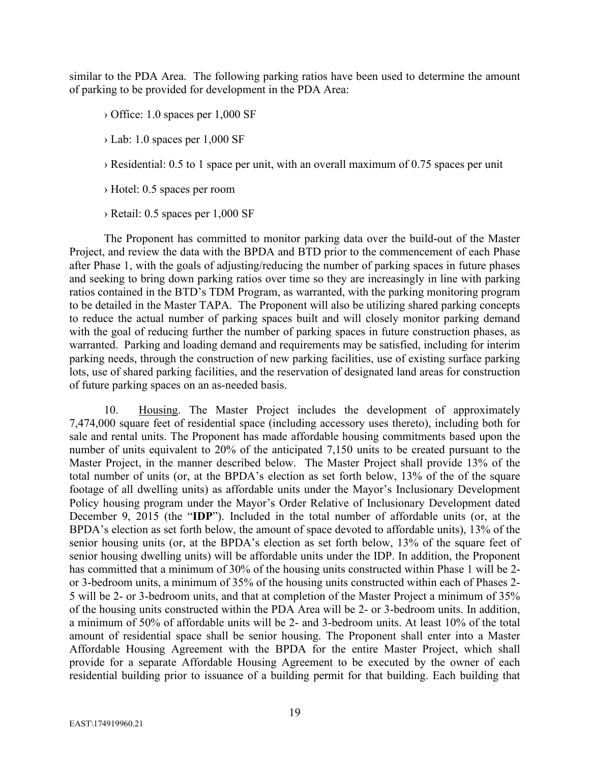similar to the PDA Area. The following parking ratios have been used to determine the amount of parking to be provided for development in the PDA Area:

- › Office: 1.0 spaces per 1,000 SF
- › Lab: 1.0 spaces per 1,000 SF
- › Residential: 0.5 to 1 space per unit, with an overall maximum of 0.75 spaces per unit
- › Hotel: 0.5 spaces per room
- › Retail: 0.5 spaces per 1,000 SF

The Proponent has committed to monitor parking data over the build-out of the Master Project, and review the data with the BPDA and BTD prior to the commencement of each Phase after Phase 1, with the goals of adjusting/reducing the number of parking spaces in future phases and seeking to bring down parking ratios over time so they are increasingly in line with parking ratios contained in the BTD's TDM Program, as warranted, with the parking monitoring program to be detailed in the Master TAPA. The Proponent will also be utilizing shared parking concepts to reduce the actual number of parking spaces built and will closely monitor parking demand with the goal of reducing further the number of parking spaces in future construction phases, as warranted. Parking and loading demand and requirements may be satisfied, including for interim parking needs, through the construction of new parking facilities, use of existing surface parking lots, use of shared parking facilities, and the reservation of designated land areas for construction of future parking spaces on an as-needed basis.

10. Housing. The Master Project includes the development of approximately 7,474,000 square feet of residential space (including accessory uses thereto), including both for sale and rental units. The Proponent has made affordable housing commitments based upon the number of units equivalent to 20% of the anticipated 7,150 units to be created pursuant to the Master Project, in the manner described below. The Master Project shall provide 13% of the total number of units (or, at the BPDA's election as set forth below, 13% of the of the square footage of all dwelling units) as affordable units under the Mayor's Inclusionary Development Policy housing program under the Mayor's Order Relative of Inclusionary Development dated December 9, 2015 (the "**IDP**"). Included in the total number of affordable units (or, at the BPDA's election as set forth below, the amount of space devoted to affordable units), 13% of the senior housing units (or, at the BPDA's election as set forth below, 13% of the square feet of senior housing dwelling units) will be affordable units under the IDP. In addition, the Proponent has committed that a minimum of 30% of the housing units constructed within Phase 1 will be 2 or 3-bedroom units, a minimum of 35% of the housing units constructed within each of Phases 2- 5 will be 2- or 3-bedroom units, and that at completion of the Master Project a minimum of 35% of the housing units constructed within the PDA Area will be 2- or 3-bedroom units. In addition, a minimum of 50% of affordable units will be 2- and 3-bedroom units. At least 10% of the total amount of residential space shall be senior housing. The Proponent shall enter into a Master Affordable Housing Agreement with the BPDA for the entire Master Project, which shall provide for a separate Affordable Housing Agreement to be executed by the owner of each residential building prior to issuance of a building permit for that building. Each building that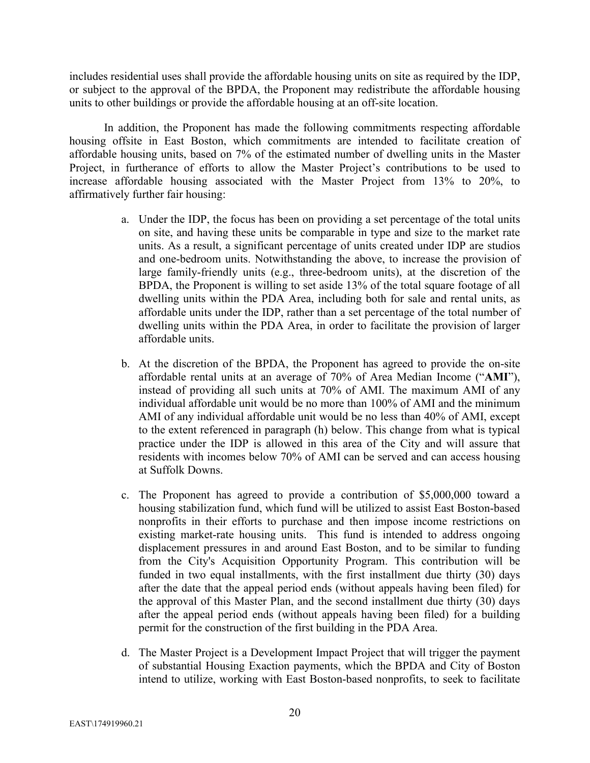includes residential uses shall provide the affordable housing units on site as required by the IDP, or subject to the approval of the BPDA, the Proponent may redistribute the affordable housing units to other buildings or provide the affordable housing at an off-site location.

In addition, the Proponent has made the following commitments respecting affordable housing offsite in East Boston, which commitments are intended to facilitate creation of affordable housing units, based on 7% of the estimated number of dwelling units in the Master Project, in furtherance of efforts to allow the Master Project's contributions to be used to increase affordable housing associated with the Master Project from 13% to 20%, to affirmatively further fair housing:

- a. Under the IDP, the focus has been on providing a set percentage of the total units on site, and having these units be comparable in type and size to the market rate units. As a result, a significant percentage of units created under IDP are studios and one-bedroom units. Notwithstanding the above, to increase the provision of large family-friendly units (e.g., three-bedroom units), at the discretion of the BPDA, the Proponent is willing to set aside 13% of the total square footage of all dwelling units within the PDA Area, including both for sale and rental units, as affordable units under the IDP, rather than a set percentage of the total number of dwelling units within the PDA Area, in order to facilitate the provision of larger affordable units.
- b. At the discretion of the BPDA, the Proponent has agreed to provide the on-site affordable rental units at an average of 70% of Area Median Income ("**AMI**"), instead of providing all such units at 70% of AMI. The maximum AMI of any individual affordable unit would be no more than 100% of AMI and the minimum AMI of any individual affordable unit would be no less than 40% of AMI, except to the extent referenced in paragraph (h) below. This change from what is typical practice under the IDP is allowed in this area of the City and will assure that residents with incomes below 70% of AMI can be served and can access housing at Suffolk Downs.
- c. The Proponent has agreed to provide a contribution of \$5,000,000 toward a housing stabilization fund, which fund will be utilized to assist East Boston-based nonprofits in their efforts to purchase and then impose income restrictions on existing market-rate housing units. This fund is intended to address ongoing displacement pressures in and around East Boston, and to be similar to funding from the City's Acquisition Opportunity Program. This contribution will be funded in two equal installments, with the first installment due thirty (30) days after the date that the appeal period ends (without appeals having been filed) for the approval of this Master Plan, and the second installment due thirty (30) days after the appeal period ends (without appeals having been filed) for a building permit for the construction of the first building in the PDA Area.
- d. The Master Project is a Development Impact Project that will trigger the payment of substantial Housing Exaction payments, which the BPDA and City of Boston intend to utilize, working with East Boston-based nonprofits, to seek to facilitate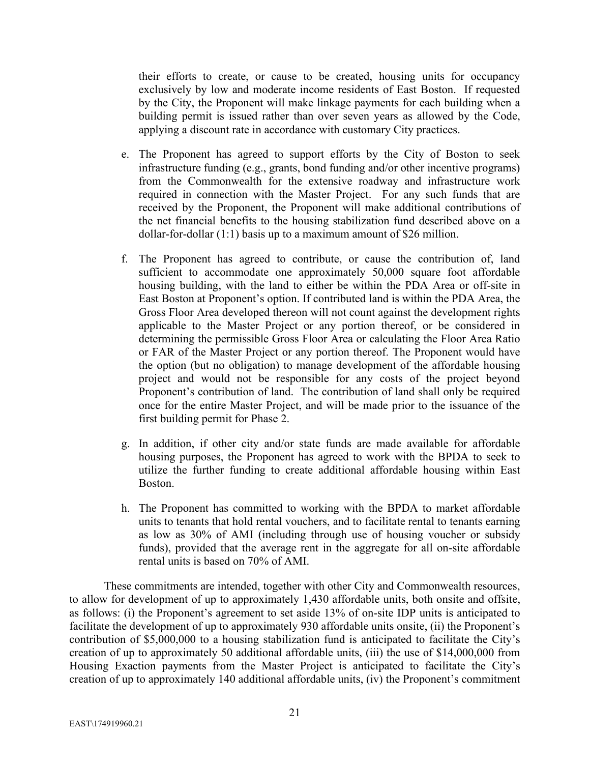their efforts to create, or cause to be created, housing units for occupancy exclusively by low and moderate income residents of East Boston. If requested by the City, the Proponent will make linkage payments for each building when a building permit is issued rather than over seven years as allowed by the Code, applying a discount rate in accordance with customary City practices.

- e. The Proponent has agreed to support efforts by the City of Boston to seek infrastructure funding (e.g., grants, bond funding and/or other incentive programs) from the Commonwealth for the extensive roadway and infrastructure work required in connection with the Master Project. For any such funds that are received by the Proponent, the Proponent will make additional contributions of the net financial benefits to the housing stabilization fund described above on a dollar-for-dollar (1:1) basis up to a maximum amount of \$26 million.
- f. The Proponent has agreed to contribute, or cause the contribution of, land sufficient to accommodate one approximately 50,000 square foot affordable housing building, with the land to either be within the PDA Area or off-site in East Boston at Proponent's option. If contributed land is within the PDA Area, the Gross Floor Area developed thereon will not count against the development rights applicable to the Master Project or any portion thereof, or be considered in determining the permissible Gross Floor Area or calculating the Floor Area Ratio or FAR of the Master Project or any portion thereof. The Proponent would have the option (but no obligation) to manage development of the affordable housing project and would not be responsible for any costs of the project beyond Proponent's contribution of land. The contribution of land shall only be required once for the entire Master Project, and will be made prior to the issuance of the first building permit for Phase 2.
- g. In addition, if other city and/or state funds are made available for affordable housing purposes, the Proponent has agreed to work with the BPDA to seek to utilize the further funding to create additional affordable housing within East Boston.
- h. The Proponent has committed to working with the BPDA to market affordable units to tenants that hold rental vouchers, and to facilitate rental to tenants earning as low as 30% of AMI (including through use of housing voucher or subsidy funds), provided that the average rent in the aggregate for all on-site affordable rental units is based on 70% of AMI.

These commitments are intended, together with other City and Commonwealth resources, to allow for development of up to approximately 1,430 affordable units, both onsite and offsite, as follows: (i) the Proponent's agreement to set aside 13% of on-site IDP units is anticipated to facilitate the development of up to approximately 930 affordable units onsite, (ii) the Proponent's contribution of \$5,000,000 to a housing stabilization fund is anticipated to facilitate the City's creation of up to approximately 50 additional affordable units, (iii) the use of \$14,000,000 from Housing Exaction payments from the Master Project is anticipated to facilitate the City's creation of up to approximately 140 additional affordable units, (iv) the Proponent's commitment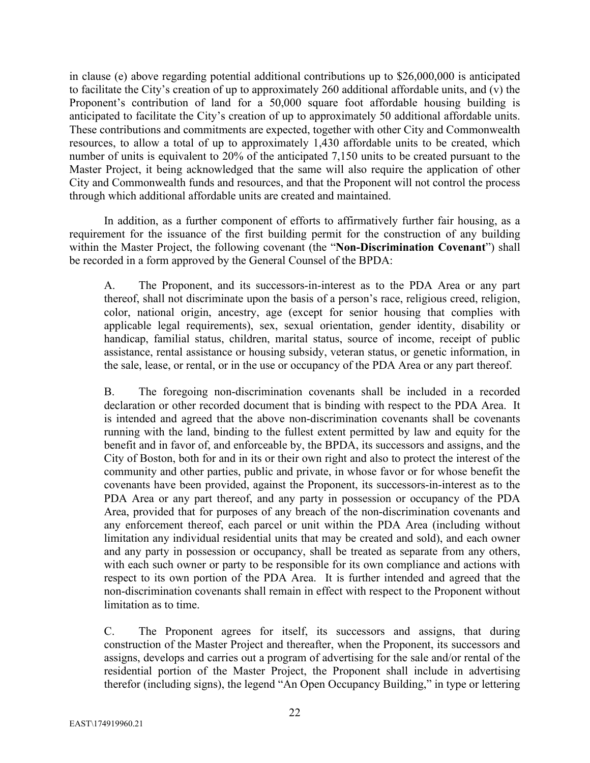in clause (e) above regarding potential additional contributions up to \$26,000,000 is anticipated to facilitate the City's creation of up to approximately 260 additional affordable units, and (v) the Proponent's contribution of land for a 50,000 square foot affordable housing building is anticipated to facilitate the City's creation of up to approximately 50 additional affordable units. These contributions and commitments are expected, together with other City and Commonwealth resources, to allow a total of up to approximately 1,430 affordable units to be created, which number of units is equivalent to 20% of the anticipated 7,150 units to be created pursuant to the Master Project, it being acknowledged that the same will also require the application of other City and Commonwealth funds and resources, and that the Proponent will not control the process through which additional affordable units are created and maintained.

In addition, as a further component of efforts to affirmatively further fair housing, as a requirement for the issuance of the first building permit for the construction of any building within the Master Project, the following covenant (the "**Non-Discrimination Covenant**") shall be recorded in a form approved by the General Counsel of the BPDA:

A. The Proponent, and its successors-in-interest as to the PDA Area or any part thereof, shall not discriminate upon the basis of a person's race, religious creed, religion, color, national origin, ancestry, age (except for senior housing that complies with applicable legal requirements), sex, sexual orientation, gender identity, disability or handicap, familial status, children, marital status, source of income, receipt of public assistance, rental assistance or housing subsidy, veteran status, or genetic information, in the sale, lease, or rental, or in the use or occupancy of the PDA Area or any part thereof.

B. The foregoing non-discrimination covenants shall be included in a recorded declaration or other recorded document that is binding with respect to the PDA Area. It is intended and agreed that the above non-discrimination covenants shall be covenants running with the land, binding to the fullest extent permitted by law and equity for the benefit and in favor of, and enforceable by, the BPDA, its successors and assigns, and the City of Boston, both for and in its or their own right and also to protect the interest of the community and other parties, public and private, in whose favor or for whose benefit the covenants have been provided, against the Proponent, its successors-in-interest as to the PDA Area or any part thereof, and any party in possession or occupancy of the PDA Area, provided that for purposes of any breach of the non-discrimination covenants and any enforcement thereof, each parcel or unit within the PDA Area (including without limitation any individual residential units that may be created and sold), and each owner and any party in possession or occupancy, shall be treated as separate from any others, with each such owner or party to be responsible for its own compliance and actions with respect to its own portion of the PDA Area. It is further intended and agreed that the non-discrimination covenants shall remain in effect with respect to the Proponent without limitation as to time.

C. The Proponent agrees for itself, its successors and assigns, that during construction of the Master Project and thereafter, when the Proponent, its successors and assigns, develops and carries out a program of advertising for the sale and/or rental of the residential portion of the Master Project, the Proponent shall include in advertising therefor (including signs), the legend "An Open Occupancy Building," in type or lettering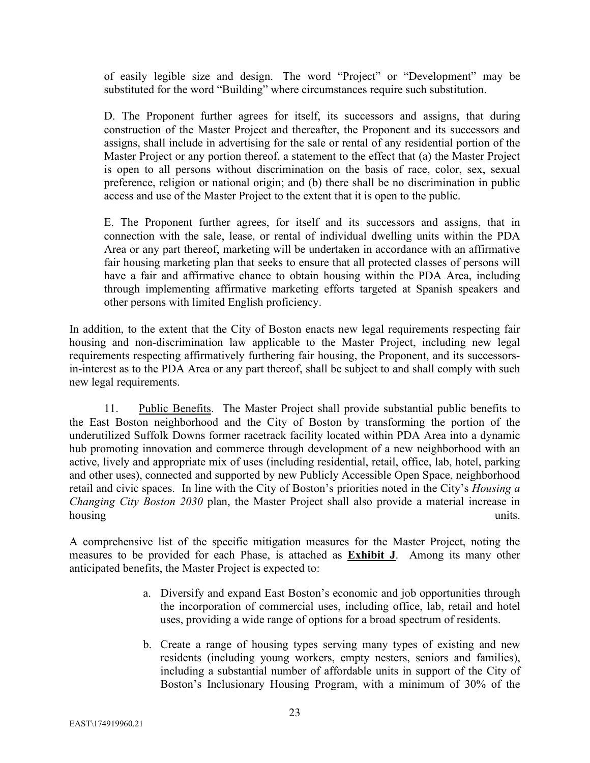of easily legible size and design. The word "Project" or "Development" may be substituted for the word "Building" where circumstances require such substitution.

D. The Proponent further agrees for itself, its successors and assigns, that during construction of the Master Project and thereafter, the Proponent and its successors and assigns, shall include in advertising for the sale or rental of any residential portion of the Master Project or any portion thereof, a statement to the effect that (a) the Master Project is open to all persons without discrimination on the basis of race, color, sex, sexual preference, religion or national origin; and (b) there shall be no discrimination in public access and use of the Master Project to the extent that it is open to the public.

E. The Proponent further agrees, for itself and its successors and assigns, that in connection with the sale, lease, or rental of individual dwelling units within the PDA Area or any part thereof, marketing will be undertaken in accordance with an affirmative fair housing marketing plan that seeks to ensure that all protected classes of persons will have a fair and affirmative chance to obtain housing within the PDA Area, including through implementing affirmative marketing efforts targeted at Spanish speakers and other persons with limited English proficiency.

In addition, to the extent that the City of Boston enacts new legal requirements respecting fair housing and non-discrimination law applicable to the Master Project, including new legal requirements respecting affirmatively furthering fair housing, the Proponent, and its successorsin-interest as to the PDA Area or any part thereof, shall be subject to and shall comply with such new legal requirements.

11. Public Benefits. The Master Project shall provide substantial public benefits to the East Boston neighborhood and the City of Boston by transforming the portion of the underutilized Suffolk Downs former racetrack facility located within PDA Area into a dynamic hub promoting innovation and commerce through development of a new neighborhood with an active, lively and appropriate mix of uses (including residential, retail, office, lab, hotel, parking and other uses), connected and supported by new Publicly Accessible Open Space, neighborhood retail and civic spaces. In line with the City of Boston's priorities noted in the City's *Housing a Changing City Boston 2030* plan, the Master Project shall also provide a material increase in housing units.

A comprehensive list of the specific mitigation measures for the Master Project, noting the measures to be provided for each Phase, is attached as **Exhibit J**. Among its many other anticipated benefits, the Master Project is expected to:

- a. Diversify and expand East Boston's economic and job opportunities through the incorporation of commercial uses, including office, lab, retail and hotel uses, providing a wide range of options for a broad spectrum of residents.
- b. Create a range of housing types serving many types of existing and new residents (including young workers, empty nesters, seniors and families), including a substantial number of affordable units in support of the City of Boston's Inclusionary Housing Program, with a minimum of 30% of the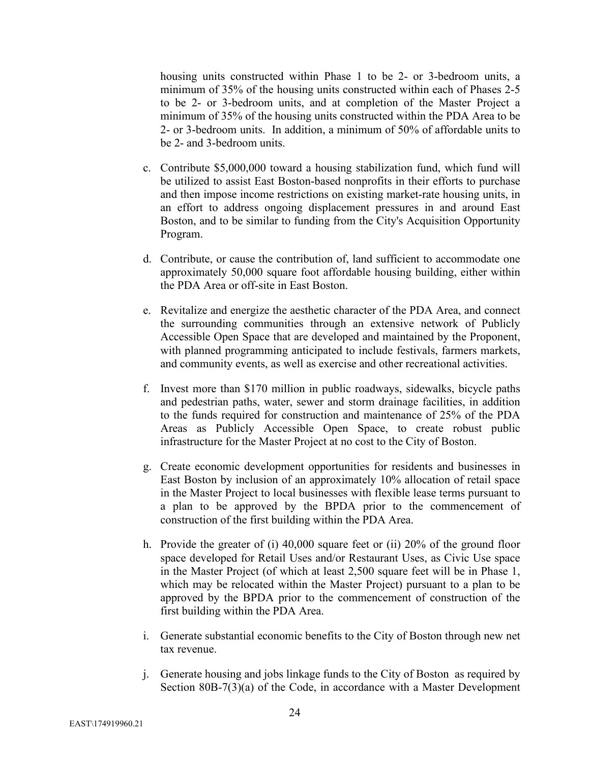housing units constructed within Phase 1 to be 2- or 3-bedroom units, a minimum of 35% of the housing units constructed within each of Phases 2-5 to be 2- or 3-bedroom units, and at completion of the Master Project a minimum of 35% of the housing units constructed within the PDA Area to be 2- or 3-bedroom units. In addition, a minimum of 50% of affordable units to be 2- and 3-bedroom units.

- c. Contribute \$5,000,000 toward a housing stabilization fund, which fund will be utilized to assist East Boston-based nonprofits in their efforts to purchase and then impose income restrictions on existing market-rate housing units, in an effort to address ongoing displacement pressures in and around East Boston, and to be similar to funding from the City's Acquisition Opportunity Program.
- d. Contribute, or cause the contribution of, land sufficient to accommodate one approximately 50,000 square foot affordable housing building, either within the PDA Area or off-site in East Boston.
- e. Revitalize and energize the aesthetic character of the PDA Area, and connect the surrounding communities through an extensive network of Publicly Accessible Open Space that are developed and maintained by the Proponent, with planned programming anticipated to include festivals, farmers markets, and community events, as well as exercise and other recreational activities.
- f. Invest more than \$170 million in public roadways, sidewalks, bicycle paths and pedestrian paths, water, sewer and storm drainage facilities, in addition to the funds required for construction and maintenance of 25% of the PDA Areas as Publicly Accessible Open Space, to create robust public infrastructure for the Master Project at no cost to the City of Boston.
- g. Create economic development opportunities for residents and businesses in East Boston by inclusion of an approximately 10% allocation of retail space in the Master Project to local businesses with flexible lease terms pursuant to a plan to be approved by the BPDA prior to the commencement of construction of the first building within the PDA Area.
- h. Provide the greater of (i) 40,000 square feet or (ii) 20% of the ground floor space developed for Retail Uses and/or Restaurant Uses, as Civic Use space in the Master Project (of which at least 2,500 square feet will be in Phase 1, which may be relocated within the Master Project) pursuant to a plan to be approved by the BPDA prior to the commencement of construction of the first building within the PDA Area.
- i. Generate substantial economic benefits to the City of Boston through new net tax revenue.
- j. Generate housing and jobs linkage funds to the City of Boston as required by Section 80B-7(3)(a) of the Code, in accordance with a Master Development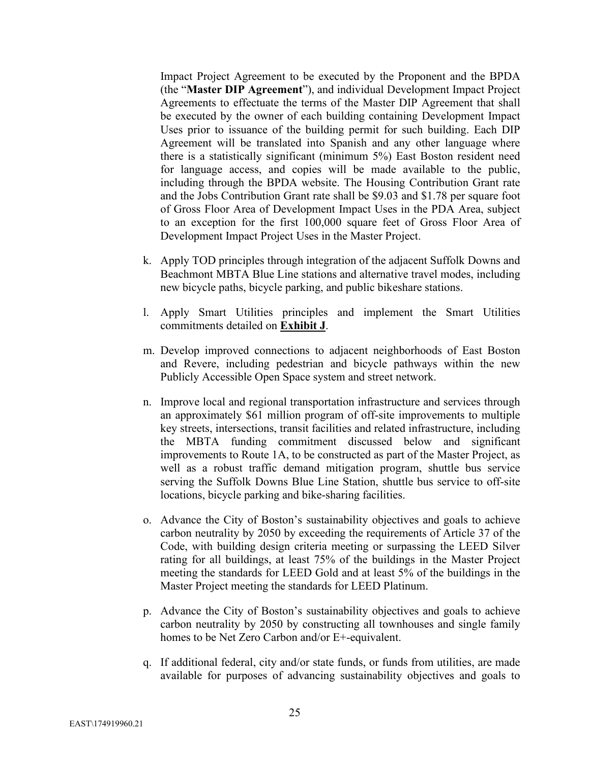Impact Project Agreement to be executed by the Proponent and the BPDA (the "**Master DIP Agreement**"), and individual Development Impact Project Agreements to effectuate the terms of the Master DIP Agreement that shall be executed by the owner of each building containing Development Impact Uses prior to issuance of the building permit for such building. Each DIP Agreement will be translated into Spanish and any other language where there is a statistically significant (minimum 5%) East Boston resident need for language access, and copies will be made available to the public, including through the BPDA website. The Housing Contribution Grant rate and the Jobs Contribution Grant rate shall be \$9.03 and \$1.78 per square foot of Gross Floor Area of Development Impact Uses in the PDA Area, subject to an exception for the first 100,000 square feet of Gross Floor Area of Development Impact Project Uses in the Master Project.

- k. Apply TOD principles through integration of the adjacent Suffolk Downs and Beachmont MBTA Blue Line stations and alternative travel modes, including new bicycle paths, bicycle parking, and public bikeshare stations.
- l. Apply Smart Utilities principles and implement the Smart Utilities commitments detailed on **Exhibit J**.
- m. Develop improved connections to adjacent neighborhoods of East Boston and Revere, including pedestrian and bicycle pathways within the new Publicly Accessible Open Space system and street network.
- n. Improve local and regional transportation infrastructure and services through an approximately \$61 million program of off-site improvements to multiple key streets, intersections, transit facilities and related infrastructure, including the MBTA funding commitment discussed below and significant improvements to Route 1A, to be constructed as part of the Master Project, as well as a robust traffic demand mitigation program, shuttle bus service serving the Suffolk Downs Blue Line Station, shuttle bus service to off-site locations, bicycle parking and bike-sharing facilities.
- o. Advance the City of Boston's sustainability objectives and goals to achieve carbon neutrality by 2050 by exceeding the requirements of Article 37 of the Code, with building design criteria meeting or surpassing the LEED Silver rating for all buildings, at least 75% of the buildings in the Master Project meeting the standards for LEED Gold and at least 5% of the buildings in the Master Project meeting the standards for LEED Platinum.
- p. Advance the City of Boston's sustainability objectives and goals to achieve carbon neutrality by 2050 by constructing all townhouses and single family homes to be Net Zero Carbon and/or E+-equivalent.
- q. If additional federal, city and/or state funds, or funds from utilities, are made available for purposes of advancing sustainability objectives and goals to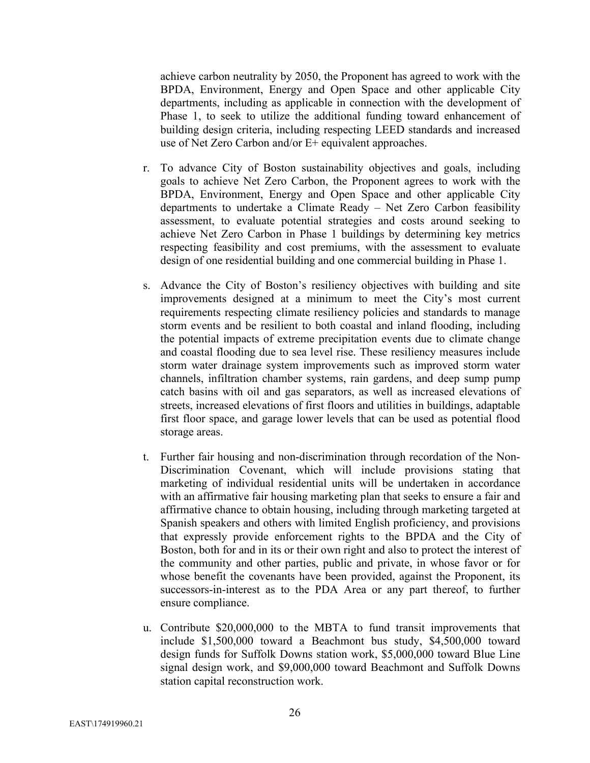achieve carbon neutrality by 2050, the Proponent has agreed to work with the BPDA, Environment, Energy and Open Space and other applicable City departments, including as applicable in connection with the development of Phase 1, to seek to utilize the additional funding toward enhancement of building design criteria, including respecting LEED standards and increased use of Net Zero Carbon and/or E+ equivalent approaches.

- r. To advance City of Boston sustainability objectives and goals, including goals to achieve Net Zero Carbon, the Proponent agrees to work with the BPDA, Environment, Energy and Open Space and other applicable City departments to undertake a Climate Ready – Net Zero Carbon feasibility assessment, to evaluate potential strategies and costs around seeking to achieve Net Zero Carbon in Phase 1 buildings by determining key metrics respecting feasibility and cost premiums, with the assessment to evaluate design of one residential building and one commercial building in Phase 1.
- s. Advance the City of Boston's resiliency objectives with building and site improvements designed at a minimum to meet the City's most current requirements respecting climate resiliency policies and standards to manage storm events and be resilient to both coastal and inland flooding, including the potential impacts of extreme precipitation events due to climate change and coastal flooding due to sea level rise. These resiliency measures include storm water drainage system improvements such as improved storm water channels, infiltration chamber systems, rain gardens, and deep sump pump catch basins with oil and gas separators, as well as increased elevations of streets, increased elevations of first floors and utilities in buildings, adaptable first floor space, and garage lower levels that can be used as potential flood storage areas.
- t. Further fair housing and non-discrimination through recordation of the Non-Discrimination Covenant, which will include provisions stating that marketing of individual residential units will be undertaken in accordance with an affirmative fair housing marketing plan that seeks to ensure a fair and affirmative chance to obtain housing, including through marketing targeted at Spanish speakers and others with limited English proficiency, and provisions that expressly provide enforcement rights to the BPDA and the City of Boston, both for and in its or their own right and also to protect the interest of the community and other parties, public and private, in whose favor or for whose benefit the covenants have been provided, against the Proponent, its successors-in-interest as to the PDA Area or any part thereof, to further ensure compliance.
- u. Contribute \$20,000,000 to the MBTA to fund transit improvements that include \$1,500,000 toward a Beachmont bus study, \$4,500,000 toward design funds for Suffolk Downs station work, \$5,000,000 toward Blue Line signal design work, and \$9,000,000 toward Beachmont and Suffolk Downs station capital reconstruction work.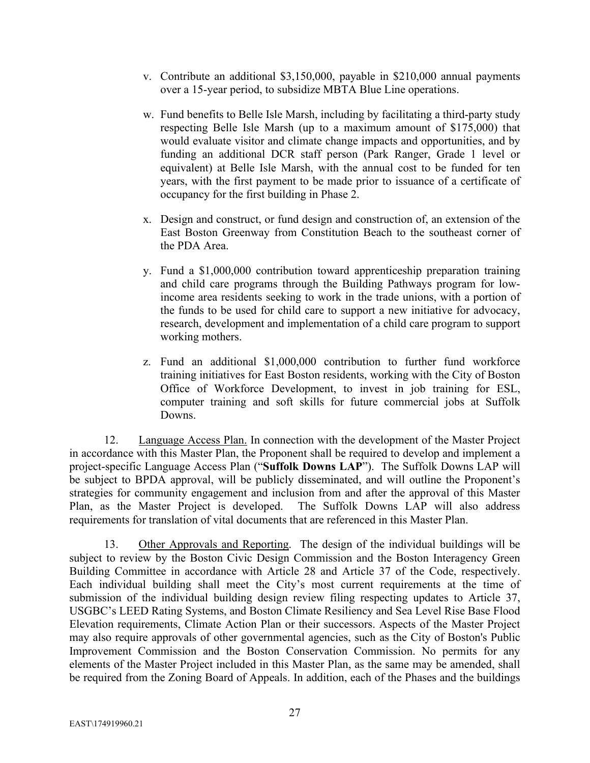- v. Contribute an additional \$3,150,000, payable in \$210,000 annual payments over a 15-year period, to subsidize MBTA Blue Line operations.
- w. Fund benefits to Belle Isle Marsh, including by facilitating a third-party study respecting Belle Isle Marsh (up to a maximum amount of \$175,000) that would evaluate visitor and climate change impacts and opportunities, and by funding an additional DCR staff person (Park Ranger, Grade 1 level or equivalent) at Belle Isle Marsh, with the annual cost to be funded for ten years, with the first payment to be made prior to issuance of a certificate of occupancy for the first building in Phase 2.
- x. Design and construct, or fund design and construction of, an extension of the East Boston Greenway from Constitution Beach to the southeast corner of the PDA Area.
- y. Fund a \$1,000,000 contribution toward apprenticeship preparation training and child care programs through the Building Pathways program for lowincome area residents seeking to work in the trade unions, with a portion of the funds to be used for child care to support a new initiative for advocacy, research, development and implementation of a child care program to support working mothers.
- z. Fund an additional \$1,000,000 contribution to further fund workforce training initiatives for East Boston residents, working with the City of Boston Office of Workforce Development, to invest in job training for ESL, computer training and soft skills for future commercial jobs at Suffolk Downs.

12. Language Access Plan. In connection with the development of the Master Project in accordance with this Master Plan, the Proponent shall be required to develop and implement a project-specific Language Access Plan ("**Suffolk Downs LAP**"). The Suffolk Downs LAP will be subject to BPDA approval, will be publicly disseminated, and will outline the Proponent's strategies for community engagement and inclusion from and after the approval of this Master Plan, as the Master Project is developed. The Suffolk Downs LAP will also address requirements for translation of vital documents that are referenced in this Master Plan.

13. Other Approvals and Reporting. The design of the individual buildings will be subject to review by the Boston Civic Design Commission and the Boston Interagency Green Building Committee in accordance with Article 28 and Article 37 of the Code, respectively. Each individual building shall meet the City's most current requirements at the time of submission of the individual building design review filing respecting updates to Article 37, USGBC's LEED Rating Systems, and Boston Climate Resiliency and Sea Level Rise Base Flood Elevation requirements, Climate Action Plan or their successors. Aspects of the Master Project may also require approvals of other governmental agencies, such as the City of Boston's Public Improvement Commission and the Boston Conservation Commission. No permits for any elements of the Master Project included in this Master Plan, as the same may be amended, shall be required from the Zoning Board of Appeals. In addition, each of the Phases and the buildings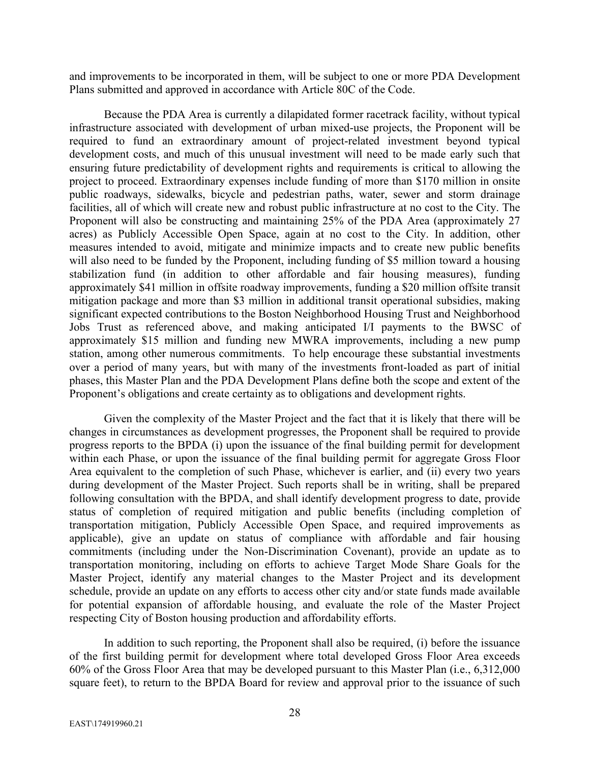and improvements to be incorporated in them, will be subject to one or more PDA Development Plans submitted and approved in accordance with Article 80C of the Code.

Because the PDA Area is currently a dilapidated former racetrack facility, without typical infrastructure associated with development of urban mixed-use projects, the Proponent will be required to fund an extraordinary amount of project-related investment beyond typical development costs, and much of this unusual investment will need to be made early such that ensuring future predictability of development rights and requirements is critical to allowing the project to proceed. Extraordinary expenses include funding of more than \$170 million in onsite public roadways, sidewalks, bicycle and pedestrian paths, water, sewer and storm drainage facilities, all of which will create new and robust public infrastructure at no cost to the City. The Proponent will also be constructing and maintaining 25% of the PDA Area (approximately 27 acres) as Publicly Accessible Open Space, again at no cost to the City. In addition, other measures intended to avoid, mitigate and minimize impacts and to create new public benefits will also need to be funded by the Proponent, including funding of \$5 million toward a housing stabilization fund (in addition to other affordable and fair housing measures), funding approximately \$41 million in offsite roadway improvements, funding a \$20 million offsite transit mitigation package and more than \$3 million in additional transit operational subsidies, making significant expected contributions to the Boston Neighborhood Housing Trust and Neighborhood Jobs Trust as referenced above, and making anticipated I/I payments to the BWSC of approximately \$15 million and funding new MWRA improvements, including a new pump station, among other numerous commitments. To help encourage these substantial investments over a period of many years, but with many of the investments front-loaded as part of initial phases, this Master Plan and the PDA Development Plans define both the scope and extent of the Proponent's obligations and create certainty as to obligations and development rights.

Given the complexity of the Master Project and the fact that it is likely that there will be changes in circumstances as development progresses, the Proponent shall be required to provide progress reports to the BPDA (i) upon the issuance of the final building permit for development within each Phase, or upon the issuance of the final building permit for aggregate Gross Floor Area equivalent to the completion of such Phase, whichever is earlier, and (ii) every two years during development of the Master Project. Such reports shall be in writing, shall be prepared following consultation with the BPDA, and shall identify development progress to date, provide status of completion of required mitigation and public benefits (including completion of transportation mitigation, Publicly Accessible Open Space, and required improvements as applicable), give an update on status of compliance with affordable and fair housing commitments (including under the Non-Discrimination Covenant), provide an update as to transportation monitoring, including on efforts to achieve Target Mode Share Goals for the Master Project, identify any material changes to the Master Project and its development schedule, provide an update on any efforts to access other city and/or state funds made available for potential expansion of affordable housing, and evaluate the role of the Master Project respecting City of Boston housing production and affordability efforts.

In addition to such reporting, the Proponent shall also be required, (i) before the issuance of the first building permit for development where total developed Gross Floor Area exceeds 60% of the Gross Floor Area that may be developed pursuant to this Master Plan (i.e., 6,312,000 square feet), to return to the BPDA Board for review and approval prior to the issuance of such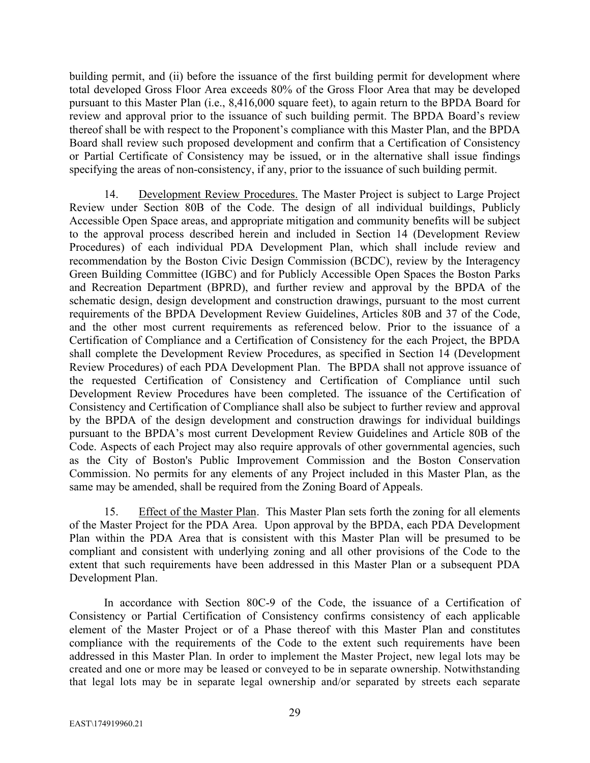building permit, and (ii) before the issuance of the first building permit for development where total developed Gross Floor Area exceeds 80% of the Gross Floor Area that may be developed pursuant to this Master Plan (i.e., 8,416,000 square feet), to again return to the BPDA Board for review and approval prior to the issuance of such building permit. The BPDA Board's review thereof shall be with respect to the Proponent's compliance with this Master Plan, and the BPDA Board shall review such proposed development and confirm that a Certification of Consistency or Partial Certificate of Consistency may be issued, or in the alternative shall issue findings specifying the areas of non-consistency, if any, prior to the issuance of such building permit.

14. Development Review Procedures. The Master Project is subject to Large Project Review under Section 80B of the Code. The design of all individual buildings, Publicly Accessible Open Space areas, and appropriate mitigation and community benefits will be subject to the approval process described herein and included in Section 14 (Development Review Procedures) of each individual PDA Development Plan, which shall include review and recommendation by the Boston Civic Design Commission (BCDC), review by the Interagency Green Building Committee (IGBC) and for Publicly Accessible Open Spaces the Boston Parks and Recreation Department (BPRD), and further review and approval by the BPDA of the schematic design, design development and construction drawings, pursuant to the most current requirements of the BPDA Development Review Guidelines, Articles 80B and 37 of the Code, and the other most current requirements as referenced below. Prior to the issuance of a Certification of Compliance and a Certification of Consistency for the each Project, the BPDA shall complete the Development Review Procedures, as specified in Section 14 (Development Review Procedures) of each PDA Development Plan. The BPDA shall not approve issuance of the requested Certification of Consistency and Certification of Compliance until such Development Review Procedures have been completed. The issuance of the Certification of Consistency and Certification of Compliance shall also be subject to further review and approval by the BPDA of the design development and construction drawings for individual buildings pursuant to the BPDA's most current Development Review Guidelines and Article 80B of the Code. Aspects of each Project may also require approvals of other governmental agencies, such as the City of Boston's Public Improvement Commission and the Boston Conservation Commission. No permits for any elements of any Project included in this Master Plan, as the same may be amended, shall be required from the Zoning Board of Appeals.

15. Effect of the Master Plan. This Master Plan sets forth the zoning for all elements of the Master Project for the PDA Area. Upon approval by the BPDA, each PDA Development Plan within the PDA Area that is consistent with this Master Plan will be presumed to be compliant and consistent with underlying zoning and all other provisions of the Code to the extent that such requirements have been addressed in this Master Plan or a subsequent PDA Development Plan.

In accordance with Section 80C-9 of the Code, the issuance of a Certification of Consistency or Partial Certification of Consistency confirms consistency of each applicable element of the Master Project or of a Phase thereof with this Master Plan and constitutes compliance with the requirements of the Code to the extent such requirements have been addressed in this Master Plan. In order to implement the Master Project, new legal lots may be created and one or more may be leased or conveyed to be in separate ownership. Notwithstanding that legal lots may be in separate legal ownership and/or separated by streets each separate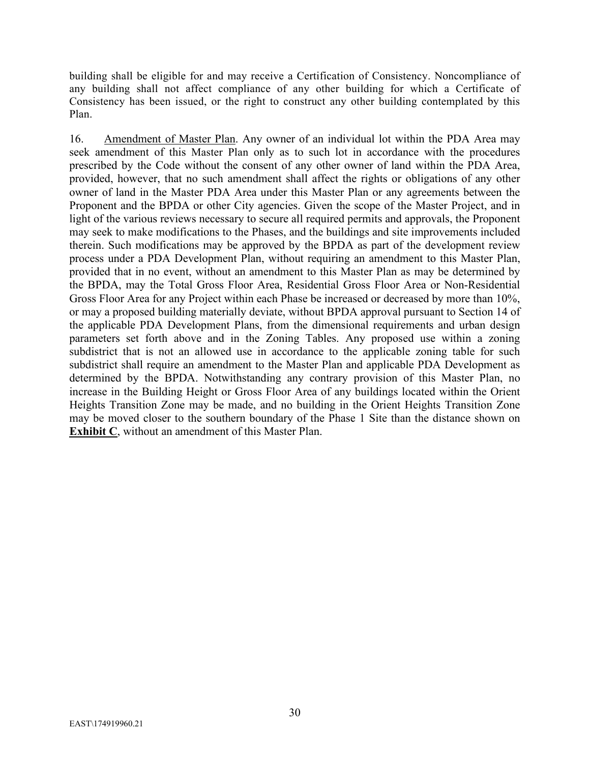building shall be eligible for and may receive a Certification of Consistency. Noncompliance of any building shall not affect compliance of any other building for which a Certificate of Consistency has been issued, or the right to construct any other building contemplated by this Plan.

16. Amendment of Master Plan. Any owner of an individual lot within the PDA Area may seek amendment of this Master Plan only as to such lot in accordance with the procedures prescribed by the Code without the consent of any other owner of land within the PDA Area, provided, however, that no such amendment shall affect the rights or obligations of any other owner of land in the Master PDA Area under this Master Plan or any agreements between the Proponent and the BPDA or other City agencies. Given the scope of the Master Project, and in light of the various reviews necessary to secure all required permits and approvals, the Proponent may seek to make modifications to the Phases, and the buildings and site improvements included therein. Such modifications may be approved by the BPDA as part of the development review process under a PDA Development Plan, without requiring an amendment to this Master Plan, provided that in no event, without an amendment to this Master Plan as may be determined by the BPDA, may the Total Gross Floor Area, Residential Gross Floor Area or Non-Residential Gross Floor Area for any Project within each Phase be increased or decreased by more than 10%, or may a proposed building materially deviate, without BPDA approval pursuant to Section 14 of the applicable PDA Development Plans, from the dimensional requirements and urban design parameters set forth above and in the Zoning Tables. Any proposed use within a zoning subdistrict that is not an allowed use in accordance to the applicable zoning table for such subdistrict shall require an amendment to the Master Plan and applicable PDA Development as determined by the BPDA. Notwithstanding any contrary provision of this Master Plan, no increase in the Building Height or Gross Floor Area of any buildings located within the Orient Heights Transition Zone may be made, and no building in the Orient Heights Transition Zone may be moved closer to the southern boundary of the Phase 1 Site than the distance shown on **Exhibit C**, without an amendment of this Master Plan.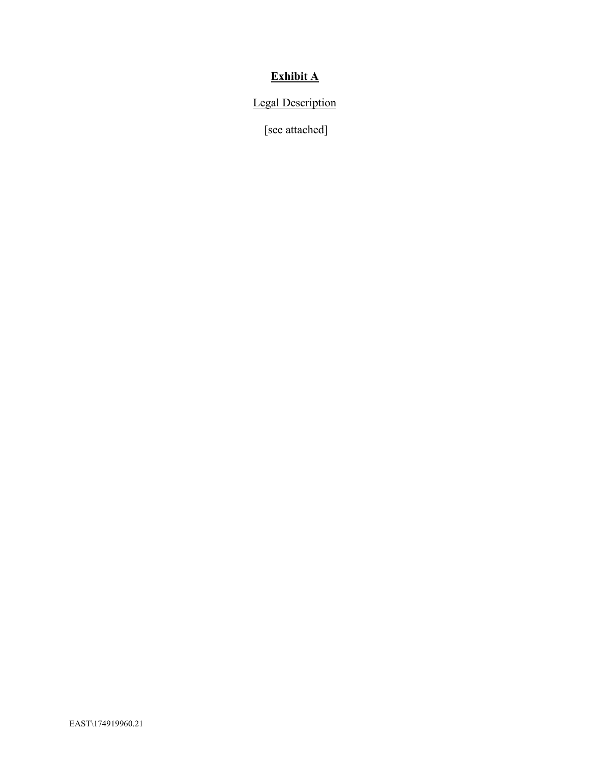# **Exhibit A**

# Legal Description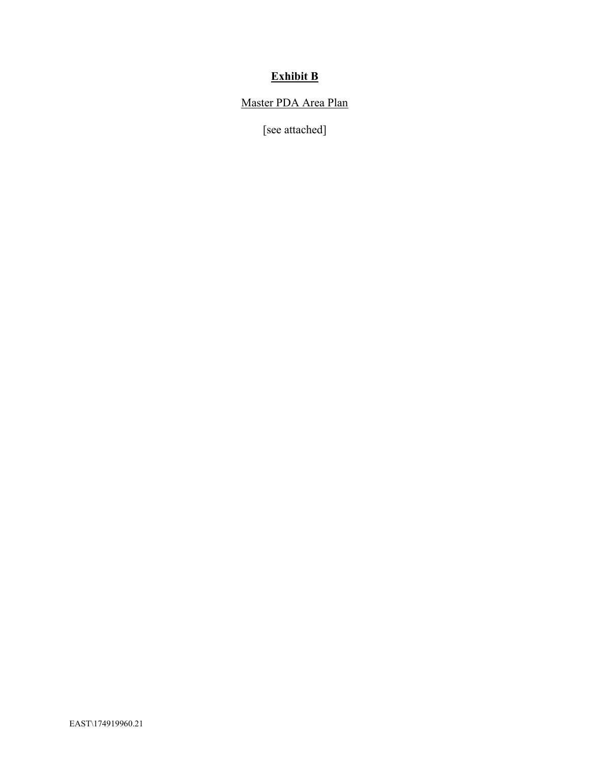# **Exhibit B**

# Master PDA Area Plan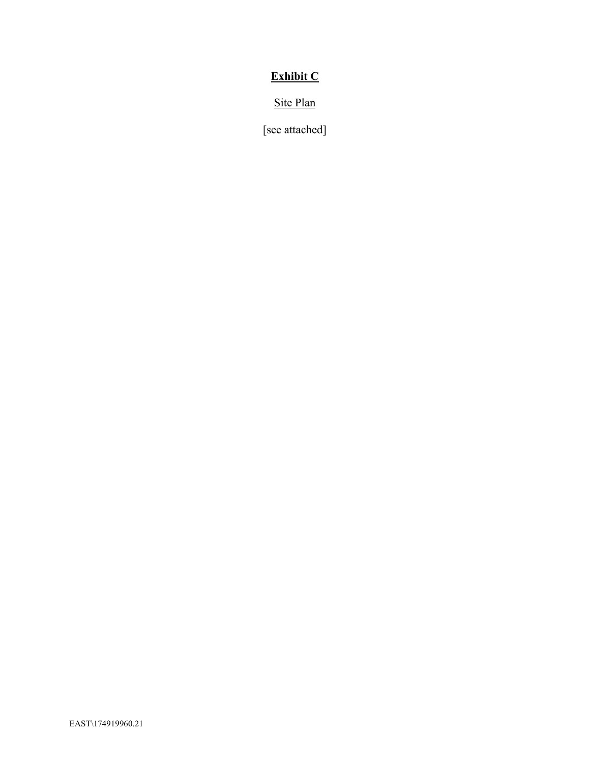# **Exhibit C**

Site Plan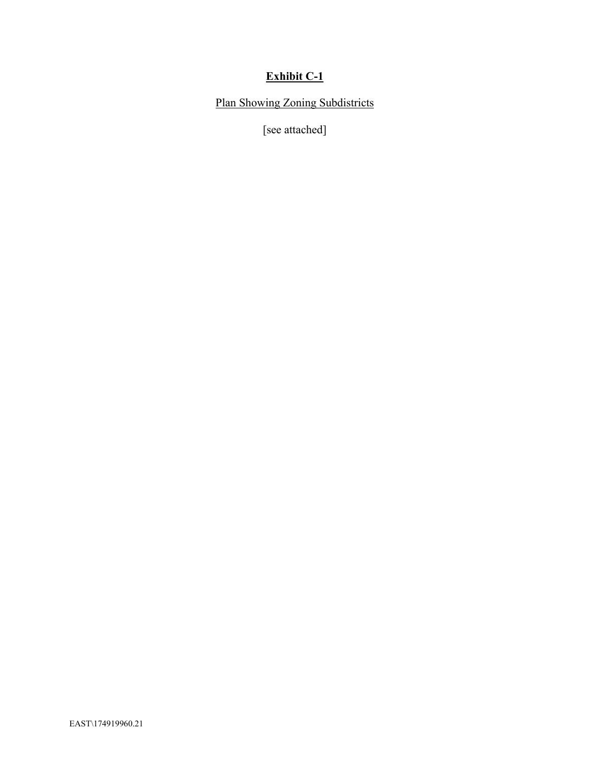# **Exhibit C-1**

# Plan Showing Zoning Subdistricts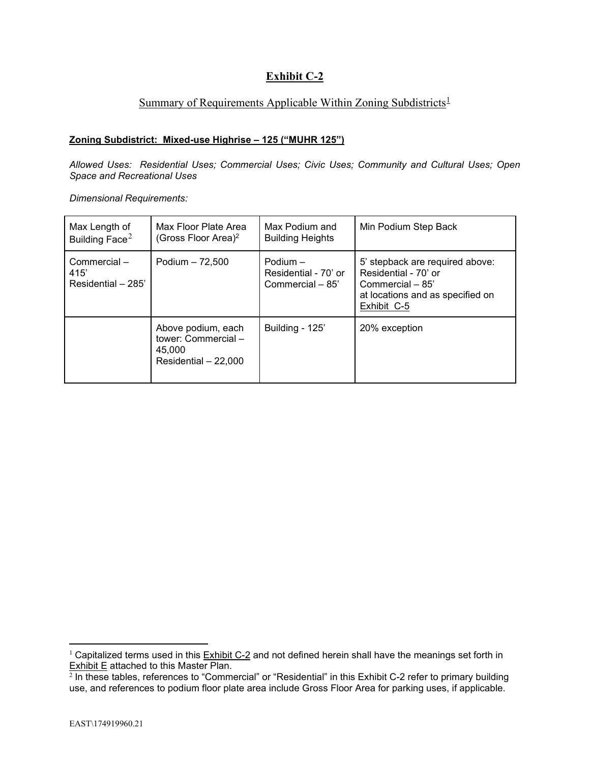### **Exhibit C-2**

#### Summary of Requirements Applicable Within Zoning Subdistricts<sup>[1](#page-34-0)</sup>

#### **Zoning Subdistrict: Mixed-use Highrise – 125 ("MUHR 125")**

*Allowed Uses: Residential Uses; Commercial Uses; Civic Uses; Community and Cultural Uses; Open Space and Recreational Uses* 

*Dimensional Requirements:*

| Max Length of<br>Building Face <sup>2</sup> | Max Floor Plate Area<br>(Gross Floor Area) <sup>2</sup>                     | Max Podium and<br><b>Building Heights</b>              | Min Podium Step Back                                                                                                           |
|---------------------------------------------|-----------------------------------------------------------------------------|--------------------------------------------------------|--------------------------------------------------------------------------------------------------------------------------------|
| Commercial-<br>415'<br>Residential - 285'   | Podium $-72,500$                                                            | Podium $-$<br>Residential - 70' or<br>Commercial - 85' | 5' stepback are required above:<br>Residential - 70' or<br>Commercial - 85'<br>at locations and as specified on<br>Exhibit C-5 |
|                                             | Above podium, each<br>tower: Commercial -<br>45,000<br>Residential - 22,000 | Building - 125'                                        | 20% exception                                                                                                                  |

<span id="page-34-0"></span><sup>&</sup>lt;sup>1</sup> Capitalized terms used in this **Exhibit C-2** and not defined herein shall have the meanings set forth in Exhibit E attached to this Master Plan.

<span id="page-34-1"></span> $^{\rm 2}$  In these tables, references to "Commercial" or "Residential" in this Exhibit C-2 refer to primary building use, and references to podium floor plate area include Gross Floor Area for parking uses, if applicable.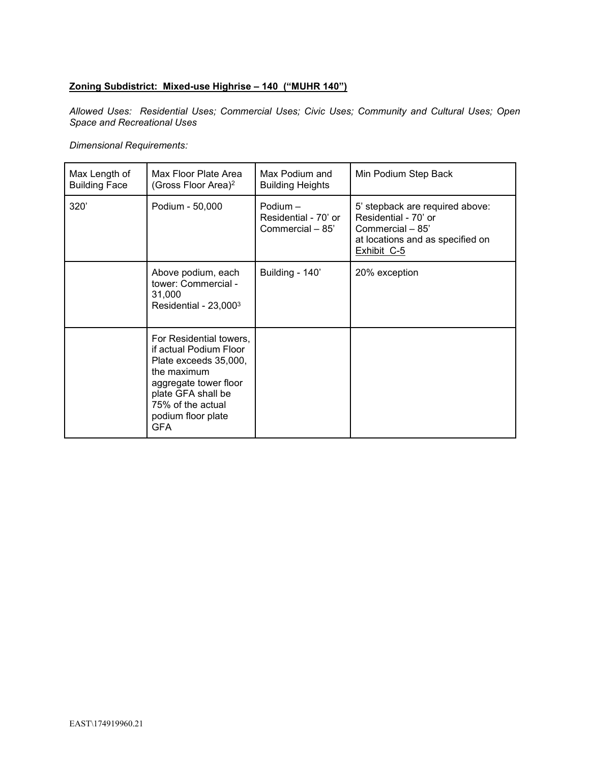#### **Zoning Subdistrict: Mixed-use Highrise – 140 ("MUHR 140")**

*Allowed Uses: Residential Uses; Commercial Uses; Civic Uses; Community and Cultural Uses; Open Space and Recreational Uses*

#### *Dimensional Requirements:*

| Max Length of<br><b>Building Face</b> | Max Floor Plate Area<br>(Gross Floor Area) <sup>2</sup>                                                                                                                                           | Max Podium and<br><b>Building Heights</b>              | Min Podium Step Back                                                                                                           |
|---------------------------------------|---------------------------------------------------------------------------------------------------------------------------------------------------------------------------------------------------|--------------------------------------------------------|--------------------------------------------------------------------------------------------------------------------------------|
| 320'                                  | Podium - 50,000                                                                                                                                                                                   | Podium $-$<br>Residential - 70' or<br>Commercial - 85' | 5' stepback are required above:<br>Residential - 70' or<br>Commercial - 85'<br>at locations and as specified on<br>Exhibit C-5 |
|                                       | Above podium, each<br>tower: Commercial -<br>31,000<br>Residential - 23,0003                                                                                                                      | Building - 140'                                        | 20% exception                                                                                                                  |
|                                       | For Residential towers,<br>if actual Podium Floor<br>Plate exceeds 35,000,<br>the maximum<br>aggregate tower floor<br>plate GFA shall be<br>75% of the actual<br>podium floor plate<br><b>GFA</b> |                                                        |                                                                                                                                |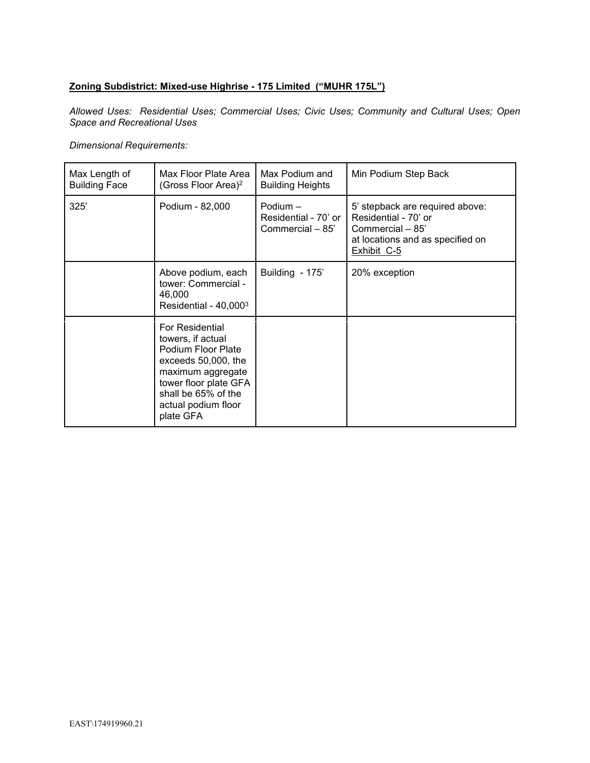### **Zoning Subdistrict: Mixed-use Highrise - 175 Limited ("MUHR 175L")**

*Allowed Uses: Residential Uses; Commercial Uses; Civic Uses; Community and Cultural Uses; Open Space and Recreational Uses*

| Max Length of<br><b>Building Face</b> | Max Floor Plate Area<br>(Gross Floor Area) <sup>2</sup>                                                                                                                                           | Max Podium and<br><b>Building Heights</b>              | Min Podium Step Back                                                                                                           |
|---------------------------------------|---------------------------------------------------------------------------------------------------------------------------------------------------------------------------------------------------|--------------------------------------------------------|--------------------------------------------------------------------------------------------------------------------------------|
| 325'                                  | Podium - 82,000                                                                                                                                                                                   | Podium $-$<br>Residential - 70' or<br>Commercial - 85' | 5' stepback are required above:<br>Residential - 70' or<br>Commercial - 85'<br>at locations and as specified on<br>Exhibit C-5 |
|                                       | Above podium, each<br>tower: Commercial -<br>46,000<br>Residential - $40,000^3$                                                                                                                   | Building - 175'                                        | 20% exception                                                                                                                  |
|                                       | <b>For Residential</b><br>towers, if actual<br>Podium Floor Plate<br>exceeds 50,000, the<br>maximum aggregate<br>tower floor plate GFA<br>shall be 65% of the<br>actual podium floor<br>plate GFA |                                                        |                                                                                                                                |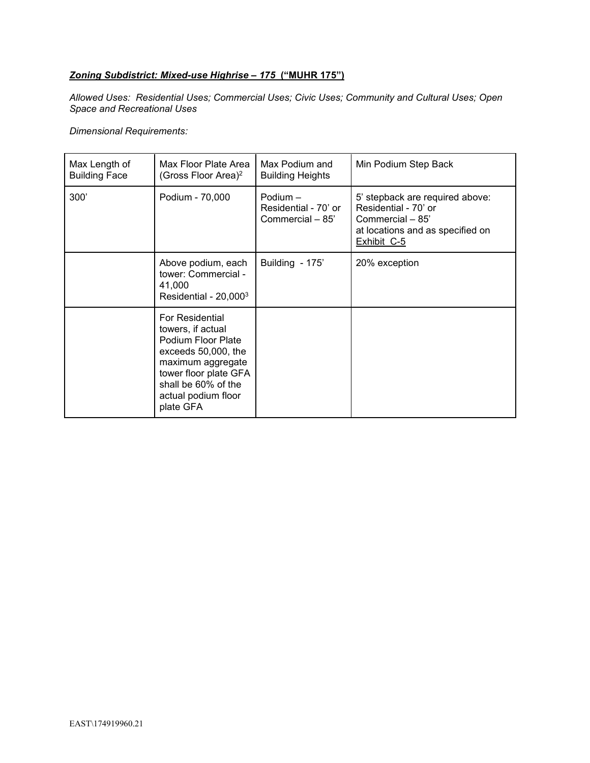#### *Zoning Subdistrict: Mixed-use Highrise – 175* **("MUHR 175")**

*Allowed Uses: Residential Uses; Commercial Uses; Civic Uses; Community and Cultural Uses; Open Space and Recreational Uses*

| Max Length of<br><b>Building Face</b> | Max Floor Plate Area<br>(Gross Floor Area) <sup>2</sup>                                                                                                                                           | Max Podium and<br><b>Building Heights</b>              | Min Podium Step Back                                                                                                           |
|---------------------------------------|---------------------------------------------------------------------------------------------------------------------------------------------------------------------------------------------------|--------------------------------------------------------|--------------------------------------------------------------------------------------------------------------------------------|
| 300'                                  | Podium - 70,000                                                                                                                                                                                   | Podium $-$<br>Residential - 70' or<br>Commercial - 85' | 5' stepback are required above:<br>Residential - 70' or<br>Commercial - 85'<br>at locations and as specified on<br>Exhibit C-5 |
|                                       | Above podium, each<br>tower: Commercial -<br>41,000<br>Residential - 20,000 <sup>3</sup>                                                                                                          | Building - 175'                                        | 20% exception                                                                                                                  |
|                                       | <b>For Residential</b><br>towers, if actual<br>Podium Floor Plate<br>exceeds 50,000, the<br>maximum aggregate<br>tower floor plate GFA<br>shall be 60% of the<br>actual podium floor<br>plate GFA |                                                        |                                                                                                                                |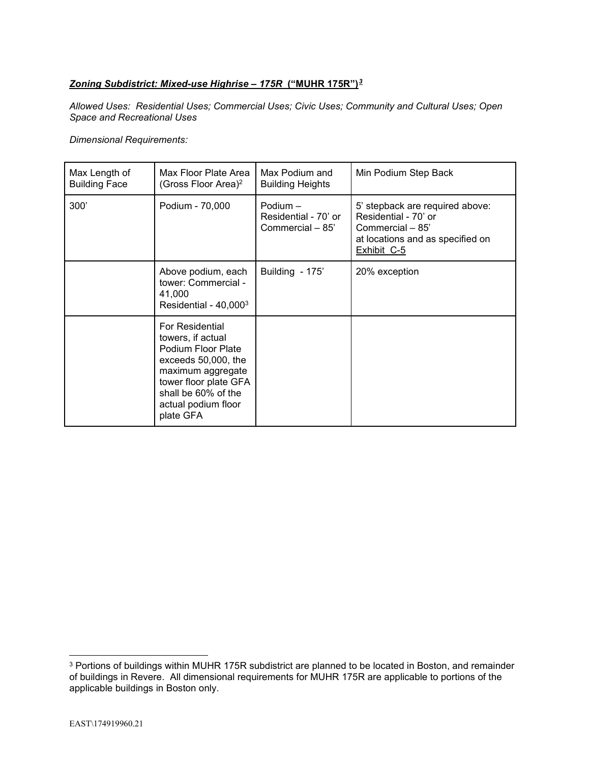### *Zoning Subdistrict: Mixed-use Highrise – 175R* **("MUHR 175R")***[3](#page-38-0)*

*Allowed Uses: Residential Uses; Commercial Uses; Civic Uses; Community and Cultural Uses; Open Space and Recreational Uses*

| Max Length of<br><b>Building Face</b> | Max Floor Plate Area<br>(Gross Floor Area) <sup>2</sup>                                                                                                                                           | Max Podium and<br><b>Building Heights</b>              | Min Podium Step Back                                                                                                           |
|---------------------------------------|---------------------------------------------------------------------------------------------------------------------------------------------------------------------------------------------------|--------------------------------------------------------|--------------------------------------------------------------------------------------------------------------------------------|
| 300'                                  | Podium - 70,000                                                                                                                                                                                   | Podium $-$<br>Residential - 70' or<br>Commercial – 85' | 5' stepback are required above:<br>Residential - 70' or<br>Commercial - 85'<br>at locations and as specified on<br>Exhibit C-5 |
|                                       | Above podium, each<br>tower: Commercial -<br>41,000<br>Residential - 40,0003                                                                                                                      | Building - 175'                                        | 20% exception                                                                                                                  |
|                                       | <b>For Residential</b><br>towers, if actual<br>Podium Floor Plate<br>exceeds 50,000, the<br>maximum aggregate<br>tower floor plate GFA<br>shall be 60% of the<br>actual podium floor<br>plate GFA |                                                        |                                                                                                                                |

<span id="page-38-0"></span> $^3$  Portions of buildings within MUHR 175R subdistrict are planned to be located in Boston, and remainder of buildings in Revere. All dimensional requirements for MUHR 175R are applicable to portions of the applicable buildings in Boston only.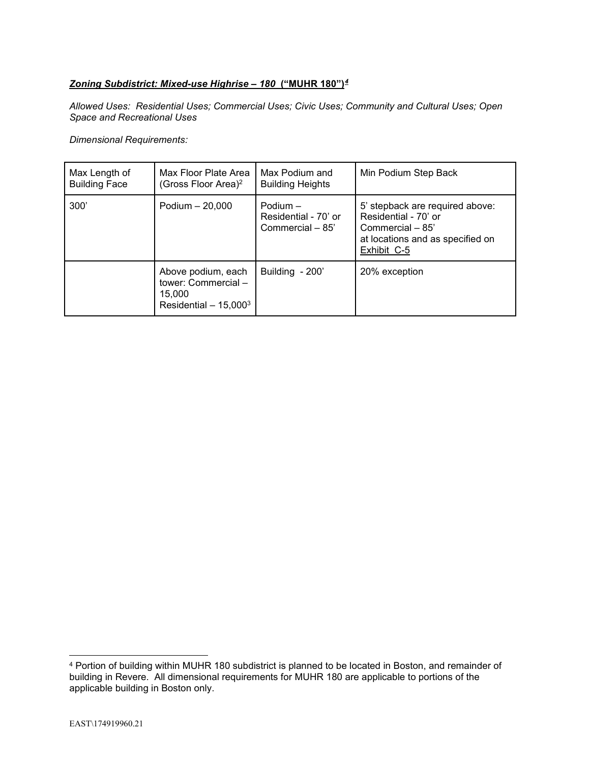### *Zoning Subdistrict: Mixed-use Highrise – 180* **("MUHR 180")***[4](#page-39-0)*

*Allowed Uses: Residential Uses; Commercial Uses; Civic Uses; Community and Cultural Uses; Open Space and Recreational Uses*

| Max Length of<br><b>Building Face</b> | Max Floor Plate Area<br>(Gross Floor Area) <sup>2</sup>                        | Max Podium and<br><b>Building Heights</b>              | Min Podium Step Back                                                                                                           |
|---------------------------------------|--------------------------------------------------------------------------------|--------------------------------------------------------|--------------------------------------------------------------------------------------------------------------------------------|
| 300'                                  | Podium $-20,000$                                                               | Podium $-$<br>Residential - 70' or<br>Commercial - 85' | 5' stepback are required above:<br>Residential - 70' or<br>Commercial - 85'<br>at locations and as specified on<br>Exhibit C-5 |
|                                       | Above podium, each<br>tower: Commercial -<br>15.000<br>Residential $-15,000^3$ | Building - 200'                                        | 20% exception                                                                                                                  |

<span id="page-39-0"></span><sup>4</sup> Portion of building within MUHR 180 subdistrict is planned to be located in Boston, and remainder of building in Revere. All dimensional requirements for MUHR 180 are applicable to portions of the applicable building in Boston only.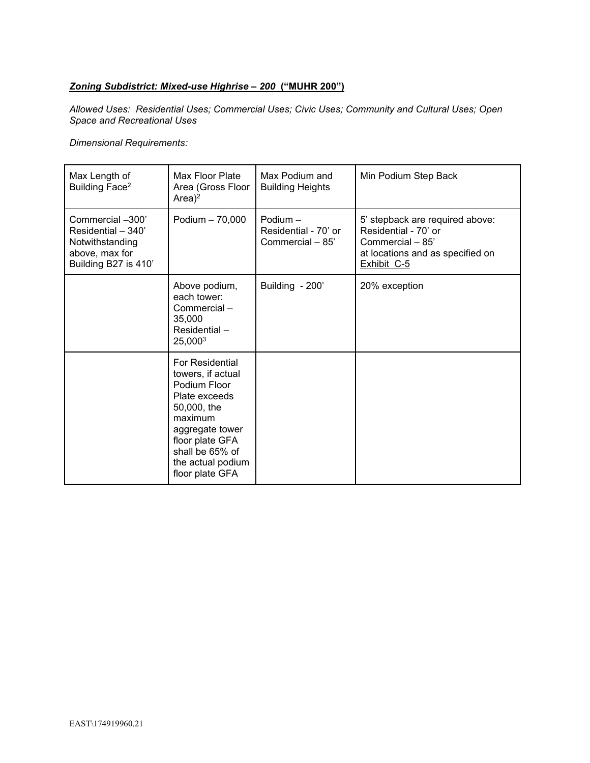#### *Zoning Subdistrict: Mixed-use Highrise – 200* **("MUHR 200")**

*Allowed Uses: Residential Uses; Commercial Uses; Civic Uses; Community and Cultural Uses; Open Space and Recreational Uses*

| Max Length of<br>Building Face <sup>2</sup>                                                         | Max Floor Plate<br>Area (Gross Floor<br>Area $)^2$                                                                                                                                                      | Max Podium and<br><b>Building Heights</b>              | Min Podium Step Back                                                                                                           |
|-----------------------------------------------------------------------------------------------------|---------------------------------------------------------------------------------------------------------------------------------------------------------------------------------------------------------|--------------------------------------------------------|--------------------------------------------------------------------------------------------------------------------------------|
| Commercial -300'<br>Residential - 340'<br>Notwithstanding<br>above, max for<br>Building B27 is 410' | Podium - 70,000                                                                                                                                                                                         | Podium $-$<br>Residential - 70' or<br>Commercial - 85' | 5' stepback are required above:<br>Residential - 70' or<br>Commercial - 85'<br>at locations and as specified on<br>Exhibit C-5 |
|                                                                                                     | Above podium,<br>each tower:<br>Commercial-<br>35,000<br>Residential-<br>25,0003                                                                                                                        | Building - 200'                                        | 20% exception                                                                                                                  |
|                                                                                                     | <b>For Residential</b><br>towers, if actual<br>Podium Floor<br>Plate exceeds<br>50,000, the<br>maximum<br>aggregate tower<br>floor plate GFA<br>shall be 65% of<br>the actual podium<br>floor plate GFA |                                                        |                                                                                                                                |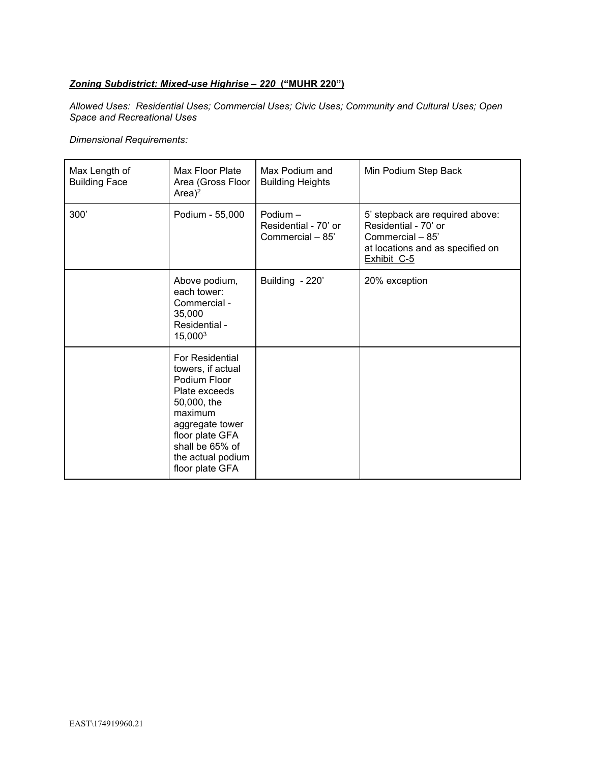### *Zoning Subdistrict: Mixed-use Highrise – 220* **("MUHR 220")**

*Allowed Uses: Residential Uses; Commercial Uses; Civic Uses; Community and Cultural Uses; Open Space and Recreational Uses*

| Max Length of<br><b>Building Face</b> | Max Floor Plate<br>Area (Gross Floor<br>Area $)^2$                                                                                                                                               | Max Podium and<br><b>Building Heights</b>              | Min Podium Step Back                                                                                                           |
|---------------------------------------|--------------------------------------------------------------------------------------------------------------------------------------------------------------------------------------------------|--------------------------------------------------------|--------------------------------------------------------------------------------------------------------------------------------|
| 300'                                  | Podium - 55,000                                                                                                                                                                                  | Podium $-$<br>Residential - 70' or<br>Commercial - 85' | 5' stepback are required above:<br>Residential - 70' or<br>Commercial - 85'<br>at locations and as specified on<br>Exhibit C-5 |
|                                       | Above podium,<br>each tower:<br>Commercial -<br>35,000<br>Residential -<br>15,0003                                                                                                               | Building - 220'                                        | 20% exception                                                                                                                  |
|                                       | For Residential<br>towers, if actual<br>Podium Floor<br>Plate exceeds<br>50,000, the<br>maximum<br>aggregate tower<br>floor plate GFA<br>shall be 65% of<br>the actual podium<br>floor plate GFA |                                                        |                                                                                                                                |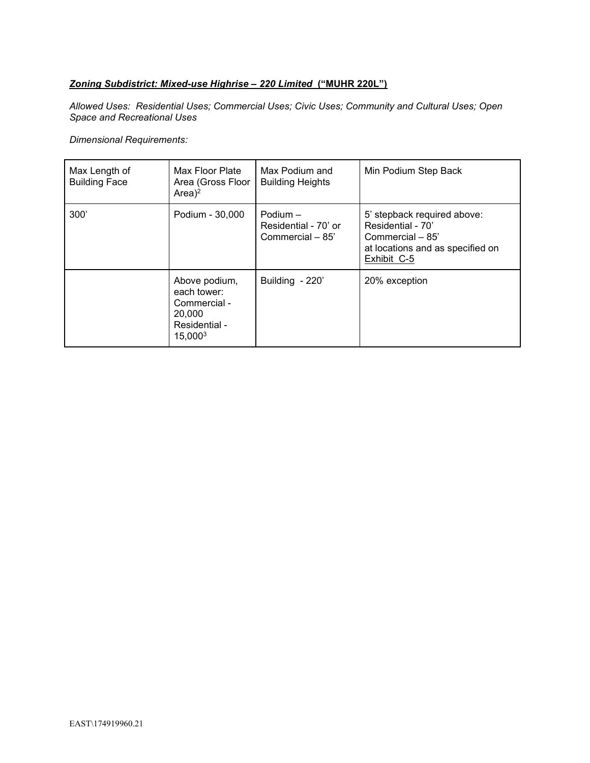### *Zoning Subdistrict: Mixed-use Highrise – 220 Limited* **("MUHR 220L")**

*Allowed Uses: Residential Uses; Commercial Uses; Civic Uses; Community and Cultural Uses; Open Space and Recreational Uses*

| Max Length of<br><b>Building Face</b> | Max Floor Plate<br>Area (Gross Floor<br>Area $)^2$                                 | Max Podium and<br><b>Building Heights</b>              | Min Podium Step Back                                                                                                    |
|---------------------------------------|------------------------------------------------------------------------------------|--------------------------------------------------------|-------------------------------------------------------------------------------------------------------------------------|
| 300'                                  | Podium - 30,000                                                                    | Podium $-$<br>Residential - 70' or<br>Commercial - 85' | 5' stepback required above:<br>Residential - 70'<br>Commercial - 85'<br>at locations and as specified on<br>Exhibit C-5 |
|                                       | Above podium,<br>each tower:<br>Commercial -<br>20,000<br>Residential -<br>15,0003 | Building - 220'                                        | 20% exception                                                                                                           |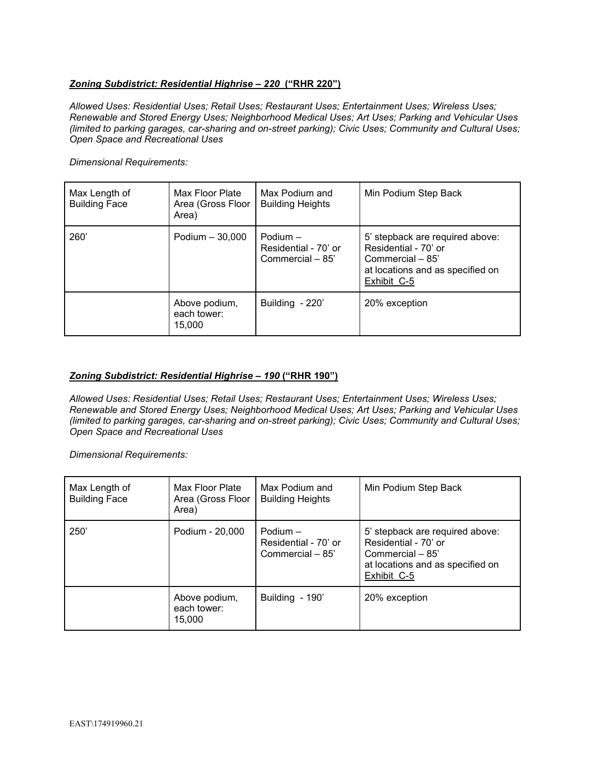#### *Zoning Subdistrict: Residential Highrise – 220* **("RHR 220")**

*Allowed Uses: Residential Uses; Retail Uses; Restaurant Uses; Entertainment Uses; Wireless Uses; Renewable and Stored Energy Uses; Neighborhood Medical Uses; Art Uses; Parking and Vehicular Uses (limited to parking garages, car-sharing and on-street parking); Civic Uses; Community and Cultural Uses; Open Space and Recreational Uses*

*Dimensional Requirements:*

| Max Length of<br><b>Building Face</b> | Max Floor Plate<br>Area (Gross Floor<br>Area) | Max Podium and<br><b>Building Heights</b>              | Min Podium Step Back                                                                                                           |
|---------------------------------------|-----------------------------------------------|--------------------------------------------------------|--------------------------------------------------------------------------------------------------------------------------------|
| 260'                                  | Podium - 30,000                               | Podium $-$<br>Residential - 70' or<br>Commercial – 85' | 5' stepback are required above:<br>Residential - 70' or<br>Commercial - 85'<br>at locations and as specified on<br>Exhibit C-5 |
|                                       | Above podium,<br>each tower:<br>15,000        | Building - 220'                                        | 20% exception                                                                                                                  |

#### *Zoning Subdistrict: Residential Highrise – 190* **("RHR 190")**

*Allowed Uses: Residential Uses; Retail Uses; Restaurant Uses; Entertainment Uses; Wireless Uses; Renewable and Stored Energy Uses; Neighborhood Medical Uses; Art Uses; Parking and Vehicular Uses (limited to parking garages, car-sharing and on-street parking); Civic Uses; Community and Cultural Uses; Open Space and Recreational Uses*

| Max Length of<br><b>Building Face</b> | Max Floor Plate<br>Area (Gross Floor<br>Area) | Max Podium and<br><b>Building Heights</b>              | Min Podium Step Back                                                                                                           |
|---------------------------------------|-----------------------------------------------|--------------------------------------------------------|--------------------------------------------------------------------------------------------------------------------------------|
| 250'                                  | Podium - 20,000                               | Podium $-$<br>Residential - 70' or<br>Commercial - 85' | 5' stepback are required above:<br>Residential - 70' or<br>Commercial - 85'<br>at locations and as specified on<br>Exhibit C-5 |
|                                       | Above podium,<br>each tower:<br>15,000        | Building - 190'                                        | 20% exception                                                                                                                  |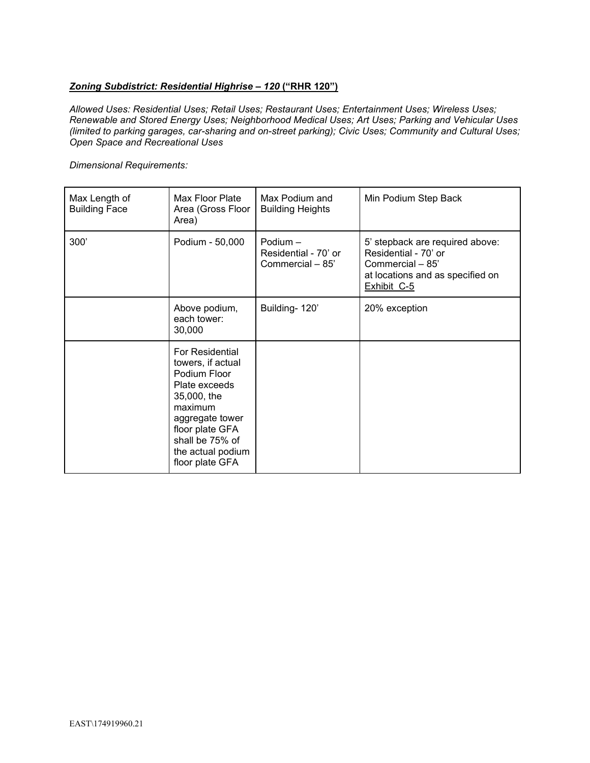#### *Zoning Subdistrict: Residential Highrise – 120* **("RHR 120")**

*Allowed Uses: Residential Uses; Retail Uses; Restaurant Uses; Entertainment Uses; Wireless Uses; Renewable and Stored Energy Uses; Neighborhood Medical Uses; Art Uses; Parking and Vehicular Uses (limited to parking garages, car-sharing and on-street parking); Civic Uses; Community and Cultural Uses; Open Space and Recreational Uses*

| Max Length of<br><b>Building Face</b> | Max Floor Plate<br>Area (Gross Floor<br>Area)                                                                                                                                                    | Max Podium and<br><b>Building Heights</b>              | Min Podium Step Back                                                                                                           |
|---------------------------------------|--------------------------------------------------------------------------------------------------------------------------------------------------------------------------------------------------|--------------------------------------------------------|--------------------------------------------------------------------------------------------------------------------------------|
| 300'                                  | Podium - 50,000                                                                                                                                                                                  | Podium $-$<br>Residential - 70' or<br>Commercial - 85' | 5' stepback are required above:<br>Residential - 70' or<br>Commercial - 85'<br>at locations and as specified on<br>Exhibit C-5 |
|                                       | Above podium,<br>each tower:<br>30,000                                                                                                                                                           | Building- 120'                                         | 20% exception                                                                                                                  |
|                                       | For Residential<br>towers, if actual<br>Podium Floor<br>Plate exceeds<br>35,000, the<br>maximum<br>aggregate tower<br>floor plate GFA<br>shall be 75% of<br>the actual podium<br>floor plate GFA |                                                        |                                                                                                                                |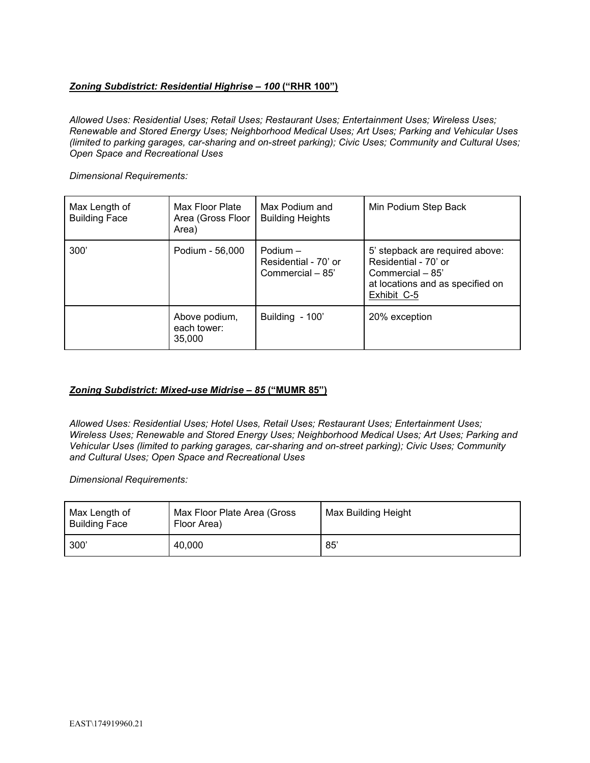#### *Zoning Subdistrict: Residential Highrise – 100* **("RHR 100")**

*Allowed Uses: Residential Uses; Retail Uses; Restaurant Uses; Entertainment Uses; Wireless Uses; Renewable and Stored Energy Uses; Neighborhood Medical Uses; Art Uses; Parking and Vehicular Uses (limited to parking garages, car-sharing and on-street parking); Civic Uses; Community and Cultural Uses; Open Space and Recreational Uses*

*Dimensional Requirements:*

| Max Length of<br><b>Building Face</b> | Max Floor Plate<br>Area (Gross Floor<br>Area) | Max Podium and<br><b>Building Heights</b>              | Min Podium Step Back                                                                                                           |
|---------------------------------------|-----------------------------------------------|--------------------------------------------------------|--------------------------------------------------------------------------------------------------------------------------------|
| 300'                                  | Podium - 56,000                               | Podium $-$<br>Residential - 70' or<br>Commercial - 85' | 5' stepback are required above:<br>Residential - 70' or<br>Commercial - 85'<br>at locations and as specified on<br>Exhibit C-5 |
|                                       | Above podium,<br>each tower:<br>35,000        | Building - 100'                                        | 20% exception                                                                                                                  |

#### *Zoning Subdistrict: Mixed-use Midrise – 85* **("MUMR 85")**

*Allowed Uses: Residential Uses; Hotel Uses, Retail Uses; Restaurant Uses; Entertainment Uses; Wireless Uses; Renewable and Stored Energy Uses; Neighborhood Medical Uses; Art Uses; Parking and Vehicular Uses (limited to parking garages, car-sharing and on-street parking); Civic Uses; Community and Cultural Uses; Open Space and Recreational Uses*

| Max Length of<br><b>Building Face</b> | Max Floor Plate Area (Gross<br>Floor Area) | Max Building Height |
|---------------------------------------|--------------------------------------------|---------------------|
| 300'                                  | 40,000                                     | 85'                 |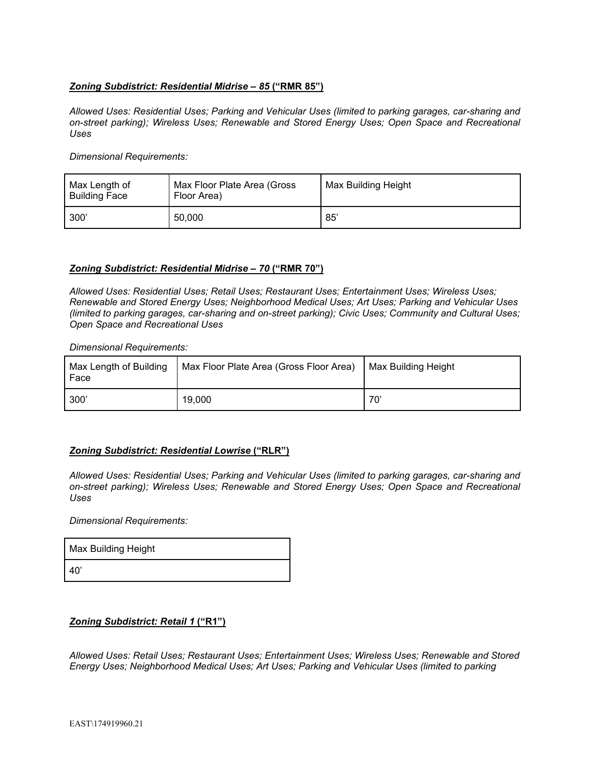#### *Zoning Subdistrict: Residential Midrise – 85* **("RMR 85")**

*Allowed Uses: Residential Uses; Parking and Vehicular Uses (limited to parking garages, car-sharing and on-street parking); Wireless Uses; Renewable and Stored Energy Uses; Open Space and Recreational Uses*

*Dimensional Requirements:*

| Max Length of<br><b>Building Face</b> | Max Floor Plate Area (Gross<br>Floor Area) | Max Building Height |
|---------------------------------------|--------------------------------------------|---------------------|
| 300'                                  | 50,000                                     | 85                  |

#### *Zoning Subdistrict: Residential Midrise – 70* **("RMR 70")**

*Allowed Uses: Residential Uses; Retail Uses; Restaurant Uses; Entertainment Uses; Wireless Uses; Renewable and Stored Energy Uses; Neighborhood Medical Uses; Art Uses; Parking and Vehicular Uses (limited to parking garages, car-sharing and on-street parking); Civic Uses; Community and Cultural Uses; Open Space and Recreational Uses*

*Dimensional Requirements:*

| Max Length of Building<br>Face | Max Floor Plate Area (Gross Floor Area) | Max Building Height |
|--------------------------------|-----------------------------------------|---------------------|
| 300'                           | 19,000                                  | 70                  |

#### *Zoning Subdistrict: Residential Lowrise* **("RLR")**

*Allowed Uses: Residential Uses; Parking and Vehicular Uses (limited to parking garages, car-sharing and on-street parking); Wireless Uses; Renewable and Stored Energy Uses; Open Space and Recreational Uses*

*Dimensional Requirements:*

| Max Building Height |  |
|---------------------|--|
| 40'                 |  |

#### *Zoning Subdistrict: Retail 1* **("R1")**

*Allowed Uses: Retail Uses; Restaurant Uses; Entertainment Uses; Wireless Uses; Renewable and Stored Energy Uses; Neighborhood Medical Uses; Art Uses; Parking and Vehicular Uses (limited to parking*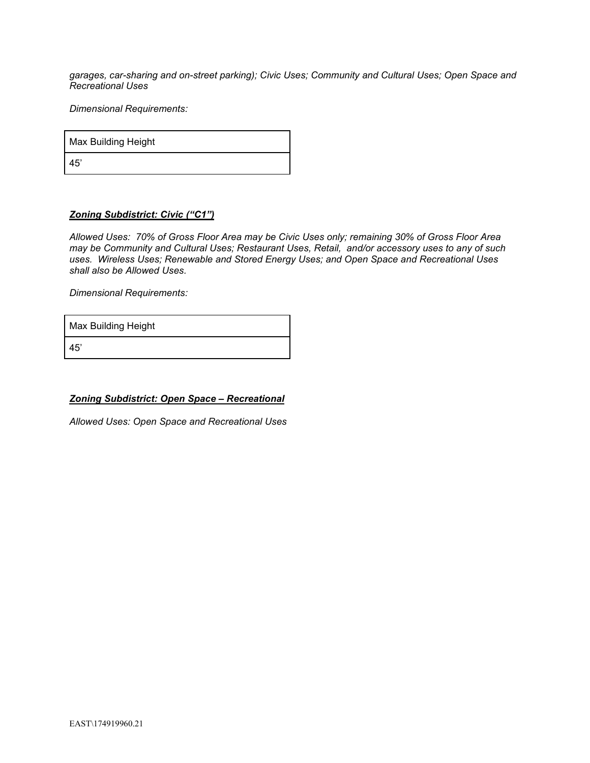*garages, car-sharing and on-street parking); Civic Uses; Community and Cultural Uses; Open Space and Recreational Uses*

*Dimensional Requirements:*

Max Building Height 45'

#### *Zoning Subdistrict: Civic ("C1")*

*Allowed Uses: 70% of Gross Floor Area may be Civic Uses only; remaining 30% of Gross Floor Area may be Community and Cultural Uses; Restaurant Uses, Retail, and/or accessory uses to any of such uses. Wireless Uses; Renewable and Stored Energy Uses; and Open Space and Recreational Uses shall also be Allowed Uses.*

*Dimensional Requirements:*

Max Building Height

45'

#### *Zoning Subdistrict: Open Space – Recreational*

*Allowed Uses: Open Space and Recreational Uses*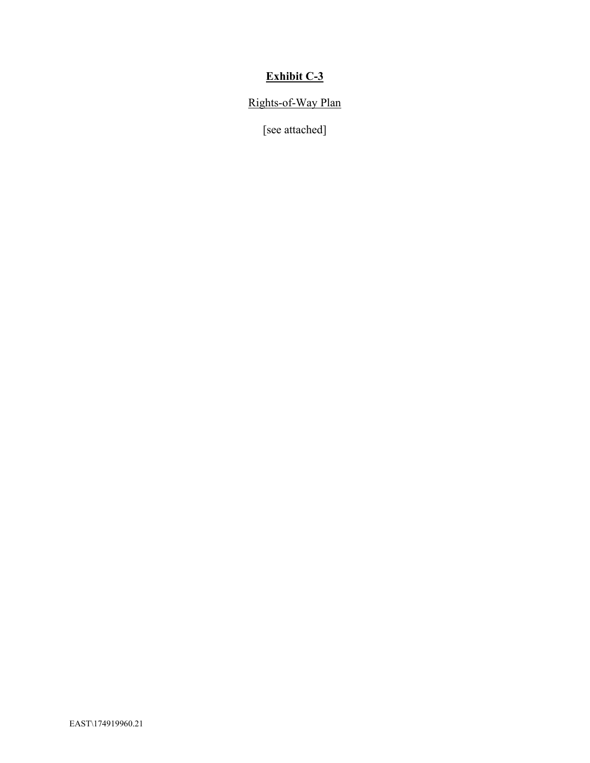## Rights-of-Way Plan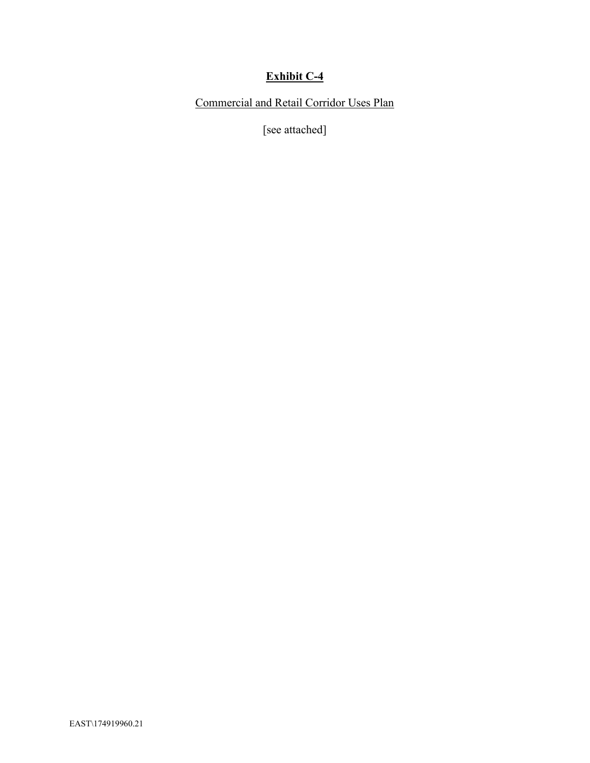Commercial and Retail Corridor Uses Plan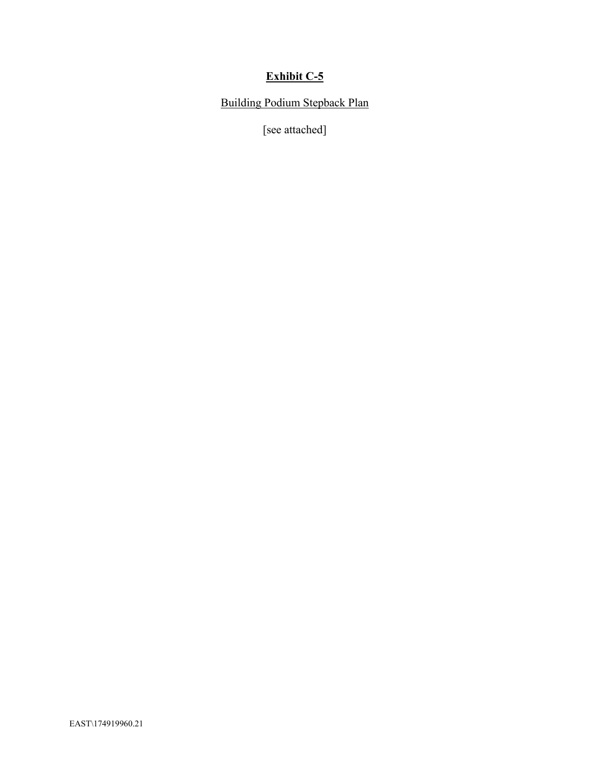# Building Podium Stepback Plan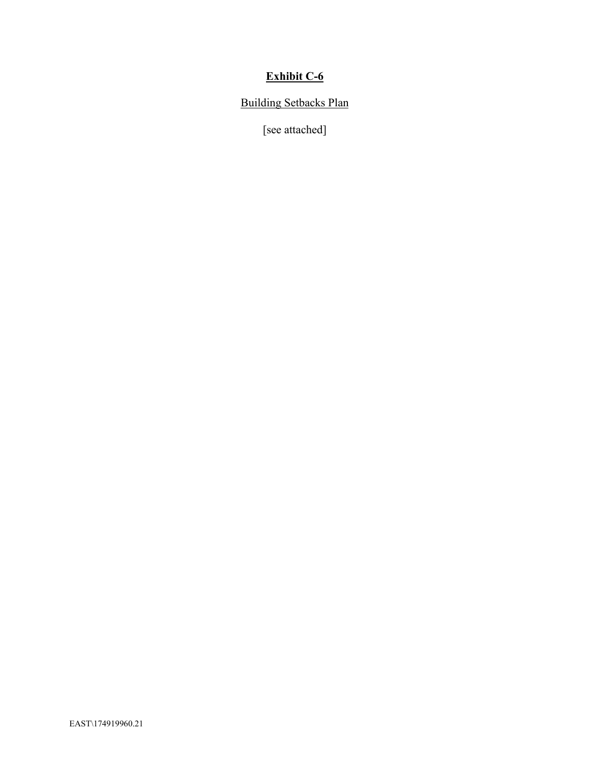## Building Setbacks Plan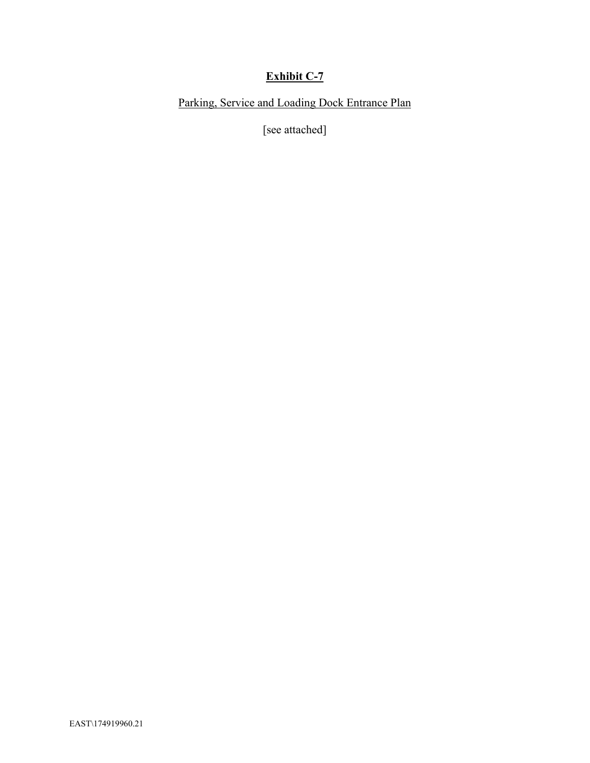Parking, Service and Loading Dock Entrance Plan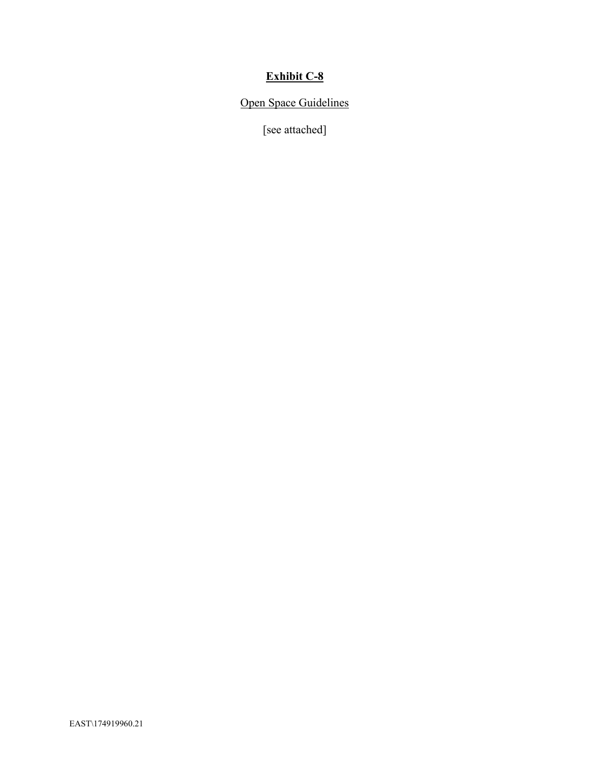# Open Space Guidelines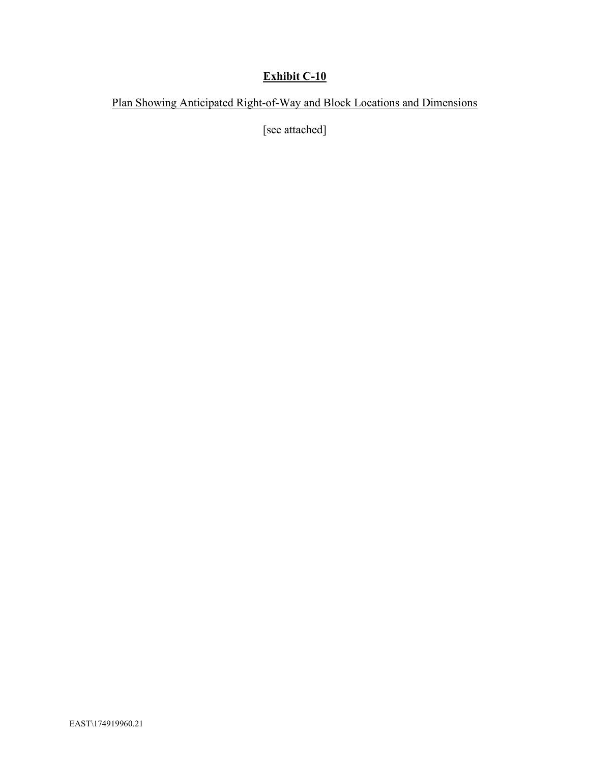Plan Showing Anticipated Right-of-Way and Block Locations and Dimensions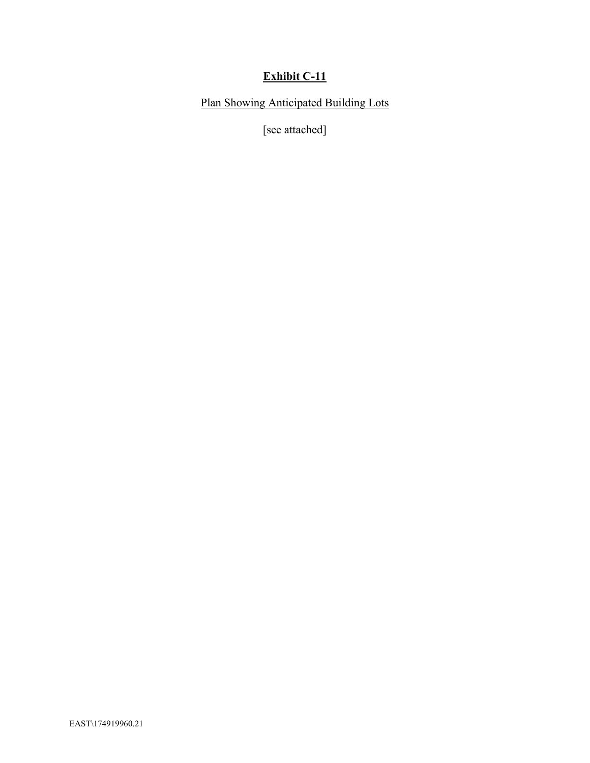Plan Showing Anticipated Building Lots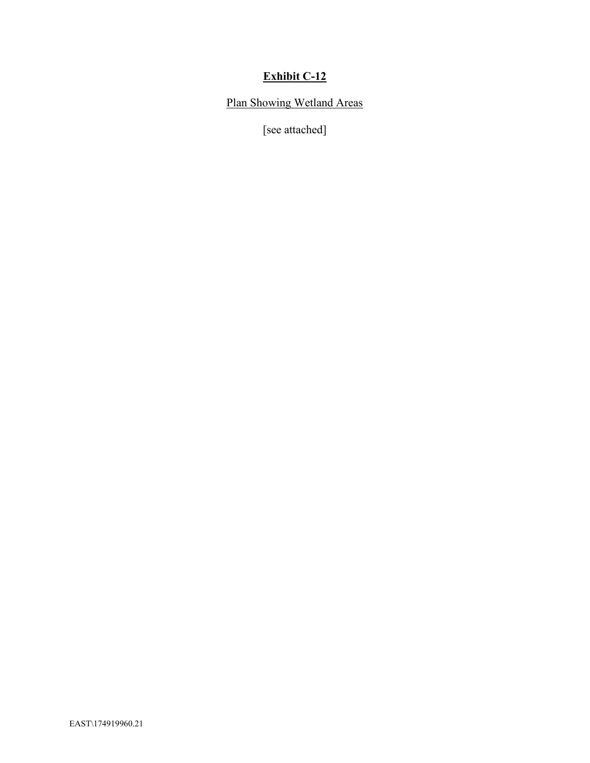## Plan Showing Wetland Areas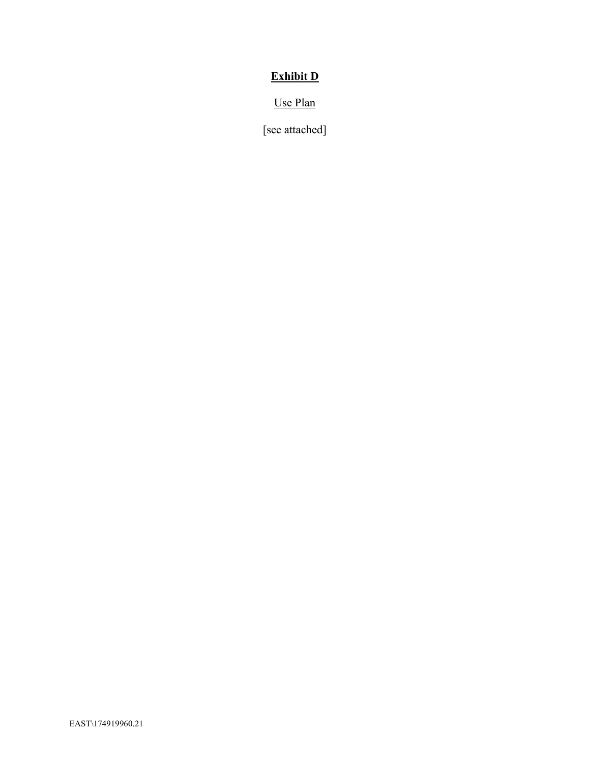## **Exhibit D**

Use Plan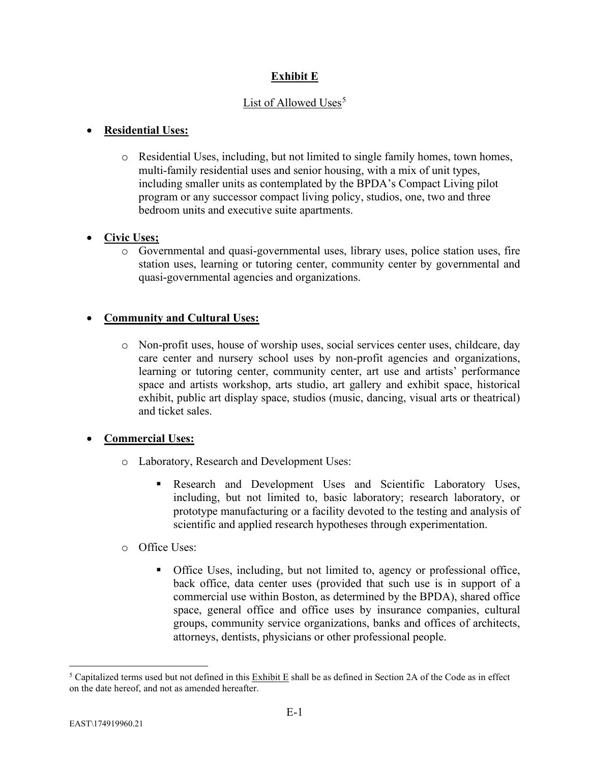### **Exhibit E**

### List of Allowed Uses<sup>[5](#page-59-0)</sup>

### • **Residential Uses:**

o Residential Uses, including, but not limited to single family homes, town homes, multi-family residential uses and senior housing, with a mix of unit types, including smaller units as contemplated by the BPDA's Compact Living pilot program or any successor compact living policy, studios, one, two and three bedroom units and executive suite apartments.

### • **Civic Uses;**

o Governmental and quasi-governmental uses, library uses, police station uses, fire station uses, learning or tutoring center, community center by governmental and quasi-governmental agencies and organizations.

### • **Community and Cultural Uses:**

o Non-profit uses, house of worship uses, social services center uses, childcare, day care center and nursery school uses by non-profit agencies and organizations, learning or tutoring center, community center, art use and artists' performance space and artists workshop, arts studio, art gallery and exhibit space, historical exhibit, public art display space, studios (music, dancing, visual arts or theatrical) and ticket sales.

### • **Commercial Uses:**

- o Laboratory, Research and Development Uses:
	- **Research and Development Uses and Scientific Laboratory Uses,** including, but not limited to, basic laboratory; research laboratory, or prototype manufacturing or a facility devoted to the testing and analysis of scientific and applied research hypotheses through experimentation.
- o Office Uses:
	- Office Uses, including, but not limited to, agency or professional office, back office, data center uses (provided that such use is in support of a commercial use within Boston, as determined by the BPDA), shared office space, general office and office uses by insurance companies, cultural groups, community service organizations, banks and offices of architects, attorneys, dentists, physicians or other professional people.

<span id="page-59-0"></span> $5$  Capitalized terms used but not defined in this Exhibit E shall be as defined in Section 2A of the Code as in effect on the date hereof, and not as amended hereafter.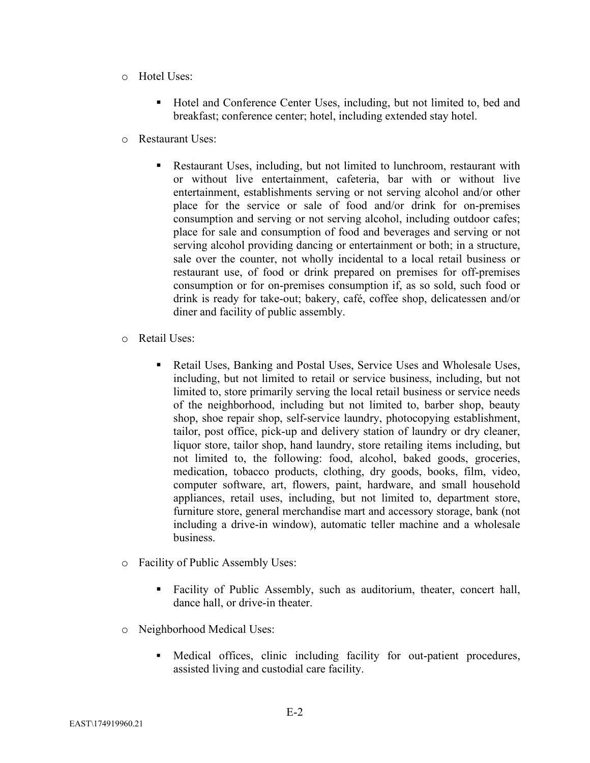- o Hotel Uses:
	- Hotel and Conference Center Uses, including, but not limited to, bed and breakfast; conference center; hotel, including extended stay hotel.
- o Restaurant Uses:
	- Restaurant Uses, including, but not limited to lunchroom, restaurant with or without live entertainment, cafeteria, bar with or without live entertainment, establishments serving or not serving alcohol and/or other place for the service or sale of food and/or drink for on-premises consumption and serving or not serving alcohol, including outdoor cafes; place for sale and consumption of food and beverages and serving or not serving alcohol providing dancing or entertainment or both; in a structure, sale over the counter, not wholly incidental to a local retail business or restaurant use, of food or drink prepared on premises for off-premises consumption or for on-premises consumption if, as so sold, such food or drink is ready for take-out; bakery, café, coffee shop, delicatessen and/or diner and facility of public assembly.
- o Retail Uses:
	- **Retail Uses, Banking and Postal Uses, Service Uses and Wholesale Uses,** including, but not limited to retail or service business, including, but not limited to, store primarily serving the local retail business or service needs of the neighborhood, including but not limited to, barber shop, beauty shop, shoe repair shop, self-service laundry, photocopying establishment, tailor, post office, pick-up and delivery station of laundry or dry cleaner, liquor store, tailor shop, hand laundry, store retailing items including, but not limited to, the following: food, alcohol, baked goods, groceries, medication, tobacco products, clothing, dry goods, books, film, video, computer software, art, flowers, paint, hardware, and small household appliances, retail uses, including, but not limited to, department store, furniture store, general merchandise mart and accessory storage, bank (not including a drive-in window), automatic teller machine and a wholesale business.
- o Facility of Public Assembly Uses:
	- Facility of Public Assembly, such as auditorium, theater, concert hall, dance hall, or drive-in theater.
- o Neighborhood Medical Uses:
	- Medical offices, clinic including facility for out-patient procedures, assisted living and custodial care facility.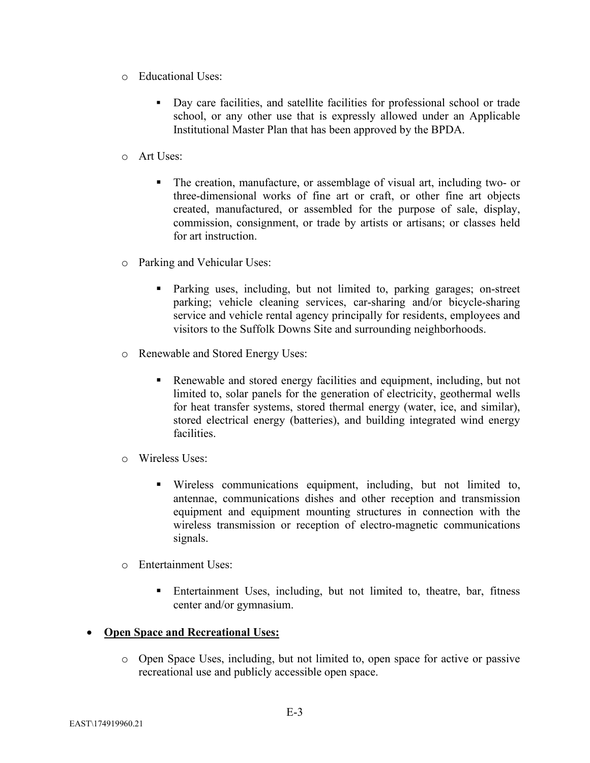- o Educational Uses:
	- Day care facilities, and satellite facilities for professional school or trade school, or any other use that is expressly allowed under an Applicable Institutional Master Plan that has been approved by the BPDA.
- o Art Uses:
	- The creation, manufacture, or assemblage of visual art, including two- or three-dimensional works of fine art or craft, or other fine art objects created, manufactured, or assembled for the purpose of sale, display, commission, consignment, or trade by artists or artisans; or classes held for art instruction.
- o Parking and Vehicular Uses:
	- Parking uses, including, but not limited to, parking garages; on-street parking; vehicle cleaning services, car-sharing and/or bicycle-sharing service and vehicle rental agency principally for residents, employees and visitors to the Suffolk Downs Site and surrounding neighborhoods.
- o Renewable and Stored Energy Uses:
	- Renewable and stored energy facilities and equipment, including, but not limited to, solar panels for the generation of electricity, geothermal wells for heat transfer systems, stored thermal energy (water, ice, and similar), stored electrical energy (batteries), and building integrated wind energy facilities.
- o Wireless Uses:
	- Wireless communications equipment, including, but not limited to, antennae, communications dishes and other reception and transmission equipment and equipment mounting structures in connection with the wireless transmission or reception of electro-magnetic communications signals.
- o Entertainment Uses:
	- Entertainment Uses, including, but not limited to, theatre, bar, fitness center and/or gymnasium.

#### • **Open Space and Recreational Uses:**

o Open Space Uses, including, but not limited to, open space for active or passive recreational use and publicly accessible open space.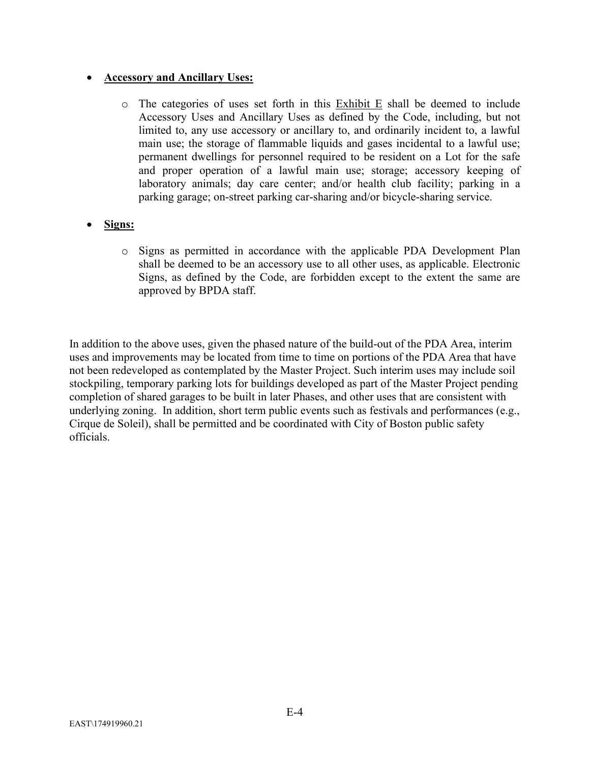#### • **Accessory and Ancillary Uses:**

o The categories of uses set forth in this Exhibit E shall be deemed to include Accessory Uses and Ancillary Uses as defined by the Code, including, but not limited to, any use accessory or ancillary to, and ordinarily incident to, a lawful main use; the storage of flammable liquids and gases incidental to a lawful use; permanent dwellings for personnel required to be resident on a Lot for the safe and proper operation of a lawful main use; storage; accessory keeping of laboratory animals; day care center; and/or health club facility; parking in a parking garage; on-street parking car-sharing and/or bicycle-sharing service.

### • **Signs:**

o Signs as permitted in accordance with the applicable PDA Development Plan shall be deemed to be an accessory use to all other uses, as applicable. Electronic Signs, as defined by the Code, are forbidden except to the extent the same are approved by BPDA staff.

In addition to the above uses, given the phased nature of the build-out of the PDA Area, interim uses and improvements may be located from time to time on portions of the PDA Area that have not been redeveloped as contemplated by the Master Project. Such interim uses may include soil stockpiling, temporary parking lots for buildings developed as part of the Master Project pending completion of shared garages to be built in later Phases, and other uses that are consistent with underlying zoning. In addition, short term public events such as festivals and performances (e.g., Cirque de Soleil), shall be permitted and be coordinated with City of Boston public safety officials.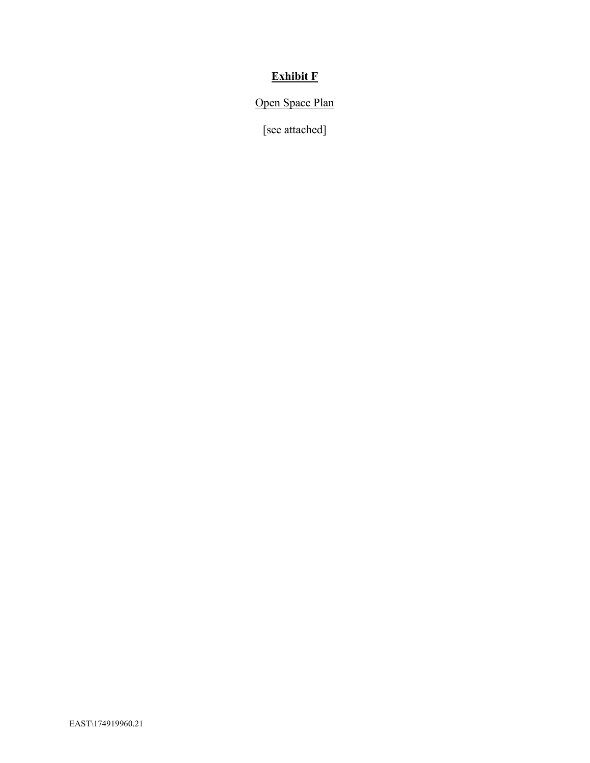## **Exhibit F**

# Open Space Plan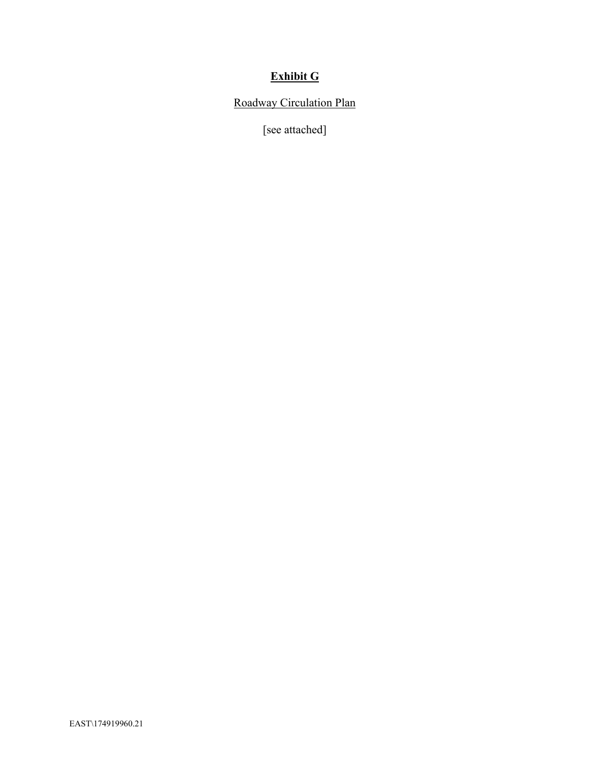## **Exhibit G**

## Roadway Circulation Plan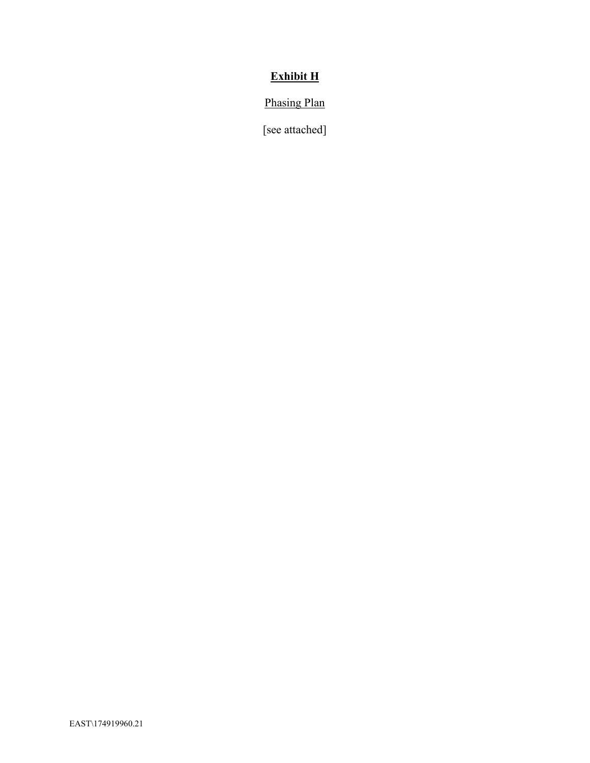## **Exhibit H**

## Phasing Plan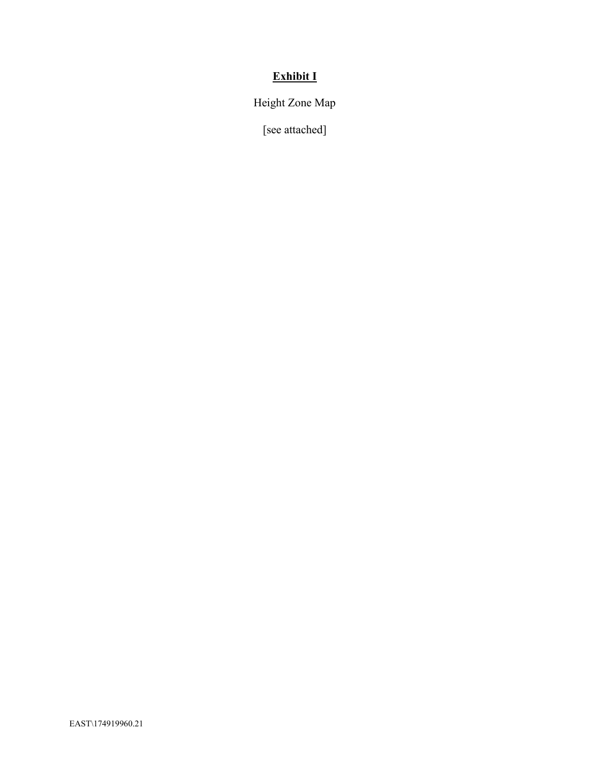## **Exhibit I**

Height Zone Map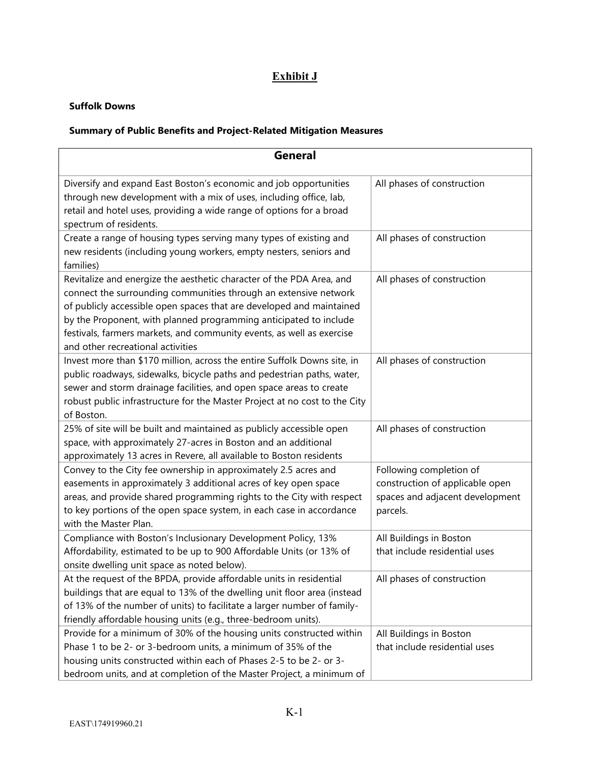### **Exhibit J**

#### **Suffolk Downs**

### **Summary of Public Benefits and Project-Related Mitigation Measures**

| <b>General</b>                                                                                                                                                                                                                                                                                                                                                                                      |                                                                                                           |
|-----------------------------------------------------------------------------------------------------------------------------------------------------------------------------------------------------------------------------------------------------------------------------------------------------------------------------------------------------------------------------------------------------|-----------------------------------------------------------------------------------------------------------|
| Diversify and expand East Boston's economic and job opportunities<br>through new development with a mix of uses, including office, lab,<br>retail and hotel uses, providing a wide range of options for a broad<br>spectrum of residents.                                                                                                                                                           | All phases of construction                                                                                |
| Create a range of housing types serving many types of existing and<br>new residents (including young workers, empty nesters, seniors and<br>families)                                                                                                                                                                                                                                               | All phases of construction                                                                                |
| Revitalize and energize the aesthetic character of the PDA Area, and<br>connect the surrounding communities through an extensive network<br>of publicly accessible open spaces that are developed and maintained<br>by the Proponent, with planned programming anticipated to include<br>festivals, farmers markets, and community events, as well as exercise<br>and other recreational activities | All phases of construction                                                                                |
| Invest more than \$170 million, across the entire Suffolk Downs site, in<br>public roadways, sidewalks, bicycle paths and pedestrian paths, water,<br>sewer and storm drainage facilities, and open space areas to create<br>robust public infrastructure for the Master Project at no cost to the City<br>of Boston.                                                                               | All phases of construction                                                                                |
| 25% of site will be built and maintained as publicly accessible open<br>space, with approximately 27-acres in Boston and an additional<br>approximately 13 acres in Revere, all available to Boston residents                                                                                                                                                                                       | All phases of construction                                                                                |
| Convey to the City fee ownership in approximately 2.5 acres and<br>easements in approximately 3 additional acres of key open space<br>areas, and provide shared programming rights to the City with respect<br>to key portions of the open space system, in each case in accordance<br>with the Master Plan.                                                                                        | Following completion of<br>construction of applicable open<br>spaces and adjacent development<br>parcels. |
| Compliance with Boston's Inclusionary Development Policy, 13%<br>Affordability, estimated to be up to 900 Affordable Units (or 13% of<br>onsite dwelling unit space as noted below).                                                                                                                                                                                                                | All Buildings in Boston<br>that include residential uses                                                  |
| At the request of the BPDA, provide affordable units in residential<br>buildings that are equal to 13% of the dwelling unit floor area (instead<br>of 13% of the number of units) to facilitate a larger number of family-<br>friendly affordable housing units (e.g., three-bedroom units).                                                                                                        | All phases of construction                                                                                |
| Provide for a minimum of 30% of the housing units constructed within<br>Phase 1 to be 2- or 3-bedroom units, a minimum of 35% of the<br>housing units constructed within each of Phases 2-5 to be 2- or 3-<br>bedroom units, and at completion of the Master Project, a minimum of                                                                                                                  | All Buildings in Boston<br>that include residential uses                                                  |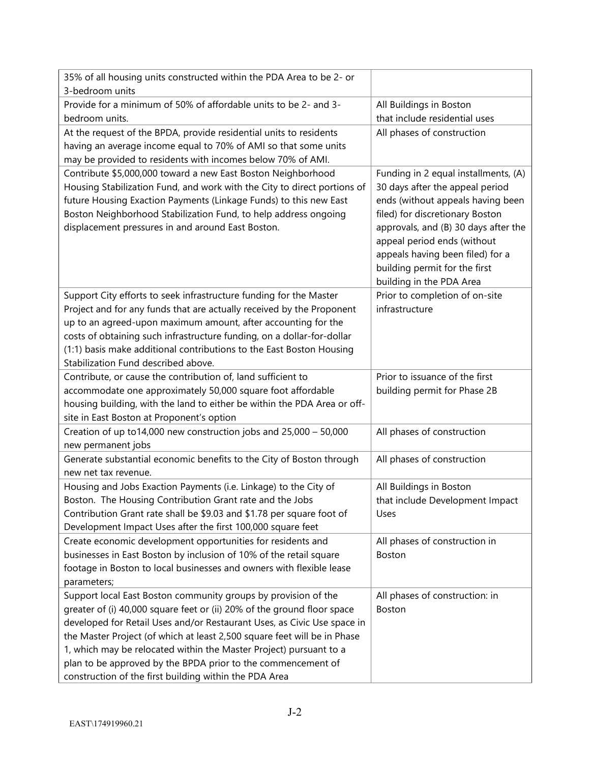| 35% of all housing units constructed within the PDA Area to be 2- or                                                                                                                                          |                                                                                                              |
|---------------------------------------------------------------------------------------------------------------------------------------------------------------------------------------------------------------|--------------------------------------------------------------------------------------------------------------|
| 3-bedroom units                                                                                                                                                                                               |                                                                                                              |
| Provide for a minimum of 50% of affordable units to be 2- and 3-                                                                                                                                              | All Buildings in Boston                                                                                      |
| bedroom units.                                                                                                                                                                                                | that include residential uses                                                                                |
| At the request of the BPDA, provide residential units to residents                                                                                                                                            | All phases of construction                                                                                   |
| having an average income equal to 70% of AMI so that some units                                                                                                                                               |                                                                                                              |
| may be provided to residents with incomes below 70% of AMI.                                                                                                                                                   |                                                                                                              |
| Contribute \$5,000,000 toward a new East Boston Neighborhood<br>Housing Stabilization Fund, and work with the City to direct portions of<br>future Housing Exaction Payments (Linkage Funds) to this new East | Funding in 2 equal installments, (A)<br>30 days after the appeal period<br>ends (without appeals having been |
| Boston Neighborhood Stabilization Fund, to help address ongoing<br>displacement pressures in and around East Boston.                                                                                          | filed) for discretionary Boston<br>approvals, and (B) 30 days after the                                      |
|                                                                                                                                                                                                               | appeal period ends (without                                                                                  |
|                                                                                                                                                                                                               | appeals having been filed) for a                                                                             |
|                                                                                                                                                                                                               | building permit for the first                                                                                |
|                                                                                                                                                                                                               | building in the PDA Area                                                                                     |
| Support City efforts to seek infrastructure funding for the Master                                                                                                                                            | Prior to completion of on-site                                                                               |
| Project and for any funds that are actually received by the Proponent                                                                                                                                         | infrastructure                                                                                               |
| up to an agreed-upon maximum amount, after accounting for the                                                                                                                                                 |                                                                                                              |
| costs of obtaining such infrastructure funding, on a dollar-for-dollar                                                                                                                                        |                                                                                                              |
| (1:1) basis make additional contributions to the East Boston Housing                                                                                                                                          |                                                                                                              |
| Stabilization Fund described above.                                                                                                                                                                           |                                                                                                              |
| Contribute, or cause the contribution of, land sufficient to                                                                                                                                                  | Prior to issuance of the first                                                                               |
| accommodate one approximately 50,000 square foot affordable                                                                                                                                                   | building permit for Phase 2B                                                                                 |
| housing building, with the land to either be within the PDA Area or off-                                                                                                                                      |                                                                                                              |
| site in East Boston at Proponent's option                                                                                                                                                                     |                                                                                                              |
| Creation of up to 14,000 new construction jobs and 25,000 - 50,000<br>new permanent jobs                                                                                                                      | All phases of construction                                                                                   |
| Generate substantial economic benefits to the City of Boston through                                                                                                                                          | All phases of construction                                                                                   |
| new net tax revenue.                                                                                                                                                                                          |                                                                                                              |
| Housing and Jobs Exaction Payments (i.e. Linkage) to the City of                                                                                                                                              | All Buildings in Boston                                                                                      |
| Boston. The Housing Contribution Grant rate and the Jobs                                                                                                                                                      | that include Development Impact                                                                              |
| Contribution Grant rate shall be \$9.03 and \$1.78 per square foot of                                                                                                                                         | <b>Uses</b>                                                                                                  |
| Development Impact Uses after the first 100,000 square feet                                                                                                                                                   |                                                                                                              |
| Create economic development opportunities for residents and                                                                                                                                                   | All phases of construction in                                                                                |
| businesses in East Boston by inclusion of 10% of the retail square                                                                                                                                            | Boston                                                                                                       |
| footage in Boston to local businesses and owners with flexible lease                                                                                                                                          |                                                                                                              |
| parameters;                                                                                                                                                                                                   |                                                                                                              |
| Support local East Boston community groups by provision of the                                                                                                                                                | All phases of construction: in                                                                               |
| greater of (i) 40,000 square feet or (ii) 20% of the ground floor space                                                                                                                                       | Boston                                                                                                       |
| developed for Retail Uses and/or Restaurant Uses, as Civic Use space in                                                                                                                                       |                                                                                                              |
| the Master Project (of which at least 2,500 square feet will be in Phase                                                                                                                                      |                                                                                                              |
| 1, which may be relocated within the Master Project) pursuant to a                                                                                                                                            |                                                                                                              |
| plan to be approved by the BPDA prior to the commencement of                                                                                                                                                  |                                                                                                              |
| construction of the first building within the PDA Area                                                                                                                                                        |                                                                                                              |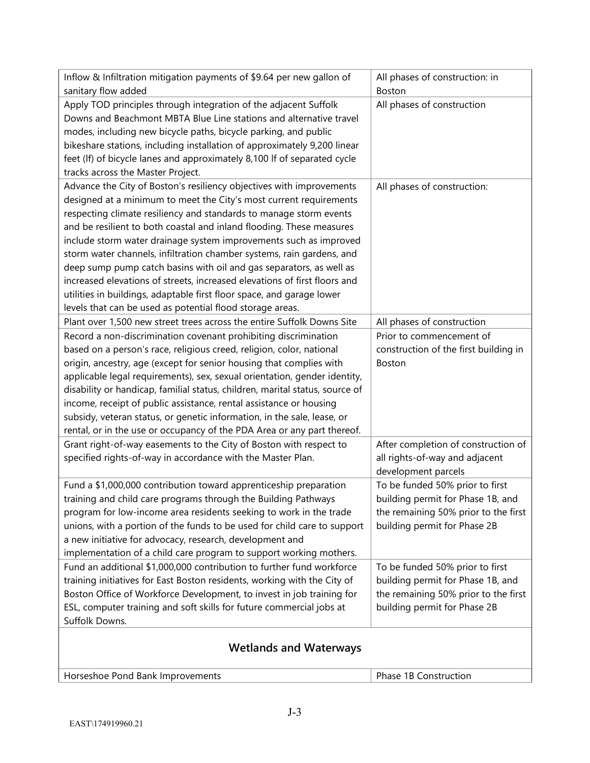| Inflow & Infiltration mitigation payments of \$9.64 per new gallon of                                                                  | All phases of construction: in        |
|----------------------------------------------------------------------------------------------------------------------------------------|---------------------------------------|
| sanitary flow added                                                                                                                    | Boston                                |
| Apply TOD principles through integration of the adjacent Suffolk<br>Downs and Beachmont MBTA Blue Line stations and alternative travel | All phases of construction            |
| modes, including new bicycle paths, bicycle parking, and public                                                                        |                                       |
| bikeshare stations, including installation of approximately 9,200 linear                                                               |                                       |
| feet (If) of bicycle lanes and approximately 8,100 If of separated cycle                                                               |                                       |
| tracks across the Master Project.                                                                                                      |                                       |
| Advance the City of Boston's resiliency objectives with improvements                                                                   | All phases of construction:           |
| designed at a minimum to meet the City's most current requirements                                                                     |                                       |
| respecting climate resiliency and standards to manage storm events                                                                     |                                       |
| and be resilient to both coastal and inland flooding. These measures                                                                   |                                       |
| include storm water drainage system improvements such as improved                                                                      |                                       |
| storm water channels, infiltration chamber systems, rain gardens, and                                                                  |                                       |
| deep sump pump catch basins with oil and gas separators, as well as                                                                    |                                       |
| increased elevations of streets, increased elevations of first floors and                                                              |                                       |
| utilities in buildings, adaptable first floor space, and garage lower                                                                  |                                       |
| levels that can be used as potential flood storage areas.                                                                              |                                       |
| Plant over 1,500 new street trees across the entire Suffolk Downs Site                                                                 | All phases of construction            |
| Record a non-discrimination covenant prohibiting discrimination                                                                        | Prior to commencement of              |
| based on a person's race, religious creed, religion, color, national                                                                   | construction of the first building in |
| origin, ancestry, age (except for senior housing that complies with                                                                    | Boston                                |
| applicable legal requirements), sex, sexual orientation, gender identity,                                                              |                                       |
| disability or handicap, familial status, children, marital status, source of                                                           |                                       |
| income, receipt of public assistance, rental assistance or housing                                                                     |                                       |
| subsidy, veteran status, or genetic information, in the sale, lease, or                                                                |                                       |
| rental, or in the use or occupancy of the PDA Area or any part thereof.                                                                |                                       |
| Grant right-of-way easements to the City of Boston with respect to                                                                     | After completion of construction of   |
| specified rights-of-way in accordance with the Master Plan.                                                                            | all rights-of-way and adjacent        |
|                                                                                                                                        | development parcels                   |
| Fund a \$1,000,000 contribution toward apprenticeship preparation                                                                      | To be funded 50% prior to first       |
| training and child care programs through the Building Pathways                                                                         | building permit for Phase 1B, and     |
| program for low-income area residents seeking to work in the trade                                                                     | the remaining 50% prior to the first  |
| unions, with a portion of the funds to be used for child care to support                                                               | building permit for Phase 2B          |
| a new initiative for advocacy, research, development and                                                                               |                                       |
| implementation of a child care program to support working mothers.                                                                     |                                       |
| Fund an additional \$1,000,000 contribution to further fund workforce                                                                  | To be funded 50% prior to first       |
| training initiatives for East Boston residents, working with the City of                                                               | building permit for Phase 1B, and     |
| Boston Office of Workforce Development, to invest in job training for                                                                  | the remaining 50% prior to the first  |
| ESL, computer training and soft skills for future commercial jobs at                                                                   | building permit for Phase 2B          |
| Suffolk Downs.                                                                                                                         |                                       |
|                                                                                                                                        |                                       |
| <b>Wetlands and Waterways</b>                                                                                                          |                                       |

| Horseshoe Pond Bank Improvements | Phase 1B Construction |
|----------------------------------|-----------------------|
|----------------------------------|-----------------------|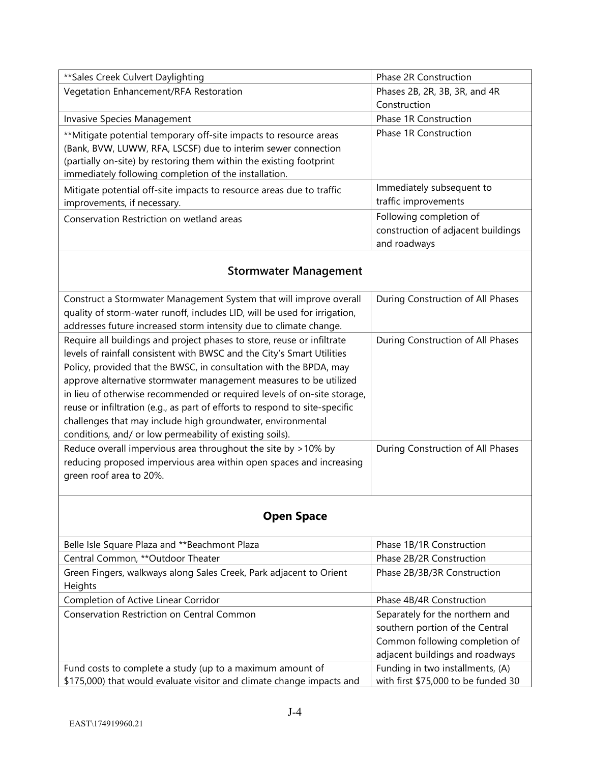| ** Sales Creek Culvert Daylighting                                                                                                                                                                                                                                 | Phase 2R Construction                                                         |
|--------------------------------------------------------------------------------------------------------------------------------------------------------------------------------------------------------------------------------------------------------------------|-------------------------------------------------------------------------------|
| Vegetation Enhancement/RFA Restoration                                                                                                                                                                                                                             | Phases 2B, 2R, 3B, 3R, and 4R                                                 |
|                                                                                                                                                                                                                                                                    | Construction                                                                  |
| <b>Invasive Species Management</b>                                                                                                                                                                                                                                 | <b>Phase 1R Construction</b>                                                  |
| **Mitigate potential temporary off-site impacts to resource areas<br>(Bank, BVW, LUWW, RFA, LSCSF) due to interim sewer connection<br>(partially on-site) by restoring them within the existing footprint<br>immediately following completion of the installation. | Phase 1R Construction                                                         |
| Mitigate potential off-site impacts to resource areas due to traffic<br>improvements, if necessary.                                                                                                                                                                | Immediately subsequent to<br>traffic improvements                             |
| Conservation Restriction on wetland areas                                                                                                                                                                                                                          | Following completion of<br>construction of adjacent buildings<br>and roadways |

# **Stormwater Management**

| Construct a Stormwater Management System that will improve overall<br>quality of storm-water runoff, includes LID, will be used for irrigation,<br>addresses future increased storm intensity due to climate change.                                                                                                                                                                                                                                                                                                                                                             | During Construction of All Phases |
|----------------------------------------------------------------------------------------------------------------------------------------------------------------------------------------------------------------------------------------------------------------------------------------------------------------------------------------------------------------------------------------------------------------------------------------------------------------------------------------------------------------------------------------------------------------------------------|-----------------------------------|
| Require all buildings and project phases to store, reuse or infiltrate<br>levels of rainfall consistent with BWSC and the City's Smart Utilities<br>Policy, provided that the BWSC, in consultation with the BPDA, may<br>approve alternative stormwater management measures to be utilized<br>in lieu of otherwise recommended or required levels of on-site storage,<br>reuse or infiltration (e.g., as part of efforts to respond to site-specific<br>challenges that may include high groundwater, environmental<br>conditions, and/ or low permeability of existing soils). | During Construction of All Phases |
| Reduce overall impervious area throughout the site by >10% by<br>reducing proposed impervious area within open spaces and increasing<br>green roof area to 20%.                                                                                                                                                                                                                                                                                                                                                                                                                  | During Construction of All Phases |

# **Open Space**

| Belle Isle Square Plaza and **Beachmont Plaza                         | Phase 1B/1R Construction            |
|-----------------------------------------------------------------------|-------------------------------------|
| Central Common, ** Outdoor Theater                                    | Phase 2B/2R Construction            |
| Green Fingers, walkways along Sales Creek, Park adjacent to Orient    | Phase 2B/3B/3R Construction         |
| Heights                                                               |                                     |
| Completion of Active Linear Corridor                                  | Phase 4B/4R Construction            |
| Conservation Restriction on Central Common                            | Separately for the northern and     |
|                                                                       | southern portion of the Central     |
|                                                                       | Common following completion of      |
|                                                                       | adjacent buildings and roadways     |
| Fund costs to complete a study (up to a maximum amount of             | Funding in two installments, (A)    |
| \$175,000) that would evaluate visitor and climate change impacts and | with first \$75,000 to be funded 30 |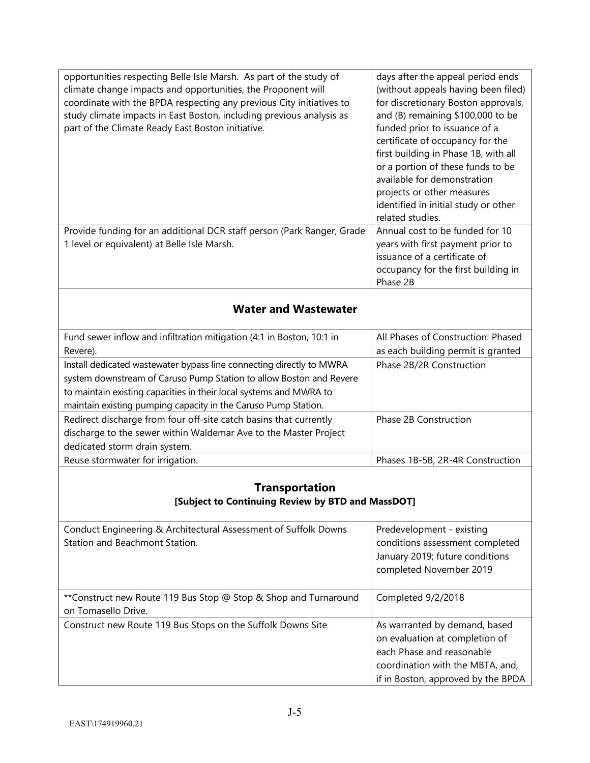| opportunities respecting Belle Isle Marsh. As part of the study of<br>climate change impacts and opportunities, the Proponent will<br>coordinate with the BPDA respecting any previous City initiatives to<br>study climate impacts in East Boston, including previous analysis as<br>part of the Climate Ready East Boston initiative. | days after the appeal period ends<br>(without appeals having been filed)<br>for discretionary Boston approvals,<br>and (B) remaining \$100,000 to be<br>funded prior to issuance of a<br>certificate of occupancy for the<br>first building in Phase 1B, with all<br>or a portion of these funds to be<br>available for demonstration<br>projects or other measures<br>identified in initial study or other<br>related studies. |
|-----------------------------------------------------------------------------------------------------------------------------------------------------------------------------------------------------------------------------------------------------------------------------------------------------------------------------------------|---------------------------------------------------------------------------------------------------------------------------------------------------------------------------------------------------------------------------------------------------------------------------------------------------------------------------------------------------------------------------------------------------------------------------------|
| Provide funding for an additional DCR staff person (Park Ranger, Grade<br>1 level or equivalent) at Belle Isle Marsh.                                                                                                                                                                                                                   | Annual cost to be funded for 10<br>years with first payment prior to<br>issuance of a certificate of<br>occupancy for the first building in<br>Phase 2B                                                                                                                                                                                                                                                                         |

### **Water and Wastewater**

| Fund sewer inflow and infiltration mitigation (4:1 in Boston, 10:1 in | All Phases of Construction: Phased |
|-----------------------------------------------------------------------|------------------------------------|
| Revere).                                                              | as each building permit is granted |
| Install dedicated wastewater bypass line connecting directly to MWRA  | Phase 2B/2R Construction           |
| system downstream of Caruso Pump Station to allow Boston and Revere   |                                    |
| to maintain existing capacities in their local systems and MWRA to    |                                    |
| maintain existing pumping capacity in the Caruso Pump Station.        |                                    |
| Redirect discharge from four off-site catch basins that currently     | Phase 2B Construction              |
| discharge to the sewer within Waldemar Ave to the Master Project      |                                    |
| dedicated storm drain system.                                         |                                    |
| Reuse stormwater for irrigation.                                      | Phases 1B-5B, 2R-4R Construction   |
|                                                                       |                                    |

### **Transportation [Subject to Continuing Review by BTD and MassDOT]**

| Conduct Engineering & Architectural Assessment of Suffolk Downs<br>Station and Beachmont Station. | Predevelopment - existing<br>conditions assessment completed<br>January 2019; future conditions<br>completed November 2019                                             |
|---------------------------------------------------------------------------------------------------|------------------------------------------------------------------------------------------------------------------------------------------------------------------------|
| **Construct new Route 119 Bus Stop @ Stop & Shop and Turnaround<br>on Tomasello Drive.            | Completed 9/2/2018                                                                                                                                                     |
| Construct new Route 119 Bus Stops on the Suffolk Downs Site                                       | As warranted by demand, based<br>on evaluation at completion of<br>each Phase and reasonable<br>coordination with the MBTA, and,<br>if in Boston, approved by the BPDA |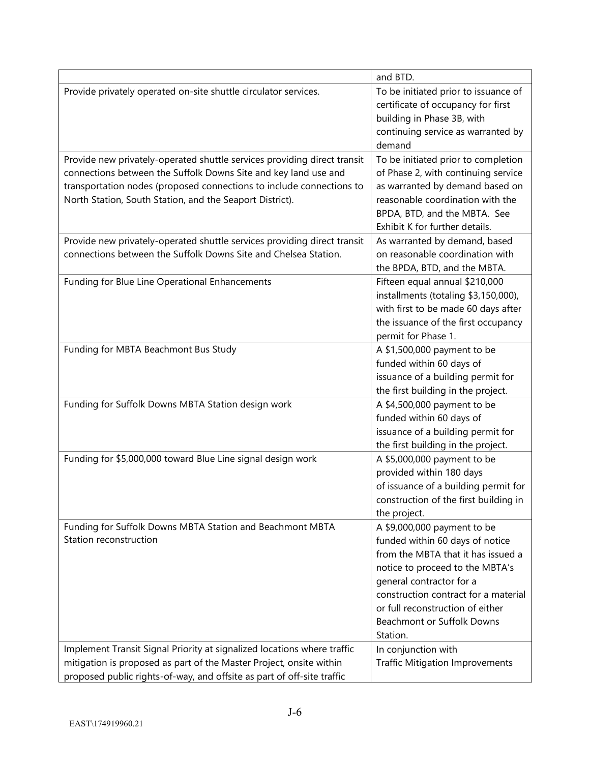|                                                                          | and BTD.                               |
|--------------------------------------------------------------------------|----------------------------------------|
| Provide privately operated on-site shuttle circulator services.          | To be initiated prior to issuance of   |
|                                                                          | certificate of occupancy for first     |
|                                                                          | building in Phase 3B, with             |
|                                                                          | continuing service as warranted by     |
|                                                                          | demand                                 |
| Provide new privately-operated shuttle services providing direct transit | To be initiated prior to completion    |
| connections between the Suffolk Downs Site and key land use and          | of Phase 2, with continuing service    |
| transportation nodes (proposed connections to include connections to     | as warranted by demand based on        |
| North Station, South Station, and the Seaport District).                 | reasonable coordination with the       |
|                                                                          | BPDA, BTD, and the MBTA. See           |
|                                                                          | Exhibit K for further details.         |
| Provide new privately-operated shuttle services providing direct transit | As warranted by demand, based          |
| connections between the Suffolk Downs Site and Chelsea Station.          | on reasonable coordination with        |
|                                                                          | the BPDA, BTD, and the MBTA.           |
| Funding for Blue Line Operational Enhancements                           | Fifteen equal annual \$210,000         |
|                                                                          | installments (totaling \$3,150,000),   |
|                                                                          | with first to be made 60 days after    |
|                                                                          | the issuance of the first occupancy    |
|                                                                          | permit for Phase 1.                    |
| Funding for MBTA Beachmont Bus Study                                     | A \$1,500,000 payment to be            |
|                                                                          | funded within 60 days of               |
|                                                                          | issuance of a building permit for      |
|                                                                          | the first building in the project.     |
| Funding for Suffolk Downs MBTA Station design work                       | A \$4,500,000 payment to be            |
|                                                                          | funded within 60 days of               |
|                                                                          | issuance of a building permit for      |
|                                                                          | the first building in the project.     |
| Funding for \$5,000,000 toward Blue Line signal design work              | A \$5,000,000 payment to be            |
|                                                                          | provided within 180 days               |
|                                                                          | of issuance of a building permit for   |
|                                                                          | construction of the first building in  |
|                                                                          | the project.                           |
| Funding for Suffolk Downs MBTA Station and Beachmont MBTA                | A \$9,000,000 payment to be            |
| Station reconstruction                                                   | funded within 60 days of notice        |
|                                                                          | from the MBTA that it has issued a     |
|                                                                          | notice to proceed to the MBTA's        |
|                                                                          | general contractor for a               |
|                                                                          | construction contract for a material   |
|                                                                          | or full reconstruction of either       |
|                                                                          | Beachmont or Suffolk Downs             |
|                                                                          | Station.                               |
| Implement Transit Signal Priority at signalized locations where traffic  | In conjunction with                    |
| mitigation is proposed as part of the Master Project, onsite within      | <b>Traffic Mitigation Improvements</b> |
| proposed public rights-of-way, and offsite as part of off-site traffic   |                                        |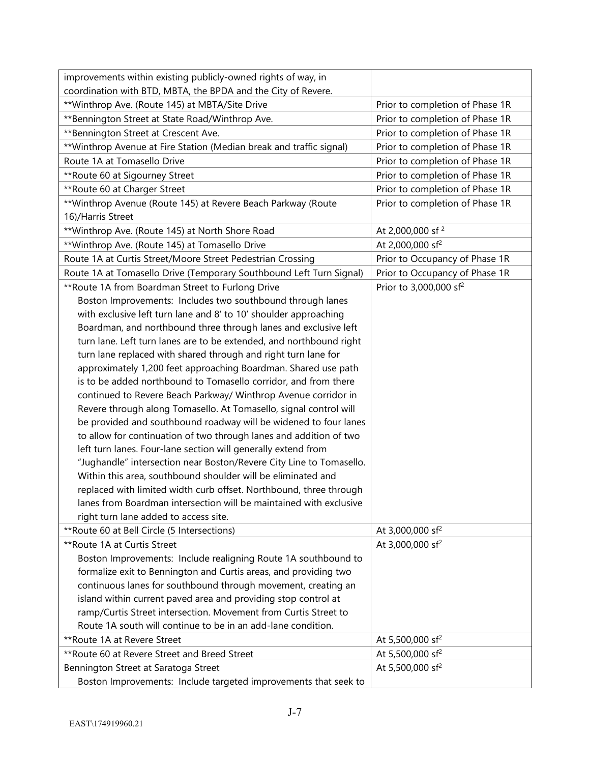| improvements within existing publicly-owned rights of way, in       |                                    |
|---------------------------------------------------------------------|------------------------------------|
| coordination with BTD, MBTA, the BPDA and the City of Revere.       |                                    |
| **Winthrop Ave. (Route 145) at MBTA/Site Drive                      | Prior to completion of Phase 1R    |
| **Bennington Street at State Road/Winthrop Ave.                     | Prior to completion of Phase 1R    |
| ** Bennington Street at Crescent Ave.                               | Prior to completion of Phase 1R    |
| **Winthrop Avenue at Fire Station (Median break and traffic signal) | Prior to completion of Phase 1R    |
| Route 1A at Tomasello Drive                                         | Prior to completion of Phase 1R    |
| ** Route 60 at Sigourney Street                                     | Prior to completion of Phase 1R    |
| ** Route 60 at Charger Street                                       | Prior to completion of Phase 1R    |
| **Winthrop Avenue (Route 145) at Revere Beach Parkway (Route        | Prior to completion of Phase 1R    |
| 16)/Harris Street                                                   |                                    |
| **Winthrop Ave. (Route 145) at North Shore Road                     | At 2,000,000 sf <sup>2</sup>       |
| **Winthrop Ave. (Route 145) at Tomasello Drive                      | At 2,000,000 sf <sup>2</sup>       |
| Route 1A at Curtis Street/Moore Street Pedestrian Crossing          | Prior to Occupancy of Phase 1R     |
| Route 1A at Tomasello Drive (Temporary Southbound Left Turn Signal) | Prior to Occupancy of Phase 1R     |
| **Route 1A from Boardman Street to Furlong Drive                    | Prior to 3,000,000 sf <sup>2</sup> |
| Boston Improvements: Includes two southbound through lanes          |                                    |
| with exclusive left turn lane and 8' to 10' shoulder approaching    |                                    |
| Boardman, and northbound three through lanes and exclusive left     |                                    |
| turn lane. Left turn lanes are to be extended, and northbound right |                                    |
| turn lane replaced with shared through and right turn lane for      |                                    |
| approximately 1,200 feet approaching Boardman. Shared use path      |                                    |
| is to be added northbound to Tomasello corridor, and from there     |                                    |
| continued to Revere Beach Parkway/ Winthrop Avenue corridor in      |                                    |
| Revere through along Tomasello. At Tomasello, signal control will   |                                    |
| be provided and southbound roadway will be widened to four lanes    |                                    |
| to allow for continuation of two through lanes and addition of two  |                                    |
| left turn lanes. Four-lane section will generally extend from       |                                    |
| "Jughandle" intersection near Boston/Revere City Line to Tomasello. |                                    |
| Within this area, southbound shoulder will be eliminated and        |                                    |
| replaced with limited width curb offset. Northbound, three through  |                                    |
| lanes from Boardman intersection will be maintained with exclusive  |                                    |
| right turn lane added to access site.                               |                                    |
| ** Route 60 at Bell Circle (5 Intersections)                        | At 3,000,000 sf <sup>2</sup>       |
| ** Route 1A at Curtis Street                                        | At 3,000,000 sf <sup>2</sup>       |
| Boston Improvements: Include realigning Route 1A southbound to      |                                    |
| formalize exit to Bennington and Curtis areas, and providing two    |                                    |
| continuous lanes for southbound through movement, creating an       |                                    |
| island within current paved area and providing stop control at      |                                    |
| ramp/Curtis Street intersection. Movement from Curtis Street to     |                                    |
| Route 1A south will continue to be in an add-lane condition.        |                                    |
| **Route 1A at Revere Street                                         | At 5,500,000 sf <sup>2</sup>       |
| **Route 60 at Revere Street and Breed Street                        | At 5,500,000 sf <sup>2</sup>       |
| Bennington Street at Saratoga Street                                | At 5,500,000 sf <sup>2</sup>       |
| Boston Improvements: Include targeted improvements that seek to     |                                    |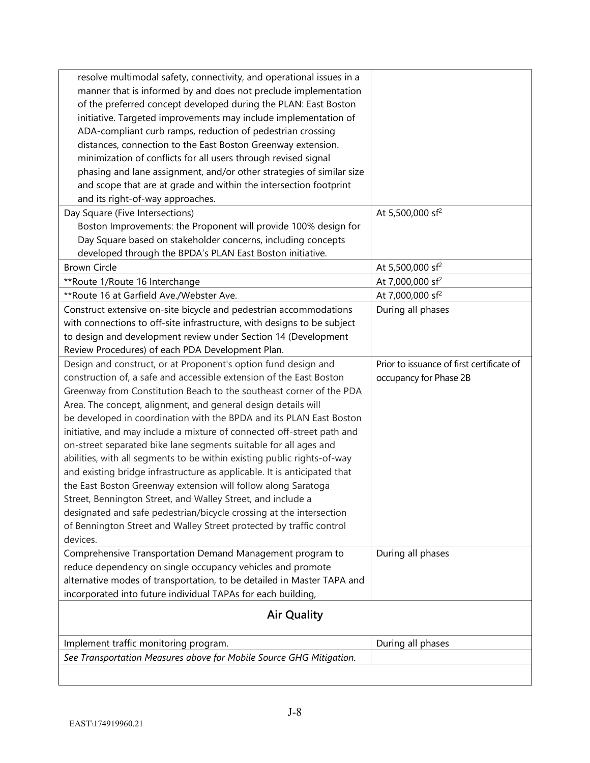| resolve multimodal safety, connectivity, and operational issues in a<br>manner that is informed by and does not preclude implementation |                                           |
|-----------------------------------------------------------------------------------------------------------------------------------------|-------------------------------------------|
| of the preferred concept developed during the PLAN: East Boston                                                                         |                                           |
| initiative. Targeted improvements may include implementation of                                                                         |                                           |
| ADA-compliant curb ramps, reduction of pedestrian crossing                                                                              |                                           |
| distances, connection to the East Boston Greenway extension.                                                                            |                                           |
| minimization of conflicts for all users through revised signal                                                                          |                                           |
| phasing and lane assignment, and/or other strategies of similar size                                                                    |                                           |
| and scope that are at grade and within the intersection footprint                                                                       |                                           |
| and its right-of-way approaches.                                                                                                        |                                           |
| Day Square (Five Intersections)                                                                                                         | At 5,500,000 sf <sup>2</sup>              |
| Boston Improvements: the Proponent will provide 100% design for                                                                         |                                           |
| Day Square based on stakeholder concerns, including concepts                                                                            |                                           |
| developed through the BPDA's PLAN East Boston initiative.                                                                               |                                           |
| <b>Brown Circle</b>                                                                                                                     | At 5,500,000 sf <sup>2</sup>              |
| **Route 1/Route 16 Interchange                                                                                                          | At 7,000,000 sf <sup>2</sup>              |
| ** Route 16 at Garfield Ave./ Webster Ave.                                                                                              | At 7,000,000 sf <sup>2</sup>              |
| Construct extensive on-site bicycle and pedestrian accommodations                                                                       | During all phases                         |
| with connections to off-site infrastructure, with designs to be subject                                                                 |                                           |
| to design and development review under Section 14 (Development                                                                          |                                           |
| Review Procedures) of each PDA Development Plan.                                                                                        |                                           |
| Design and construct, or at Proponent's option fund design and                                                                          | Prior to issuance of first certificate of |
| construction of, a safe and accessible extension of the East Boston                                                                     | occupancy for Phase 2B                    |
| Greenway from Constitution Beach to the southeast corner of the PDA                                                                     |                                           |
| Area. The concept, alignment, and general design details will                                                                           |                                           |
| be developed in coordination with the BPDA and its PLAN East Boston                                                                     |                                           |
| initiative, and may include a mixture of connected off-street path and                                                                  |                                           |
| on-street separated bike lane segments suitable for all ages and                                                                        |                                           |
| abilities, with all segments to be within existing public rights-of-way                                                                 |                                           |
| and existing bridge infrastructure as applicable. It is anticipated that                                                                |                                           |
| the East Boston Greenway extension will follow along Saratoga                                                                           |                                           |
| Street, Bennington Street, and Walley Street, and include a                                                                             |                                           |
| designated and safe pedestrian/bicycle crossing at the intersection                                                                     |                                           |
| of Bennington Street and Walley Street protected by traffic control                                                                     |                                           |
| devices.                                                                                                                                |                                           |
| Comprehensive Transportation Demand Management program to                                                                               | During all phases                         |
| reduce dependency on single occupancy vehicles and promote                                                                              |                                           |
| alternative modes of transportation, to be detailed in Master TAPA and                                                                  |                                           |
| incorporated into future individual TAPAs for each building,                                                                            |                                           |
| <b>Air Quality</b>                                                                                                                      |                                           |
| Implement traffic monitoring program.                                                                                                   | During all phases                         |
| See Transportation Measures above for Mobile Source GHG Mitigation.                                                                     |                                           |
|                                                                                                                                         |                                           |
|                                                                                                                                         |                                           |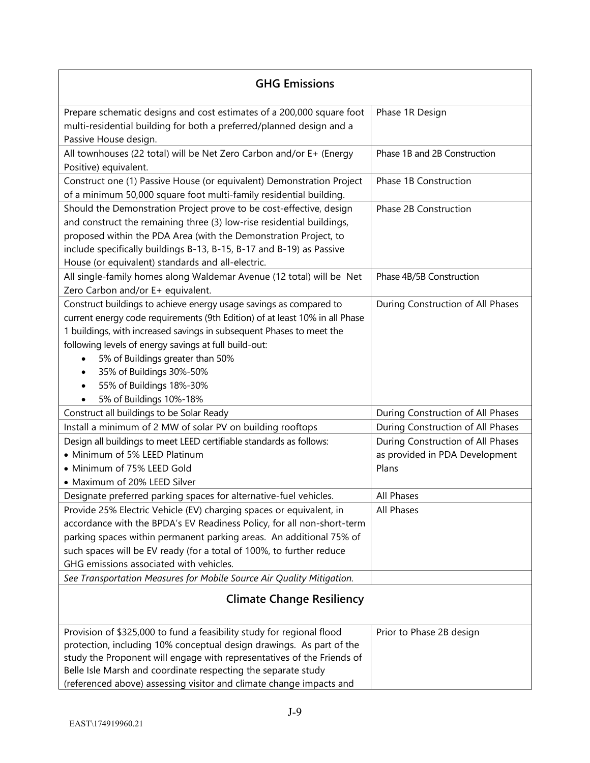| <b>GHG Emissions</b>                                                                                                                                                                                                                                                                                                                                                                                                   |                                                                              |
|------------------------------------------------------------------------------------------------------------------------------------------------------------------------------------------------------------------------------------------------------------------------------------------------------------------------------------------------------------------------------------------------------------------------|------------------------------------------------------------------------------|
| Prepare schematic designs and cost estimates of a 200,000 square foot<br>multi-residential building for both a preferred/planned design and a<br>Passive House design.                                                                                                                                                                                                                                                 | Phase 1R Design                                                              |
| All townhouses (22 total) will be Net Zero Carbon and/or E+ (Energy<br>Positive) equivalent.                                                                                                                                                                                                                                                                                                                           | Phase 1B and 2B Construction                                                 |
| Construct one (1) Passive House (or equivalent) Demonstration Project<br>of a minimum 50,000 square foot multi-family residential building.                                                                                                                                                                                                                                                                            | Phase 1B Construction                                                        |
| Should the Demonstration Project prove to be cost-effective, design<br>and construct the remaining three (3) low-rise residential buildings,<br>proposed within the PDA Area (with the Demonstration Project, to<br>include specifically buildings B-13, B-15, B-17 and B-19) as Passive<br>House (or equivalent) standards and all-electric.                                                                          | Phase 2B Construction                                                        |
| All single-family homes along Waldemar Avenue (12 total) will be Net<br>Zero Carbon and/or E+ equivalent.                                                                                                                                                                                                                                                                                                              | Phase 4B/5B Construction                                                     |
| Construct buildings to achieve energy usage savings as compared to<br>current energy code requirements (9th Edition) of at least 10% in all Phase<br>1 buildings, with increased savings in subsequent Phases to meet the<br>following levels of energy savings at full build-out:<br>5% of Buildings greater than 50%<br>35% of Buildings 30%-50%<br>55% of Buildings 18%-30%<br>$\bullet$<br>5% of Buildings 10%-18% | During Construction of All Phases                                            |
| Construct all buildings to be Solar Ready                                                                                                                                                                                                                                                                                                                                                                              | During Construction of All Phases                                            |
| Install a minimum of 2 MW of solar PV on building rooftops                                                                                                                                                                                                                                                                                                                                                             | During Construction of All Phases                                            |
| Design all buildings to meet LEED certifiable standards as follows:<br>• Minimum of 5% LEED Platinum<br>• Minimum of 75% LEED Gold<br>• Maximum of 20% LEED Silver                                                                                                                                                                                                                                                     | During Construction of All Phases<br>as provided in PDA Development<br>Plans |
| Designate preferred parking spaces for alternative-fuel vehicles.                                                                                                                                                                                                                                                                                                                                                      | All Phases                                                                   |
| Provide 25% Electric Vehicle (EV) charging spaces or equivalent, in<br>accordance with the BPDA's EV Readiness Policy, for all non-short-term<br>parking spaces within permanent parking areas. An additional 75% of<br>such spaces will be EV ready (for a total of 100%, to further reduce<br>GHG emissions associated with vehicles.                                                                                | All Phases                                                                   |
| See Transportation Measures for Mobile Source Air Quality Mitigation.                                                                                                                                                                                                                                                                                                                                                  |                                                                              |
| <b>Climate Change Resiliency</b>                                                                                                                                                                                                                                                                                                                                                                                       |                                                                              |
| Provision of \$325,000 to fund a feasibility study for regional flood<br>protection, including 10% conceptual design drawings. As part of the<br>study the Proponent will engage with representatives of the Friends of                                                                                                                                                                                                | Prior to Phase 2B design                                                     |

Belle Isle Marsh and coordinate respecting the separate study (referenced above) assessing visitor and climate change impacts and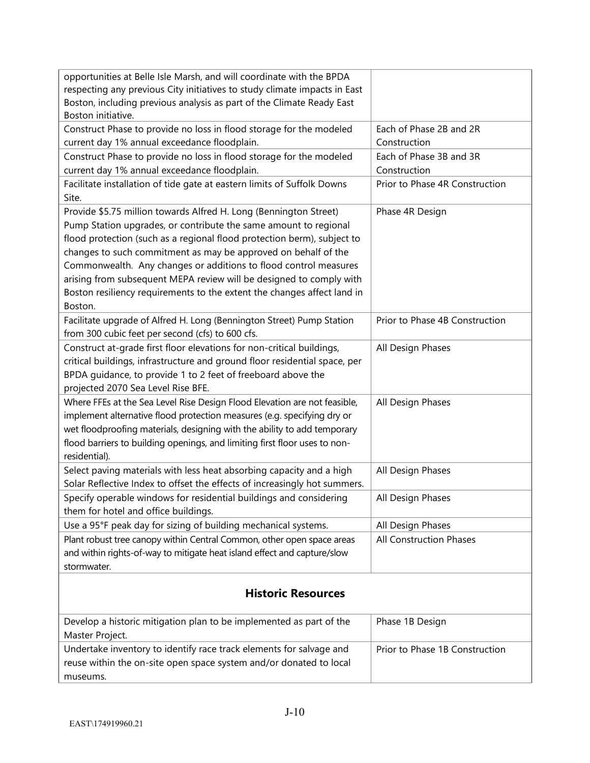| opportunities at Belle Isle Marsh, and will coordinate with the BPDA       |                                |
|----------------------------------------------------------------------------|--------------------------------|
| respecting any previous City initiatives to study climate impacts in East  |                                |
| Boston, including previous analysis as part of the Climate Ready East      |                                |
| Boston initiative.                                                         |                                |
| Construct Phase to provide no loss in flood storage for the modeled        | Each of Phase 2B and 2R        |
| current day 1% annual exceedance floodplain.                               | Construction                   |
| Construct Phase to provide no loss in flood storage for the modeled        | Each of Phase 3B and 3R        |
| current day 1% annual exceedance floodplain.                               | Construction                   |
| Facilitate installation of tide gate at eastern limits of Suffolk Downs    | Prior to Phase 4R Construction |
| Site.                                                                      |                                |
| Provide \$5.75 million towards Alfred H. Long (Bennington Street)          | Phase 4R Design                |
| Pump Station upgrades, or contribute the same amount to regional           |                                |
| flood protection (such as a regional flood protection berm), subject to    |                                |
| changes to such commitment as may be approved on behalf of the             |                                |
| Commonwealth. Any changes or additions to flood control measures           |                                |
| arising from subsequent MEPA review will be designed to comply with        |                                |
| Boston resiliency requirements to the extent the changes affect land in    |                                |
| Boston.                                                                    |                                |
| Facilitate upgrade of Alfred H. Long (Bennington Street) Pump Station      | Prior to Phase 4B Construction |
| from 300 cubic feet per second (cfs) to 600 cfs.                           |                                |
| Construct at-grade first floor elevations for non-critical buildings,      | All Design Phases              |
| critical buildings, infrastructure and ground floor residential space, per |                                |
| BPDA guidance, to provide 1 to 2 feet of freeboard above the               |                                |
| projected 2070 Sea Level Rise BFE.                                         |                                |
| Where FFEs at the Sea Level Rise Design Flood Elevation are not feasible,  | All Design Phases              |
| implement alternative flood protection measures (e.g. specifying dry or    |                                |
| wet floodproofing materials, designing with the ability to add temporary   |                                |
| flood barriers to building openings, and limiting first floor uses to non- |                                |
| residential).                                                              |                                |
| Select paving materials with less heat absorbing capacity and a high       | All Design Phases              |
| Solar Reflective Index to offset the effects of increasingly hot summers.  |                                |
| Specify operable windows for residential buildings and considering         | All Design Phases              |
| them for hotel and office buildings.                                       |                                |
| Use a 95°F peak day for sizing of building mechanical systems.             | All Design Phases              |
| Plant robust tree canopy within Central Common, other open space areas     | All Construction Phases        |
| and within rights-of-way to mitigate heat island effect and capture/slow   |                                |
| stormwater.                                                                |                                |
|                                                                            |                                |
| <b>Historic Resources</b>                                                  |                                |

## **Historic Resources**

 $\overline{\phantom{a}}$ 

| Develop a historic mitigation plan to be implemented as part of the | Phase 1B Design                |
|---------------------------------------------------------------------|--------------------------------|
| Master Project.                                                     |                                |
| Undertake inventory to identify race track elements for salvage and | Prior to Phase 1B Construction |
| reuse within the on-site open space system and/or donated to local  |                                |
| museums.                                                            |                                |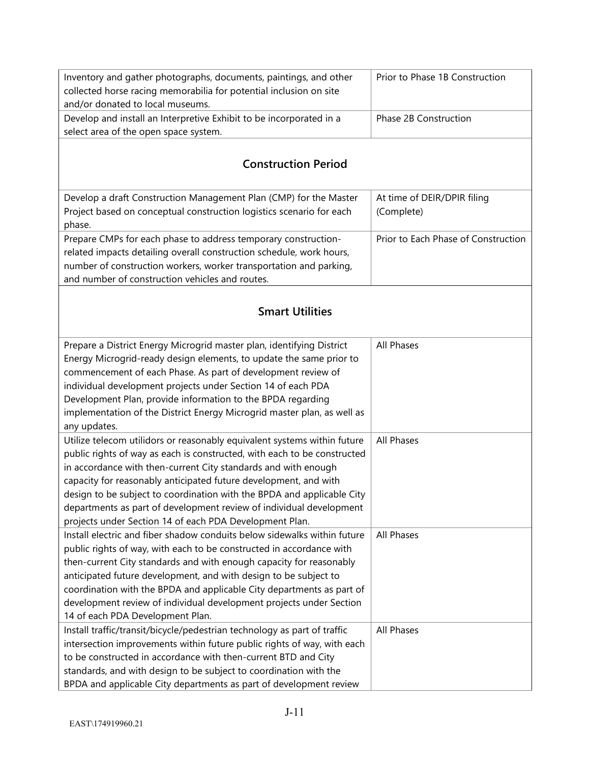| Inventory and gather photographs, documents, paintings, and other<br>collected horse racing memorabilia for potential inclusion on site<br>and/or donated to local museums. | Prior to Phase 1B Construction      |
|-----------------------------------------------------------------------------------------------------------------------------------------------------------------------------|-------------------------------------|
| Develop and install an Interpretive Exhibit to be incorporated in a<br>select area of the open space system.                                                                | Phase 2B Construction               |
|                                                                                                                                                                             |                                     |
| <b>Construction Period</b>                                                                                                                                                  |                                     |
| Develop a draft Construction Management Plan (CMP) for the Master                                                                                                           | At time of DEIR/DPIR filing         |
| Project based on conceptual construction logistics scenario for each<br>phase.                                                                                              | (Complete)                          |
| Prepare CMPs for each phase to address temporary construction-                                                                                                              | Prior to Each Phase of Construction |
| related impacts detailing overall construction schedule, work hours,                                                                                                        |                                     |
| number of construction workers, worker transportation and parking,                                                                                                          |                                     |
| and number of construction vehicles and routes.                                                                                                                             |                                     |
|                                                                                                                                                                             |                                     |
| <b>Smart Utilities</b>                                                                                                                                                      |                                     |
|                                                                                                                                                                             |                                     |
| Prepare a District Energy Microgrid master plan, identifying District                                                                                                       | All Phases                          |
| Energy Microgrid-ready design elements, to update the same prior to                                                                                                         |                                     |
| commencement of each Phase. As part of development review of                                                                                                                |                                     |
| individual development projects under Section 14 of each PDA                                                                                                                |                                     |
| Development Plan, provide information to the BPDA regarding                                                                                                                 |                                     |
| implementation of the District Energy Microgrid master plan, as well as                                                                                                     |                                     |
| any updates.                                                                                                                                                                |                                     |
| Utilize telecom utilidors or reasonably equivalent systems within future                                                                                                    | All Phases                          |
| public rights of way as each is constructed, with each to be constructed                                                                                                    |                                     |
| in accordance with then-current City standards and with enough<br>capacity for reasonably anticipated future development, and with                                          |                                     |
| design to be subject to coordination with the BPDA and applicable City                                                                                                      |                                     |
| departments as part of development review of individual development                                                                                                         |                                     |
| projects under Section 14 of each PDA Development Plan.                                                                                                                     |                                     |
| Install electric and fiber shadow conduits below sidewalks within future                                                                                                    | All Phases                          |
| public rights of way, with each to be constructed in accordance with                                                                                                        |                                     |
| then-current City standards and with enough capacity for reasonably                                                                                                         |                                     |
| anticipated future development, and with design to be subject to                                                                                                            |                                     |
| coordination with the BPDA and applicable City departments as part of                                                                                                       |                                     |
| development review of individual development projects under Section                                                                                                         |                                     |
| 14 of each PDA Development Plan.                                                                                                                                            |                                     |
| Install traffic/transit/bicycle/pedestrian technology as part of traffic                                                                                                    | All Phases                          |
| intersection improvements within future public rights of way, with each                                                                                                     |                                     |
| to be constructed in accordance with then-current BTD and City                                                                                                              |                                     |
| standards, and with design to be subject to coordination with the                                                                                                           |                                     |
| BPDA and applicable City departments as part of development review                                                                                                          |                                     |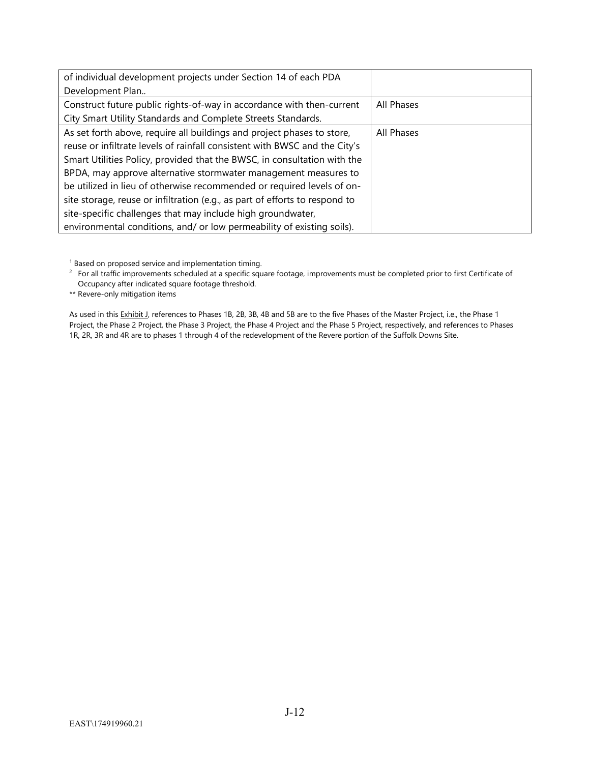| of individual development projects under Section 14 of each PDA             |            |
|-----------------------------------------------------------------------------|------------|
| Development Plan                                                            |            |
| Construct future public rights-of-way in accordance with then-current       | All Phases |
| City Smart Utility Standards and Complete Streets Standards.                |            |
| As set forth above, require all buildings and project phases to store,      | All Phases |
| reuse or infiltrate levels of rainfall consistent with BWSC and the City's  |            |
| Smart Utilities Policy, provided that the BWSC, in consultation with the    |            |
| BPDA, may approve alternative stormwater management measures to             |            |
| be utilized in lieu of otherwise recommended or required levels of on-      |            |
| site storage, reuse or infiltration (e.g., as part of efforts to respond to |            |
| site-specific challenges that may include high groundwater,                 |            |
| environmental conditions, and/ or low permeability of existing soils).      |            |

<sup>1</sup> Based on proposed service and implementation timing.

<sup>2</sup> For all traffic improvements scheduled at a specific square footage, improvements must be completed prior to first Certificate of Occupancy after indicated square footage threshold.

\*\* Revere-only mitigation items

As used in this Exhibit J, references to Phases 1B, 2B, 3B, 4B and 5B are to the five Phases of the Master Project, i.e., the Phase 1 Project, the Phase 2 Project, the Phase 3 Project, the Phase 4 Project and the Phase 5 Project, respectively, and references to Phases 1R, 2R, 3R and 4R are to phases 1 through 4 of the redevelopment of the Revere portion of the Suffolk Downs Site.